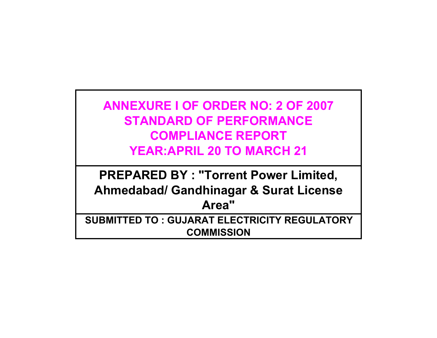**ANNEXURE I OF ORDER NO: 2 OF 2007 STANDARD OF PERFORMANCE COMPLIANCE REPORT YEAR:APRIL 20 TO MARCH 21**

**PREPARED BY : "Torrent Power Limited, Ahmedabad/ Gandhinagar & Surat License Area" SUBMITTED TO : GUJARAT ELECTRICITY REGULATORY** 

**COMMISSION**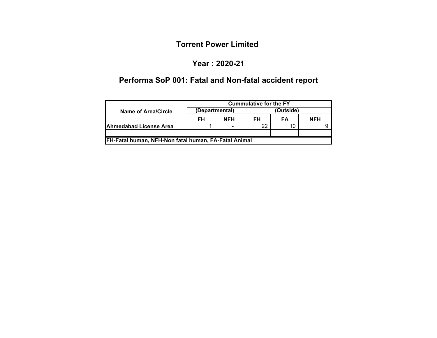### **Year : 2020-21**

# **Performa SoP 001: Fatal and Non-fatal accident report**

|                                                      | <b>Cummulative for the FY</b> |                          |           |    |            |  |  |  |  |
|------------------------------------------------------|-------------------------------|--------------------------|-----------|----|------------|--|--|--|--|
| Name of Area/Circle                                  |                               | (Departmental)           | (Outside) |    |            |  |  |  |  |
|                                                      | FH                            | <b>NFH</b>               | FH        | FA | <b>NFH</b> |  |  |  |  |
| <b>IAhmedabad License Area</b>                       |                               | $\overline{\phantom{0}}$ | 22        |    |            |  |  |  |  |
|                                                      |                               |                          |           |    |            |  |  |  |  |
| FH-Fatal human, NFH-Non fatal human, FA-Fatal Animal |                               |                          |           |    |            |  |  |  |  |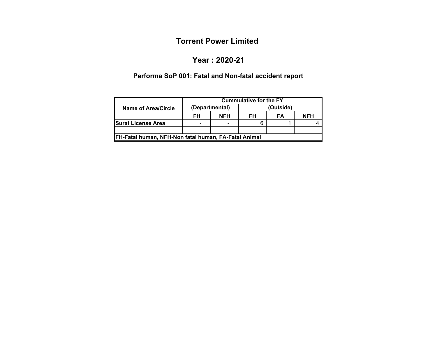#### **Year : 2020-21**

# **Performa SoP 001: Fatal and Non-fatal accident report**

|                                                      | <b>Cummulative for the FY</b> |                |           |    |            |  |  |  |  |  |
|------------------------------------------------------|-------------------------------|----------------|-----------|----|------------|--|--|--|--|--|
| Name of Area/Circle                                  |                               | (Departmental) | (Outside) |    |            |  |  |  |  |  |
|                                                      | <b>NFH</b><br>FH<br>FH        |                |           | FA | <b>NFH</b> |  |  |  |  |  |
| <b>ISurat License Area</b>                           | $\equiv$                      | ۰              |           |    |            |  |  |  |  |  |
| FH-Fatal human, NFH-Non fatal human, FA-Fatal Animal |                               |                |           |    |            |  |  |  |  |  |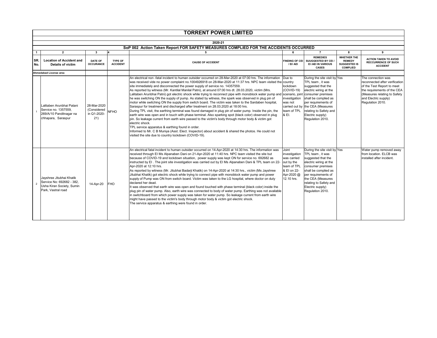|                | <b>TORRENT POWER LIMITED</b>                                                                             |                                                  |                                   |                                                                                                                                                                                                                                                                                                                                                                                                                                                                                                                                                                                                                                                                                                                                                                                                                                                                                                                                                                                                                                                                                                                                                                                                                                                                                                                                                                                                          |                                                                                                               |                                                                                                                                                                                                                                                                                            |                                                                               |                                                                                                                                                                                               |  |  |
|----------------|----------------------------------------------------------------------------------------------------------|--------------------------------------------------|-----------------------------------|----------------------------------------------------------------------------------------------------------------------------------------------------------------------------------------------------------------------------------------------------------------------------------------------------------------------------------------------------------------------------------------------------------------------------------------------------------------------------------------------------------------------------------------------------------------------------------------------------------------------------------------------------------------------------------------------------------------------------------------------------------------------------------------------------------------------------------------------------------------------------------------------------------------------------------------------------------------------------------------------------------------------------------------------------------------------------------------------------------------------------------------------------------------------------------------------------------------------------------------------------------------------------------------------------------------------------------------------------------------------------------------------------------|---------------------------------------------------------------------------------------------------------------|--------------------------------------------------------------------------------------------------------------------------------------------------------------------------------------------------------------------------------------------------------------------------------------------|-------------------------------------------------------------------------------|-----------------------------------------------------------------------------------------------------------------------------------------------------------------------------------------------|--|--|
|                |                                                                                                          |                                                  |                                   |                                                                                                                                                                                                                                                                                                                                                                                                                                                                                                                                                                                                                                                                                                                                                                                                                                                                                                                                                                                                                                                                                                                                                                                                                                                                                                                                                                                                          |                                                                                                               |                                                                                                                                                                                                                                                                                            |                                                                               |                                                                                                                                                                                               |  |  |
|                |                                                                                                          |                                                  |                                   | 2020-21                                                                                                                                                                                                                                                                                                                                                                                                                                                                                                                                                                                                                                                                                                                                                                                                                                                                                                                                                                                                                                                                                                                                                                                                                                                                                                                                                                                                  |                                                                                                               |                                                                                                                                                                                                                                                                                            |                                                                               |                                                                                                                                                                                               |  |  |
|                |                                                                                                          |                                                  |                                   | SoP 002 Action Taken Report FOR SAFETY MEASURES COMPLIED FOR THE ACCIDENTS OCCURRED                                                                                                                                                                                                                                                                                                                                                                                                                                                                                                                                                                                                                                                                                                                                                                                                                                                                                                                                                                                                                                                                                                                                                                                                                                                                                                                      |                                                                                                               |                                                                                                                                                                                                                                                                                            |                                                                               |                                                                                                                                                                                               |  |  |
| $\mathbf{1}$   | $\overline{2}$                                                                                           | 3                                                |                                   | 5                                                                                                                                                                                                                                                                                                                                                                                                                                                                                                                                                                                                                                                                                                                                                                                                                                                                                                                                                                                                                                                                                                                                                                                                                                                                                                                                                                                                        | 6                                                                                                             | $\overline{7}$                                                                                                                                                                                                                                                                             | 8                                                                             | 9                                                                                                                                                                                             |  |  |
| SR.<br>No.     | <b>Location of Accident and</b><br>Details of victim                                                     | <b>DATE OF</b><br><b>OCCURANCE</b>               | <b>TYPE OF</b><br><b>ACCIDENT</b> | <b>CAUSE OF ACCIDENT</b>                                                                                                                                                                                                                                                                                                                                                                                                                                                                                                                                                                                                                                                                                                                                                                                                                                                                                                                                                                                                                                                                                                                                                                                                                                                                                                                                                                                 | <b>FINDING OF CEI</b><br>/ EI/ AEI                                                                            | <b>REMEDIES</b><br>SUUGGESTED BY CEI /<br>EI /AEI IN VARIOUS<br><b>CASES</b>                                                                                                                                                                                                               | <b>WHETHER THE</b><br><b>REMEDY</b><br><b>SUGGESTED IS</b><br><b>COMPLIED</b> | <b>ACTION TAKEN TO AVOID</b><br><b>RECCURRENCE OF SUCH</b><br><b>ACCIDENT</b>                                                                                                                 |  |  |
|                | Ahmedabad License area                                                                                   |                                                  |                                   |                                                                                                                                                                                                                                                                                                                                                                                                                                                                                                                                                                                                                                                                                                                                                                                                                                                                                                                                                                                                                                                                                                                                                                                                                                                                                                                                                                                                          |                                                                                                               |                                                                                                                                                                                                                                                                                            |                                                                               |                                                                                                                                                                                               |  |  |
|                | Lalitaben Arunbhai Patani<br>Service no. 1357559.<br>269/A/10 Panditnagar na<br>chhapara, Saraspur       | 28-Mar-2020<br>(Considered<br>in Q1-2020-<br>21) | <b>NFHO</b>                       | An electrical non -fatal incident to human outsider occurred on 28-Mar-2020 at 07:00 hrs. The information<br>was received vide no power complaint no.1004926918 on 28-Mar-2020 at 11:37 hrs. NPC team visited the country<br>site immediately and disconnected the power supply of service no. 14357559.<br>As reported by witness (Mr. Kantilal Manilal Patni), at around 07:00 hrs dt. 28.03.2020, victim (Mrs.<br>Lalitaben Arunbhai Patni) got electric shock while trying to reconnect pipe with monoblock water pump and<br>he was switching ON the supply of pump. As stated by witness, the spark was observed in plug pin of<br>motor while switching ON the supply from switch board. The victim was taken to the Sardaben hospital,<br>Saraspur for treatment and discharged after treatment on 28.03.2020 at 18:00 hrs.<br>During TPL visit, the earthing terminal was found damaged in plug pin of water pump. Inside the pin, the<br>earth wire was open and in touch with phase terminal. Also sparking spot (black color) observed in plug<br>pin. So leakage current from earth wire passed to the victim's body through motor body & victim got<br>electric shock.<br>TPL service apparatus & earthing found in order.<br>Informed to Mr. C B Muniya (Asst. Elect. Inspector) about accident & shared the photos. He could not<br>visited the site due to country lockdown (COVID-19). | Due to<br>lockdown<br>(COVID-19)<br>investigation<br>was not<br>team of TPL<br>& EI.                          | During the site visit by Yes<br>TPL team, it was<br>suggested that the<br>electric wiring at the<br>scenario, joint consumer premises<br>shall be complied as<br>per requirements of<br>carried out by the CEA (Measures<br>relating to Safety and<br>Electric supply)<br>Regulation 2010. |                                                                               | The connection was<br>reconnected after verification<br>of the Test Report to meet<br>the requirements of the CEA<br>(Measures relating to Safety<br>and Electric supply)<br>Regulation 2010. |  |  |
| $\overline{2}$ | Javshree Jitubhai Khatik<br>Service No: 692682 - 382,<br>Usha Kiran Society, Sumin<br>Park, Vastral road | 14-Apr-20                                        | <b>FHO</b>                        | An electrical fatal incident to human outsider occurred on 14-Apr-2020 at 14:30 hrs. The information was<br>received through EI Ms Alpanaben Dani on 21-Apr-2020 at 11:40 hrs. NPC team visited the site but<br>because of COVID-19 and lockdown situation, power supply was kept ON for service no. 692682 as<br>instructed by EI. The joint site investigation was carried out by EI Ms Alpanaben Dani & TPL team on 22-<br>Apr-2020 at 12:10 hrs.<br>As reported by witness (Mr. Jitubhai Badarji Khatik) on 14-Apr-2020 at 14:30 hrs., victim (Ms Jayshree<br>Jitubhai Khatik) got electric shock while trying to connect pipe with monoblock water pump and power<br>supply of Pump was ON from switch board. Victim was taken to the LG hospital, where doctor on duty<br>declared her dead.<br>It was observed that earth wire was open and found touched with phase terminal (black color) inside the<br>plug pin of water pump. Also, earth wire was connected to body of water pump. Earthing was not available<br>in switchboard from which power supply was taken for water pump. So leakage current from earth wire<br>might have passed to the victim's body through motor body & victim got electric shock.<br>The service apparatus & earthing were found in order.                                                                                                                      | Joint<br>investigation<br>was carried<br>out by the<br>team of TPL<br>& El on 22-<br>Apr-2020 @<br>12.10 hrs. | During the site visit by Yes<br>TPL team . it was<br>suggested that the<br>electric wiring at the<br>consumer premises<br>shall be complied as<br>per requirements of<br>the CEA (Measures<br>relating to Safety and<br>Electric supply)<br>Regulation 2010.                               |                                                                               | Water pump removed away<br>from location. ELCB was<br>installed after incident.                                                                                                               |  |  |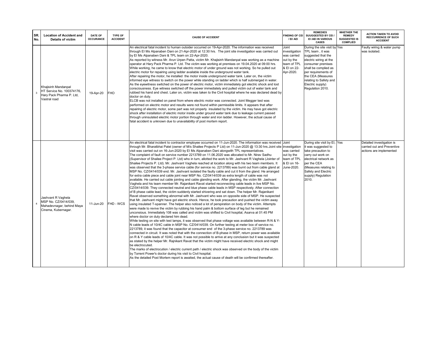| SR.<br>No.     | <b>Location of Accident and</b><br><b>Details of victim</b>                                    | DATE OF<br><b>OCCURANCE</b> | TYPE OF<br><b>ACCIDENT</b> | <b>CAUSE OF ACCIDENT</b>                                                                                                                                                                                                                                                                                                                                                                                                                                                                                                                                                                                                                                                                                                                                                                                                                                                                                                                                                                                                                                                                                                                                                                                                                                                                                                                                                                                                                                                                                                                                                                                                                                                                                                                                                                                                                                                                                                                                                                                                                                                                                                                                                                                                                                                                                                                                                                                                                                                                                                                                                                                                                                                                                                                                                                                                                                                                                                                                                         | <b>FINDING OF CEI</b><br>/ EI/ AEI                                                             | <b>REMEDIES</b><br>SUUGGESTED BY CEI /<br><b>EI /AEI IN VARIOUS</b><br><b>CASES</b>                                                                                                                                                                         | <b>WHETHER THE</b><br><b>REMEDY</b><br><b>SUGGESTED IS</b><br><b>COMPLIED</b> | <b>ACTION TAKEN TO AVOID</b><br><b>RECCURRENCE OF SUCH</b><br><b>ACCIDENT</b>      |
|----------------|------------------------------------------------------------------------------------------------|-----------------------------|----------------------------|----------------------------------------------------------------------------------------------------------------------------------------------------------------------------------------------------------------------------------------------------------------------------------------------------------------------------------------------------------------------------------------------------------------------------------------------------------------------------------------------------------------------------------------------------------------------------------------------------------------------------------------------------------------------------------------------------------------------------------------------------------------------------------------------------------------------------------------------------------------------------------------------------------------------------------------------------------------------------------------------------------------------------------------------------------------------------------------------------------------------------------------------------------------------------------------------------------------------------------------------------------------------------------------------------------------------------------------------------------------------------------------------------------------------------------------------------------------------------------------------------------------------------------------------------------------------------------------------------------------------------------------------------------------------------------------------------------------------------------------------------------------------------------------------------------------------------------------------------------------------------------------------------------------------------------------------------------------------------------------------------------------------------------------------------------------------------------------------------------------------------------------------------------------------------------------------------------------------------------------------------------------------------------------------------------------------------------------------------------------------------------------------------------------------------------------------------------------------------------------------------------------------------------------------------------------------------------------------------------------------------------------------------------------------------------------------------------------------------------------------------------------------------------------------------------------------------------------------------------------------------------------------------------------------------------------------------------------------------------|------------------------------------------------------------------------------------------------|-------------------------------------------------------------------------------------------------------------------------------------------------------------------------------------------------------------------------------------------------------------|-------------------------------------------------------------------------------|------------------------------------------------------------------------------------|
| 3              | Khajisinh Mandanpal<br>HT Service No. 100374176,<br>Hary Pack Pharma P. Ltd,<br>Vastral road   | 19-Apr-20                   | <b>FHO</b>                 | An electrical fatal incident to human outsider occurred on 19-Apr-2020. The information was received<br>through EI Ms Alpanaben Dani on 21-Apr-2020 at 12:30 hrs. The joint site investigation was carried out<br>by El Ms Alpanaben Dani & TPL team on 22-Apr-2020.<br>As reported by witness Mr. Arun Urpen Patta, victim Mr. Khajisinh Mandanpal was working as a machine<br>operator at Hary Pack Pharma P. Ltd. The victim was working at premises on 19.04.2020 at 09:00 hrs.<br>While working, he came to know that electric motor of under ground was not working. So he pulled out<br>electric motor for repairing using ladder available inside the underground water tank.<br>After repairing the motor, he installed the motor inside underground water tank. Later on, the victim<br>informed eye witness to switch on the power while standing on ladder which is half submerged in water.<br>As the eyewitness switched on the power of electric motor, victim immediately got electric shock and lost<br>consciousness. Eye witness switched off the power immediately and pulled victim out of water tank and<br>rubbed his hand and chest. Later on, victim was taken to the Civil hospital where he was declared dead by<br>doctor on duty.<br>ELCB was not installed on panel from where electric motor was connected. Joint Megger test was<br>performed on electric motor and results were not found within permissible limits. It appears that after<br>repairing of electric motor, some part was not properly insulated by the victim. He may have got electric<br>shock after installation of electric motor inside under ground water tank due to leakage current passed<br>through uninsulated electric motor portion through water and iron ladder. However, the actual cause of<br>fatal accident is unknown due to unavailability of post mortem report.                                                                                                                                                                                                                                                                                                                                                                                                                                                                                                                                                                                                                                                                                                                                                                                                                                                                                                                                                                                                                                                                                          | Joint<br>investigation<br>was carried<br>out by the<br>team of TPL<br>& El on 22-<br>Apr-2020. | During the site visit by Yes<br>TPL team, it was<br>suggested that the<br>electric wiring at the<br>consumer premises<br>shall be complied as<br>per requirements of<br>the CEA (Measures<br>relating to Safety and<br>Electric supply)<br>Regulation 2010. |                                                                               | Faulty wiring & water pump<br>was isolated.                                        |
| $\overline{4}$ | Jashvant R Vaghela<br>MSP No. CZ/0414/039,<br>Mahadevnagar, behind Maya<br>Cinema, Kubernagar. | 11-Jun-20                   | FHD - WCS                  | An electrical fatal incident to contractor employee occurred on 11-Jun-2020. The information was received<br>through Mr. Bharatbhai Patel (owner of M/s Shailee Projects P Ltd) on 11-Jun-2020 @ 13:30 hrs.Joint site investigation<br>visit was carried out on 16-Jun-2020 by El Ms Alpanaben Dani alongwith TPL representatives.<br>The complaint of fault on service number 2213789 on 11.06.2020 was allocated to Mr. Nirav Sadhu<br>(Supervisor of Shailee Project P. Ltd) who in turn, allotted the work to Mr. Jashvant R Vaghela (Jointer of<br>Shailee Projects P. Ltd). Mr. Jashvant Vaghela reached at location along with his two team members. It<br>was observed that the 3-phase service cable (for service no. 2213789) was burnt out from cable gland at<br>MSP No. CZ/0414/039 end. Mr. Jashvant isolated the faulty cable and cut it from the gland. He arranged<br>for extra cable piece and cable joint near MSP No. CZ/0414/039 as extra length of cable was not<br>available. He carried out cable jointing and cable glanding work. After glanding, the victim Mr. Jashvant<br>Vaghela and his team member Mr. Rajanikant Ravat started reconnecting cable leads in live MSP No.<br>CZ/0414/039. They connected neutral and blue phase cable leads in MSP respectively. After connection<br>of B phase cable lead, the victim suddenly started shivering and sat down. The helper Mr. Rajanikant<br>Ravat observed something abnormal with Mr. Jashvant who was on opposite side of MSP. He suspected<br>that Mr. Jashvant might have got electric shock. Hence, he took precaution and pushed the victim away<br>using insulated T-spanner. The helper also noticed a lot of perspiration on body of the victim. Attempts<br>were made to revive the victim by rubbing his hand palm & bottom surface of leg but he remained<br>unconsious. Immediately 108 was called and victim was shifted to Civil hospital, Asarva at 01:45 PM<br>where doctor on duty declared him dead.<br>While testing on site with test lamps, it was observed that phase voltage was available between R-N & Y-<br>N cable leads of 10/4C cable in MSP No. CZ/0414/039. On further testing at meter box of service no.<br>2213789, it was found that the capacitor at consumer end of the 3-phase service no. 2213789 was<br>connected in circuit. It was noted that with the connection of B-phase in MSP, return power was available<br>on R & Y cable leads of 10/4C cable. It was not possible to arrive at any conclusion but it was suspected<br>as stated by the helper Mr. Rajnikant Ravat that the victim might have received electric shock and might<br>be electrocuted.<br>The marks of electrocution / electric current path / electric shock was observed on the body of the victim<br>by Torrent Power's doctor during his visit to Civil hospital.<br>As the detailed Post Mortem report is awaited, the actual cause of death will be confirmed thereafter. | Joint<br>was carried<br>out by the<br>team of TPL<br>& El on 16-<br>June-2020.                 | During site visit by EI, Yes<br>it was suggested to<br>take precaution to<br>carry out work on<br>electrical network as<br>per the CEA<br>(Measures relating to<br>Safety and Electric<br>supply) Regulation<br>2010.                                       |                                                                               | Detailed investigation is<br>carried out and Preventive<br>actions are implemented |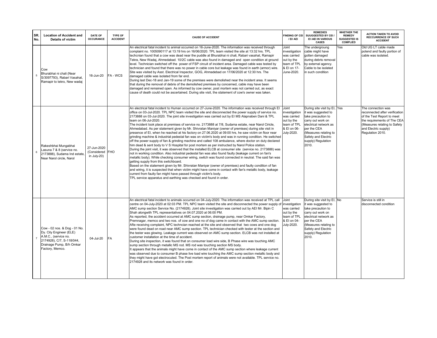| SR.<br>No. | <b>Location of Accident and</b><br><b>Details of victim</b>                                                                                                 | <b>DATE OF</b><br><b>OCCURANCE</b>        | <b>TYPE OF</b><br><b>ACCIDENT</b> | <b>CAUSE OF ACCIDENT</b>                                                                                                                                                                                                                                                                                                                                                                                                                                                                                                                                                                                                                                                                                                                                                                                                                                                                                                                                                                                                                                                                                                                                                                                                                                                                                                                                                                                                                                                                                                                                                                                                                                                                                                                       | <b>FINDING OF CEI</b><br>/ EI/ AEI                                                              | <b>REMEDIES</b><br>SUUGGESTED BY CEI /<br>EI /AEI IN VARIOUS<br><b>CASES</b>                                                                                                                                          | <b>WHETHER THE</b><br><b>REMEDY</b><br><b>SUGGESTED IS</b><br><b>COMPLIED</b> | <b>ACTION TAKEN TO AVOID</b><br><b>RECCURRENCE OF SUCH</b><br><b>ACCIDENT</b>                                                                                                                 |
|------------|-------------------------------------------------------------------------------------------------------------------------------------------------------------|-------------------------------------------|-----------------------------------|------------------------------------------------------------------------------------------------------------------------------------------------------------------------------------------------------------------------------------------------------------------------------------------------------------------------------------------------------------------------------------------------------------------------------------------------------------------------------------------------------------------------------------------------------------------------------------------------------------------------------------------------------------------------------------------------------------------------------------------------------------------------------------------------------------------------------------------------------------------------------------------------------------------------------------------------------------------------------------------------------------------------------------------------------------------------------------------------------------------------------------------------------------------------------------------------------------------------------------------------------------------------------------------------------------------------------------------------------------------------------------------------------------------------------------------------------------------------------------------------------------------------------------------------------------------------------------------------------------------------------------------------------------------------------------------------------------------------------------------------|-------------------------------------------------------------------------------------------------|-----------------------------------------------------------------------------------------------------------------------------------------------------------------------------------------------------------------------|-------------------------------------------------------------------------------|-----------------------------------------------------------------------------------------------------------------------------------------------------------------------------------------------|
| 5          | Cow<br>Bhurabhai ni chali (Near<br>S/3097793), Rabari Vasahat,<br>Ramapir to tekro, New wadaj                                                               | 16-Jun-20                                 | FA-WCS                            | An electrical fatal incident to animal occurred on 16-June-2020. The information was received through<br>complaint no. 1005090117 at 13:19 hrs on 16/06/2020. TPL team visited the site at 13:32 hrs. TPL<br>techcnian found that a cow was dead near the puddle at Bhurabhai ni chali, Rabari vasahat, Ramapir<br>Tekra, New Wadaj, Ahmedabad. 10/2C cable was also found in damaged and open condition at ground<br>level. Technician switched off the power of FSP circuit of incident area. Damaged cable was tested by<br>technician and found that there was no power in cable core but leakage was found in earth (armor) wire.<br>Site was visited by Asst. Electrical Inspector, GOG, Ahmadebad on 17/06/2020 at 12:30 hrs. The<br>damaged cable was isolated from far end.<br>During last Dec-18 and Jan-19 some of the premises were demolished near the incident area. It seems<br>that during the removal of debris of the demolished premises by concerned, cable may have been<br>damaged and remained open. As informed by cow owner, post mortem was not carried out, as exact<br>cause of death could not be ascertained. During site visit, the statement of cow's owner was taken.                                                                                                                                                                                                                                                                                                                                                                                                                                                                                                                                         | Joint<br>investigation<br>was carried<br>out by the<br>team of TPL<br>& El on 17-<br>June-2020. | The undergroung<br>cable might have<br>gotten damaged<br>during debris removal<br>by external agency.<br>Cable to be isolated<br>in such condition                                                                    | Yes                                                                           | Old UG LT cable made<br>potend and faulty portion of<br>cable was isolated.                                                                                                                   |
| 6          | Rakeshbhai Mungabhai<br>Lasuna 7 & 8 (service no.<br>2173888), Sudama Ind estate,<br>Near Narol circle, Narol                                               | 27-Jun-2020<br>(Considered<br>in July-20) | <b>FHO</b>                        | An electrical fatal incident to Human occurred on 27-June-2020. The information was received through EI<br>office on 03-Jul-2020. TPL NPC team visited the site and disconnected the power supply of service no.<br>2173888 on 03-Jul-2020. The joint site investigation was carried out by EI MS Alapnaben Dani & TPL<br>team on 06-Jul-2020.<br>The incident took place at premises of service no. 2173888 at 7/8, Sudama estate, near Narol Ciricle,<br>Ahmedabad. As per statement given by Mr. Shivratan Manivar (owner of premises) during site visit in<br>presence of EI, when he reached at his factory on 27.06.2020 at 09:00 hrs, he saw victim on floor near<br>grinding machine & industrial pedestal fan was on victim's body and was in running condition. He switched<br>off the power supply of fan & grinding machine and called 108 ambulance, where doctor on duty declared<br>him dead & sent body to V S Hospital for post mortem as per instructed by Narol Police station.<br>During the joint visit, it was observed that the installed ELCB at consumer site (service no. 2173888) was<br>not in working condition. Also industrial pedestal fan was also found faulty (leakage current on fan's<br>metallic body). While checking consumer wiring, switch was found connected in neutral. The said fan was<br>getting supply from this switchboard.<br>Based on the statement given by Mr. Shivratan Maniyar (owner of premises) and faulty condition of fan<br>and wiring, it is suspected that when victim might have come in contact with fan's metallic body, leakage<br>current from faulty fan might have passed through victim's body.<br>TPL service apparatus and earthing was checked and found in order. | Joint<br>investigation<br>was carried<br>out by the<br>team of TPL<br>& El on 06-<br>July-2020. | During site visit by EI, Yes<br>it was suggested to<br>take precaution to<br>carry out work on<br>electrical network as<br>per the CEA<br>(Measures relating to<br>Safety and Electric<br>supply) Regulation<br>2010. |                                                                               | The connection was<br>reconnected after verification<br>of the Test Report to meet<br>the requirements of The CEA<br>(Measures relating to Safety<br>and Electric supply)<br>Regulation 2010. |
|            | Cow - 02 nos. & Dog - 01 No.<br>Dy. City Engineer (ELE)<br>A.M.C., (service no.<br>2174928), C/7, S-118/044,<br>Drainage Pump, B/h Omkar<br>Factory, Memco. | 04-Jul-20                                 | <b>FA</b>                         | An electrical fatal incident to animals occurred on 04-July-2020. The information was received at TPL call<br>centre on 04-July-2020 at 02:03 PM. TPL NPC team visited the site and disconnected the power supply of<br>AMC sump section Service No. (2174928). Joint site investigation was carried out by AEI Mr. Bipin C<br>Shah alongwith TPL representatives on 04.07.2020 at 06:00 PM.<br>As reported, the accident occurred at AMC sump section, drainage pump, near Omkar Factory,<br>Premnagar, memco and two nos. of cow and one no of dog came in contact with the AMC sump section.<br>Afte receiving complaint, NPC techncian reached at the site and observed that two cows and one dog<br>were found dead on road near AMC sump section. TPL technician checked with tester at the section and<br>the tester was glowing. Leakage current was observed on AMC sump section. ELCB was not installed at<br>customer installation at the time of accident.<br>During site inspection, it was found that on consumer load wire side, B Phase wire was touching AMC<br>sump section through metallic MS rod. MS rod was touching section MS body.<br>It appears that the animals might have come in contact of the AMC sump section where leakage current<br>was observed due to consumer B phase live load wire touching the AMC sump section metallic body and<br>they might have got electrocuted. The Post mortem report of animals were not available. TPL service no.<br>2174928 and its network was found in order.                                                                                                                                                                                                           | Joint<br>investigation<br>was carried<br>out by the<br>team of TPL<br>& El on 04-<br>July-2020. | During site visit by EI, No<br>it was suggested to<br>take precaution to<br>carry out work on<br>electrical network as<br>per the CEA<br>(Measures relating to<br>Safety and Electric<br>supply) Regulation<br>2010.  |                                                                               | Service is still in<br>disconnected condition                                                                                                                                                 |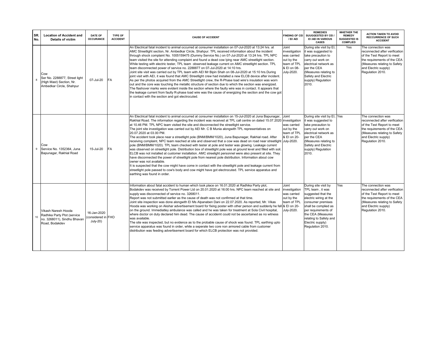| SR.<br>No. | <b>Location of Accident and</b><br><b>Details of victim</b>                                         | <b>DATE OF</b><br><b>OCCURANCE</b>              | <b>TYPE OF</b><br><b>ACCIDENT</b> | <b>CAUSE OF ACCIDENT</b>                                                                                                                                                                                                                                                                                                                                                                                                                                                                                                                                                                                                                                                                                                                                                                                                                                                                                                                                                                                                                                                                                                                                                                                                                                                                                                                                                                                      | <b>FINDING OF CEI</b><br>/ EI/ AEI                                                              | <b>REMEDIES</b><br>SUUGGESTED BY CEI /<br>EI /AEI IN VARIOUS<br><b>CASES</b>                                                                                                                                                                        | <b>WHETHER THE</b><br><b>REMEDY</b><br><b>SUGGESTED IS</b><br><b>COMPLIED</b> | <b>ACTION TAKEN TO AVOID</b><br><b>RECCURRENCE OF SUCH</b><br><b>ACCIDENT</b>                                                                                                                 |
|------------|-----------------------------------------------------------------------------------------------------|-------------------------------------------------|-----------------------------------|---------------------------------------------------------------------------------------------------------------------------------------------------------------------------------------------------------------------------------------------------------------------------------------------------------------------------------------------------------------------------------------------------------------------------------------------------------------------------------------------------------------------------------------------------------------------------------------------------------------------------------------------------------------------------------------------------------------------------------------------------------------------------------------------------------------------------------------------------------------------------------------------------------------------------------------------------------------------------------------------------------------------------------------------------------------------------------------------------------------------------------------------------------------------------------------------------------------------------------------------------------------------------------------------------------------------------------------------------------------------------------------------------------------|-------------------------------------------------------------------------------------------------|-----------------------------------------------------------------------------------------------------------------------------------------------------------------------------------------------------------------------------------------------------|-------------------------------------------------------------------------------|-----------------------------------------------------------------------------------------------------------------------------------------------------------------------------------------------|
| R.         | Cow<br>Ser No. 2288877, Street light<br>(High Mast) Section, Nr.<br>Ambedkar Circle, Shahpur        | 07-Jul-20                                       | <b>FA</b>                         | An Electrical fatal incident to animal occurred at consumer installation on 07-Jul-2020 at 13:24 hrs. at<br>AMC Streetlight section, Nr. Ambedkar Circle, Shahpur. TPL received information about the incident<br>through shock complaint No. 1005159475 (Dummy Service No.) on 07-Jul-2020 at 13:24 hrs. TPL NPC<br>team visited the site for attending complaint and found a dead cow lying near AMC streetlight section.<br>While testing with electric tester, TPL team observed leakage current on AMC streetlight section. TPL<br>team disconnected power of service no. 2288877 on 07-Jul-2020 at 14:10 hrs.<br>Joint site visit was carried out by TPL team with AEI Mr Bipin Shah on 08-Jul-2020 at 15:10 hrs.During<br>joint visit with AEI, it was found that AMC Streetlight crew had installed a new ELCB device after incident.<br>As per the photos acquired from the AMC Streetlight crew, the R-Phase load wire's insulation was worn<br>out and the core was touching the metallic structure of section due to which the section was energized.<br>The flashover marks were evident inside the section where the faulty wire was in contact. It appears that<br>the leakage current from faulty R-phase load wire was the cause of energizing the section and the cow got<br>in contact with the section and got electrocuted.                                                              | Joint<br>investigation<br>was carried<br>out by the<br>team of TPL<br>& El on 08-<br>July-2020. | During site visit by EI,<br>it was suggested to<br>take precaution to<br>carry out work on<br>electrical network as<br>per the CEA<br>(Measures relating to<br>Safety and Electric<br>supply) Regulation<br>2010.                                   | <b>Yes</b>                                                                    | The connection was<br>reconnected after verification<br>of the Test Report to meet<br>the requirements of the CEA<br>(Measures relating to Safety<br>and Electric supply)<br>Regulation 2010. |
| 9          | Cow<br>Service No. 1352364, Juna<br>Bapunagar, Rakhial Road                                         | 15-Jul-20                                       | FA                                | An Electrical fatal incident to animal occurred at consumer installation on 15-Jul-2020 at Juna Bapunagar,<br>Rakhial Road. The information regarding the incident was received at TPL call centre on dated 15.07.2020<br>at 10.46 PM. TPL NPC team visited the site and disconnected the streetlight service.<br>The joint site investigation was carried out by AEI Mr. C B Munia alongwith TPL representatives on<br>20.07.2020 at 03.00 PM.<br>The accident took place near a streetlight pole (BNM/BMM/1020), Juna Bapunagar, Rakhial road. After<br>receiving complaint, NPC team reached at site and observed that a cow was dead on road near streetlight July-2020.<br>pole (BNM/BMM/1020). TPL team checked with tester at pole and tester was glowing. Leakage current<br>was observed on streetlight pole. Distribution box of streetlight pole was at ground level and filled with soil.<br>ELCB was not installed at customer installation. AMC streelight personnel were also present at site. They<br>have disconnected the power of streetlight pole from nearest pole distribution. Information about cow<br>owner was not available.<br>It is suspected that the cow might have come in contact with the streetlight pole and leakage current from<br>streetlight pole passed to cow's body and cow might have got electrocuted. TPL service apparatus and<br>earthing was found in order. | Joint<br>investigation<br>was carried<br>out by the<br>team of TPL<br>& El on 20-               | During site visit by EI, Yes<br>it was suggested to<br>take precaution to<br>carry out work on<br>electrical network as<br>per the CEA<br>(Measures relating to<br>Safety and Electric<br>supply) Regulation<br>2010.                               |                                                                               | The connection was<br>reconnected after verification<br>of the Test Report to meet<br>the requirements of the CEA<br>(Measures relating to Safety<br>and Electric supply)<br>Regulation 2010. |
| 10         | Vikash Naresh Hooda<br>Radhika Party Plot (service<br>no. 3268011), Sindhu Bhavan<br>Road, Bodakdev | 16-Jan-2020<br>(considered in FHO<br>$July-20)$ |                                   | Information about fatal accident to human which took place on 16.01.2020 at Radhika Party plot,<br>Bodakdev was received by Torrent Power Ltd on 20.01.2020 at 16:00 hrs. NPC team reached at site and<br>supply was disconnected of service no. 3268011.<br>Report was not submitted earlier as the cause of death was not confirmed at that time.<br>Joint site inspection was done alongwith EI Ms Alpanaben Dani on 22.07.2020. As reported, Mr. Vikas<br>Hooda was working on Akshar advertisement board for fixing poster with other person and suddenly he fell & El on 20-<br>on the ground. Immediatley ambulance was called and he was taken for treatment at Sola Civil hospital,<br>where doctor on duty declared him dead. The cause of accidemt could not be ascertained as no witness<br>was available.<br>The site was inspected, but no evidence as to the probable cause of shock was found. TPL earthing upto<br>service apparatus was found in order, while a seperate two core non armored cable from customer<br>distribution was feeding advertisement board for which ELCB protection was not provided.                                                                                                                                                                                                                                                                               | Joint<br>investigation<br>was carried<br>out by the<br>team of TPL<br>July-2020.                | During site visit by<br>TPL team, it was<br>suggested that the<br>electric wiring at the<br>consumer premises<br>shall be complied as<br>per requirements of<br>the CEA (Measures<br>relating to Safety and<br>Electric supply)<br>Regulation 2010. | Yes                                                                           | The connection was<br>reconnected after verification<br>of the Test Report to meet<br>the requirements of the CEA<br>(Measures relating to Safety<br>and Electric supply)<br>Regulation 2010. |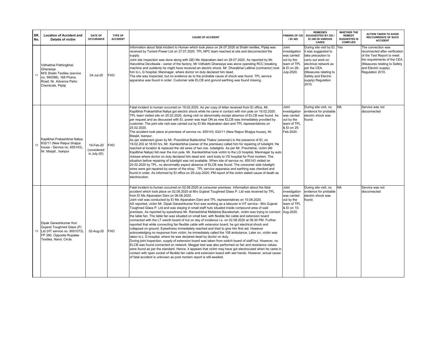| SR.<br>No. | <b>Location of Accident and</b><br><b>Details of victim</b>                                                                                   | <b>DATE OF</b><br><b>OCCURANCE</b>      | TYPE OF<br><b>ACCIDENT</b> | <b>CAUSE OF ACCIDENT</b>                                                                                                                                                                                                                                                                                                                                                                                                                                                                                                                                                                                                                                                                                                                                                                                                                                                                                                                                                                                                                                                                                                                                                                                                                                                                                                                                                                                                                                                                                                                                                                                                                                                                                                                                                                         | <b>FINDING OF CEI</b><br>/ EI/ AEI                                                              | <b>REMEDIES</b><br>SUUGGESTED BY CEI /<br>EI /AEI IN VARIOUS<br><b>CASES</b>                                                                                                                                          | <b>WHETHER THE</b><br><b>REMEDY</b><br><b>SUGGESTED IS</b><br><b>COMPLIED</b> | <b>ACTION TAKEN TO AVOID</b><br><b>RECCURRENCE OF SUCH</b><br><b>ACCIDENT</b>                                                                                                                 |
|------------|-----------------------------------------------------------------------------------------------------------------------------------------------|-----------------------------------------|----------------------------|--------------------------------------------------------------------------------------------------------------------------------------------------------------------------------------------------------------------------------------------------------------------------------------------------------------------------------------------------------------------------------------------------------------------------------------------------------------------------------------------------------------------------------------------------------------------------------------------------------------------------------------------------------------------------------------------------------------------------------------------------------------------------------------------------------------------------------------------------------------------------------------------------------------------------------------------------------------------------------------------------------------------------------------------------------------------------------------------------------------------------------------------------------------------------------------------------------------------------------------------------------------------------------------------------------------------------------------------------------------------------------------------------------------------------------------------------------------------------------------------------------------------------------------------------------------------------------------------------------------------------------------------------------------------------------------------------------------------------------------------------------------------------------------------------|-------------------------------------------------------------------------------------------------|-----------------------------------------------------------------------------------------------------------------------------------------------------------------------------------------------------------------------|-------------------------------------------------------------------------------|-----------------------------------------------------------------------------------------------------------------------------------------------------------------------------------------------|
| 11         | Vidhabhai Pathingbhai<br>Gharasiya<br>M/S Shalin Textiles (service<br>no. 590398), 168 Pirana<br>Road, Nr. Advance Petro<br>Chemicals, Piplai | 24-Jul-20                               | <b>FHO</b>                 | Information about fatal inicdent to Human which took place on 24.07.2020 at Shalin textiles, Piplaj was<br>received by Torrent Power Ltd on 27.07.2020. TPL NPC team reached at site and disconnected the<br>supply.<br>Joint site inspection was done along with GEI Ms Alpanaben dani on 29.07.2020. As reported by Mr.<br>Harunbhai Devdiwala - owner of the factory, Mr Vidhabhi Gharasiya was alone operating RCC breaking<br>machine and suddenly he might have received an electric shock. Mr. Dhanjibhai Lalbhai (contractor) took<br>him to L G hospital, Maninagar, where doctor on duty declared him dead.<br>The site was inspected, but no evidence as to the probable cause of shock was found. TPL service<br>apparatus was found in order. Customer side ELCB and gorund earthing was found missing.                                                                                                                                                                                                                                                                                                                                                                                                                                                                                                                                                                                                                                                                                                                                                                                                                                                                                                                                                                             | Joint<br>investigation<br>was carried<br>out by the<br>team of TPL<br>& El on 29-<br>July-2020. | During site visit by EI, Yes<br>it was suggested to<br>take precaution to<br>carry out work on<br>electrical network as<br>per the CEA<br>(Measures relating to<br>Safety and Electric<br>supply) Regulation<br>2010. |                                                                               | The connection was<br>reconnected after verification<br>of the Test Report to meet<br>the requirements of the CEA<br>(Measures relating to Safety<br>and Electric supply)<br>Regulation 2010. |
| 12         | Kapilbhai Prakashbhai Naliya<br>632/11 (New Raipur bhajiya<br>house - Service no. 655143),<br>Nr. Masjid, Isanpur                             | 19-Feb-20<br>(considered<br>in July-20) | <b>FHO</b>                 | Fatal incident to human occurred on 19.02.2020. As per copy of letter received from EI office, Mr.<br>Kapilbhai Prakashbhai Naliya got electric shock while he came in contact with iron pole on 19.02.2020.<br>TPL team visited site on 20.02.2020, during visit no abnormality except absence of ELCB was found. As<br>per request and as discussed with EI, power was kept ON as new ELCB was immediately provided by<br>customer. The joint site visit was carried out by EI Ms Alpanaben dani and TPL representatives on<br>25.02.2020.<br>The accident took place at premises of service no. 655143, 632/11 (New Raipur Bhajiya house), Nr.<br>Masjid, Isanpur.<br>As per statement given by Mr. Pravinbhai Baldevbhai Thakor (wireman) in the presence of EI, on<br>19.02.202 at 18:00 hrs, Mr. Kamleshbhai (owner of the premises) called him for repairing of tubelight. He<br>reached at location & replaced the old wires of two nos. tubelights. As per Mr. Pravinbhai, victim (Mr<br>Kapilbhai Naliya) fell near the iron pole. Mr. Kamleshbhai took victim to the LG hospital, Maninagar by auto<br>ricksaw where doctor on duty declared him dead and sent body to VS hospital for Post mortem. The<br>situation before repairing of tubelight was not available. When site of service no. 655143 visited on<br>20.02.2020 by TPL, no abnormality expect absence of ELCB was found. The consumer side tubelight<br>wires were got repaired by owner of the shop. TPL service apparatus and earthing was checked and<br>found in order. As informed by El office on 29-July-2020, PM report of the victim stated cause of death as<br>electrocution.                                                                                                                               | Joint<br>investigation<br>was carried<br>out by the<br>team of TPL<br>& El on 25-<br>Feb-2020.  | During site visit, no<br>evidence for probable<br>electric shock was<br>found.                                                                                                                                        | <b>NA</b>                                                                     | Service was not<br>disconnected                                                                                                                                                               |
| 13         | Dipak Ganeshkumar Kori<br>Gujarat Toughned Glass (P)<br>Ltd (HT service no. 8001073),<br>FP 280, Opposite Rupalee<br>Textiles, Narol, Circle. | 02-Aug-20                               | <b>FHO</b>                 | Fatal incident to human occurred on 02.08.2020 at consumer premises. Information about the fatal<br>accident which took place on 02.08.2020 at M/s Gujarat Toughned Glass P. Ltd was received by TPL<br>from El Ms Alpanaben Dani on 06.08.2020.<br>Joint visit was conducted by EI Ms Alpanaben Dani and TPL representatives on 10.08.2020.<br>AS reported, victim Mr. Dipak Ganeshkumar Kori was working as a labourer in HT service - M/s Gujarat<br>Toughned Glass P. Ltd and was staying in small staff huts situated inside compound area of said<br>premises. As reported by eyewitness Mr. Rameshbhai Mafabhai Baveleshah, victim was trying to connect  Aug-2020.<br>the table fan. The table fan was situated on small bed, with flexible fan cable and extension board<br>connected with the LT swicth board of hut on day of incidence i.e. on 02.08.2020 at 09:30 PM. Further<br>reported that while connecting fan flexible cable with extension board, he got electrical shock and<br>collapsed on ground. Eyewitness immediately reached and tried to give him first aid. However<br>acknowledging no response from victim, he immediately called the 108 ambulance. Later on, victim was<br>taken to L G hospital, where he was declared dead by doctor on duty.<br>During joint inspection, supply of extension board was taken from switch board of staff hut. However, no<br>ELCB was found connected on network. Meggar test was also performed on fan and resistance values<br>were found as per the standard. Hence, it appears that victim may have got electrocuted when he came in<br>contact with open socket of flexible fan cable and extension board with wet hands. However, actual cause<br>of fatal accident is unknown as post mortem report is still awaited. | Joint<br>investigation<br>was carried<br>out by the<br>team of TPL<br>& El on 10-               | During site visit, no<br>evidence for probable<br>electric shock was<br>found.                                                                                                                                        | NA.                                                                           | Service was not<br>disconnected                                                                                                                                                               |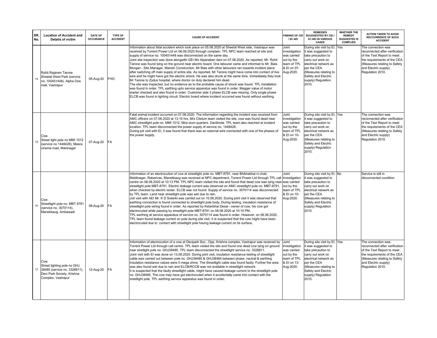| SR.<br>No. | <b>Location of Accident and</b><br><b>Details of victim</b>                                                            | <b>DATE OF</b><br><b>OCCURANCE</b> | TYPE OF<br><b>ACCIDENT</b> | <b>CAUSE OF ACCIDENT</b>                                                                                                                                                                                                                                                                                                                                                                                                                                                                                                                                                                                                                                                                                                                                                                                                                                                                                                                                                                                                                                                                                                                                                                                                                                                                                                                  | <b>FINDING OF CEI</b><br>/ EI/ AEI                                                             | <b>REMEDIES</b><br>SUUGGESTED BY CEI /<br>EI /AEI IN VARIOUS<br><b>CASES</b>                                                                                                                                          | WHETHER THE<br><b>REMEDY</b><br><b>SUGGESTED IS</b><br><b>COMPLIED</b> | <b>ACTION TAKEN TO AVOID</b><br><b>RECCURRENCE OF SUCH</b><br><b>ACCIDENT</b>                                                                                                                 |
|------------|------------------------------------------------------------------------------------------------------------------------|------------------------------------|----------------------------|-------------------------------------------------------------------------------------------------------------------------------------------------------------------------------------------------------------------------------------------------------------------------------------------------------------------------------------------------------------------------------------------------------------------------------------------------------------------------------------------------------------------------------------------------------------------------------------------------------------------------------------------------------------------------------------------------------------------------------------------------------------------------------------------------------------------------------------------------------------------------------------------------------------------------------------------------------------------------------------------------------------------------------------------------------------------------------------------------------------------------------------------------------------------------------------------------------------------------------------------------------------------------------------------------------------------------------------------|------------------------------------------------------------------------------------------------|-----------------------------------------------------------------------------------------------------------------------------------------------------------------------------------------------------------------------|------------------------------------------------------------------------|-----------------------------------------------------------------------------------------------------------------------------------------------------------------------------------------------|
|            | Rohit Rajaram Tarone<br>Sheetal West Park (service<br>no. 100451448), Alpha One<br>mall. Vastrapur                     | 05-Aug-20                          | <b>FHO</b>                 | Information about fatal accident which took place on 05.08.2020 at Sheetal West side, Vastrapur was<br>received by Torrent Power Ltd on 06.08.2020 through complain. TPL NPC team reached at site and<br>supply of service no. 100451448 was disconnected on the same day.<br>Joint site inspection was done alongwith GEI Ms Alpanaben dani on 07.08.2020. As reported, Mr. Rohit<br>Tarone was found lying on the gorund near electric board. One labourer came and informed to Mr. Bala<br>Murgan - Site Manager, Manish Construction. Mr Bala with other labourers ran towards incident place<br>after switching off main supply of entire site. As reported, Mr Tarone might have come into contact of live<br>wire and he might have got the electric shock. He was also drunk at the same time. Immediately they took<br>Mr Tarone to Zydus hospital, where doctor on duty declared him dead.<br>The site was inspected, but no evidence as to the probable cause of shock was found. TPL installation<br>was found in order. TPL earthing upto service apparatus was found in order. Megger value of motor<br>starter checked and also found in order. Customer side 3 phase ELCB was missing. Only single phase<br>ELCB was found in lighting circuit. Electric board where incident occurred was found without earthing.        | Joint<br>investigation<br>was carried<br>out by the<br>team of TPL<br>& El on 07-<br>Aug-2020. | During site visit by EI,<br>it was suggested to<br>take precaution to<br>carry out work on<br>electrical network as<br>per the CEA<br>(Measures relating to<br>Safety and Electric<br>supply) Regulation<br>2010.     | Yes                                                                    | The connection was<br>reconnected after verification<br>of the Test Report to meet<br>the requirements of the CEA<br>(Measures relating to Safety<br>and Electric supply)<br>Regulation 2010. |
| 15         | Cow<br>Street light pole no MMI 1012<br>(service no 1448428), Meera<br>cinema road, Maninagar                          | 07-Aug-20                          | <b>FA</b>                  | Fatal animal incident occurred on 07.08.2020. The information regarding the incident was received from<br>AMC officers on 07.08.2020 at 13:15 hrs. M/s Citelum team visited the site, cow was found dead near<br>AMC streetlight pole no. MMI 1012, Mira slum quarters, Danilimda. TPL team also reached at incident<br>location. TPL team disconnected the power supply of service no. 1448428.<br>During joit visit with EI, it was found that there was an external wire connected with one of the phases of<br>the power supply.                                                                                                                                                                                                                                                                                                                                                                                                                                                                                                                                                                                                                                                                                                                                                                                                      | Joint<br>investigation<br>was carried<br>out by the<br>team of TPL<br>& El on 10-<br>Aug-2020. | During site visit by EI, Yes<br>it was suggested to<br>take precaution to<br>carry out work on<br>electrical network as<br>per the CEA<br>(Measures relating to<br>Safety and Electric<br>supply) Regulation<br>2010. |                                                                        | The connection was<br>reconnected after verification<br>of the Test Report to meet<br>the requirements of the CEA<br>(Measures relating to Safety<br>and Electric supply)<br>Regulation 2010. |
| 16         | Cow<br>Streetlight pole no. MBT 8791<br>(service no. 3070114),<br>Manekbaug, Ambawadi                                  | 08-Aug-20                          | <b>FA</b>                  | Information of an electrocution of cow at streetlight pole no. MBT-8791, near Bhikhabhai ni chali,<br>Meldinagar, Rabarivas, Manekbaug was received at NPC department, Torrent Power Ltd through TPL call<br>centre on 08.08.2020 at 10:13 PM. TPL NPC team visited the site and found that dead cow was lying near<br>streetlight pole MBT-8791. Electric leakage current was observed on AMC streetlight pole no. MBT-8791,<br>when checked by electric tester. ELCB was not found. Supply of service no. 3070114 was disconnected<br>by TPL team. Land near streetlight pole was wet due to rain.<br>Joit visit with AEI Mr. K D Solanki was carried out on 10.08.2020. During joint visit it was observed that<br>earthing connection is found connected to streetlight pole body. During testing, insulation resistance of<br>streetlight pole wiring found in order. As reported by Ketanbhai Desai - owner of cow, his cow got<br>electrocuted while passing by streetlight pole MBT-8791 on 08.08.2020 at 10:10 PM.<br>TPL earthing at service apparatus of service no. 3070114 was found in order. However, on 08.08.2020,<br>TPL team found leakage current on pole during site visit. It is suspected that the cow might have been<br>electrocuted due to contact with streetlight pole having leakage current on its surface. | Joint<br>investigation<br>was carried<br>out by the<br>team of TPL<br>& El on 10-<br>Aug-2020. | During site visit by EI, No<br>it was suggested to<br>take precaution to<br>carry out work on<br>electrical network as<br>per the CEA<br>(Measures relating to<br>Safety and Electric<br>supply) Regulation<br>2010.  |                                                                        | Service is still in<br>disconnected condition                                                                                                                                                 |
| 17         | Cow<br>Street lighting pole no GHJ<br>38485 (service no. 3328811),<br>Devi Park Society, Krishna<br>Complex, Vastrapur | 12-Aug-20                          | <b>FA</b>                  | Information of electrocution of a cow at Devipark Soc., Opp. Krishna complex, Vastrapur was received by<br>Torrent Power Ltd through call centre. TPL team visited the site and found one dead cow lying on ground<br>near stretlight pole no. GHJ38485. TPL team disconnected the streetlight service no. 3328811.<br>Joint visit with EI was done on 13.08.2020. During joint visit, insulation resistance testing of streetlight<br>cable was carried out between pole no. GHJ38485 & GHJ38484 between phase, neutral & earthing.<br>Insulation resistance values were 0 mega ohms. The Streetlight cable was found faulty. Further the area<br>was also found wet due to rain and ELCB/RCCB was not available in streetlight network.<br>It is suspected that the faulty streetlight cable, might have caused leakage current to the streetlight pole<br>no. GHJ38485. The cow may have got electrocuted when it accidentally came into contact with the<br>sreetlight pole. TPL earthing service apparatus was found in order.                                                                                                                                                                                                                                                                                                       | Joint<br>investigation<br>was carried<br>out by the<br>team of TPL<br>& El on 13-<br>Aug-2020. | During site visit by EI, Yes<br>it was suggested to<br>take precaution to<br>carry out work on<br>electrical network as<br>per the CEA<br>(Measures relating to<br>Safety and Electric<br>supply) Regulation<br>2010. |                                                                        | The connection was<br>reconnected after verification<br>of the Test Report to meet<br>the requirements of the CEA<br>(Measures relating to Safety<br>and Electric supply)<br>Regulation 2010. |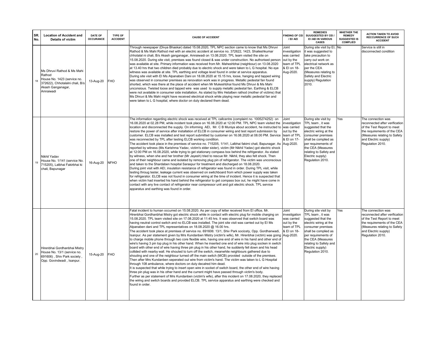| SR.<br>No. | <b>Location of Accident and</b><br><b>Details of victim</b>                                                                              | <b>DATE OF</b><br><b>OCCURANCE</b> | TYPE OF<br><b>ACCIDENT</b> | <b>CAUSE OF ACCIDENT</b>                                                                                                                                                                                                                                                                                                                                                                                                                                                                                                                                                                                                                                                                                                                                                                                                                                                                                                                                                                                                                                                                                                                                                                                                                                                                                                                                                                                                                                                                                                                                                                                                                                                                                                                                                                                                                                                                                                   | <b>FINDING OF CEI</b><br>/ EI/ AEI                                                             | <b>REMEDIES</b><br>SUUGGESTED BY CEI /<br>EI / AEI IN VARIOUS<br><b>CASES</b>                                                                                                                                                                       | <b>WHETHER THE</b><br><b>REMEDY</b><br><b>SUGGESTED IS</b><br><b>COMPLIED</b> | <b>ACTION TAKEN TO AVOID</b><br><b>RECCURRENCE OF SUCH</b><br><b>ACCIDENT</b>                                                                                                                 |
|------------|------------------------------------------------------------------------------------------------------------------------------------------|------------------------------------|----------------------------|----------------------------------------------------------------------------------------------------------------------------------------------------------------------------------------------------------------------------------------------------------------------------------------------------------------------------------------------------------------------------------------------------------------------------------------------------------------------------------------------------------------------------------------------------------------------------------------------------------------------------------------------------------------------------------------------------------------------------------------------------------------------------------------------------------------------------------------------------------------------------------------------------------------------------------------------------------------------------------------------------------------------------------------------------------------------------------------------------------------------------------------------------------------------------------------------------------------------------------------------------------------------------------------------------------------------------------------------------------------------------------------------------------------------------------------------------------------------------------------------------------------------------------------------------------------------------------------------------------------------------------------------------------------------------------------------------------------------------------------------------------------------------------------------------------------------------------------------------------------------------------------------------------------------------|------------------------------------------------------------------------------------------------|-----------------------------------------------------------------------------------------------------------------------------------------------------------------------------------------------------------------------------------------------------|-------------------------------------------------------------------------------|-----------------------------------------------------------------------------------------------------------------------------------------------------------------------------------------------|
| 18         | Ms Dhruvi Rathod & Ms Mahi<br>Rathod<br>House No. 1423 (service no.<br>372622), Chhotalalni chali, B/s<br>Akash Ganganagar,<br>Amraiwadi | 13-Aug-20                          | <b>FHO</b>                 | Through newspaper (Divya Bhaskar) dated 15.08.2020, TPL NPC section came to know that Ms Dhruvi<br>Rathod & Ms Mahi Rathod met with an electric accident at service no. 372622, 1423, Shaileshkumar<br>chhotalal ni chali, B/s Akash ganganagar, Amraiwadi on 13.08.2020. TPL team visited the site on<br>15.08.2020. During site visit, premises was found closed & was under construction. No authorised person<br>was available at site. Primary information was received from Mr. Maheshbhai (neighbour) on 13.08.2020<br>at 13.40 hrs that two children died probably due to electric shock and were taken to L G hospital. No eye<br>witness was available at site. TPL earthing and voltage level found in order at service apparatus.<br>During site visit with EI Ms Alpanaben Dani on 18.08.2020 at 15.15 hrs, loose, hanging and tapped wiring<br>was observed in consumer premises as renovation work was in progress. Metallic pedestal fan found<br>shorted, which was there at the place of accident when Mr Mukeshbhai found Ms Dhruvi & Ms Mahi<br>unconsious. Twisted loose and tapped wire was used to supply metallic pedestal fan. Earthing & ELCB<br>were not available in consumer side installation. As stated by Mrs Hetalben rathod (mother of victims) that<br>Ms Dhruvi & Ms Mahi might have received electrical shock while playing near metallic pedestal fan and<br>were taken to L G hospital, where doctor on duty declared them dead.                                                                                                                                                                                                                                                                                                                                                                                                                                                    | Joint<br>investigation<br>was carried<br>out by the<br>team of TPL<br>& El on 18-<br>Aug-2020. | During site visit by EI, No<br>it was suggested to<br>take precaution to<br>carry out work on<br>electrical network as<br>per the CEA<br>(Measures relating to<br>Safety and Electric<br>supply) Regulation<br>2010.                                |                                                                               | Service is still in<br>disconnected condition                                                                                                                                                 |
| 19         | Nikhil Yadav<br>House No. 1/141 (service No.<br>715205), Lalbhai Fakirbhai ki<br>chali, Bapunagar                                        | 16-Aug-20                          | <b>NFHO</b>                | The information regarding electric shock was received at TPL callcentre (complaint no. 1005274252) on<br>16.08.2020 at 02.28 PM, while incident took place on 16.08.2020 at 12:00 PM. TPL NPC team visited the<br>location and disconnected the supply. On informing AEI, Mr. C B Muniya about accident, he instructed to<br>restore the power of service after installation of ELCB in consumer wiring and test report submission by<br>customer. ELCB was installed and test report submitted by customer on 16.08.2020 at 08.00 PM. Service<br>was reconnected by TPL after testing ELCB working condition.<br>The accident took place in the premises of service no. 715205, 1/141, Lalbhai fakirni chali, Bapunagar. As Aug-2020.<br>reported by witness (Ms Karishma Yadav, victim's elder sister), victim (Mr Nikhil Yadav) got electric shock<br>at 12:00 PM on 16.08.2020, while trying to get stationary compass box behind the refrigerator. As stated<br>by witness, when she and her brother (Mr Jayesh) tried to rescue Mr. Nikhil, they also felt shock. Then<br>one of their neighbour came and isolated by removing plug pin of refrigerator. The victim was unconscious<br>and taken to the Shardaben hospital Saraspur for treatment and discharged on 18.08.2020.<br>During joint visit with AEI, insulation resistance of refrigerator was found in order. During TPL visit, while<br>testing throug tester, leakage current was observed on switchboard from which power supply was taken<br>for refrigerator. ELCB was not found in consumer wiring at the time of incident. Hence it is suspected that<br>when victim had inserted his hand behind the refrigerator to get compass box out, he might have come in<br>contact with any live contact of refrigerator near compressor unit and got electric shock. TPL service<br>apparatus and earthing was found in order.                          | Joint<br>investigation<br>was carried<br>out by the<br>team of TPL<br>& El on 17-              | During site visit by<br>TPL team, it was<br>suggested that the<br>electric wiring at the<br>consumer premises<br>shall be complied as<br>per requirements of<br>the CEA (Measures<br>relating to Safety and<br>Electric supply)<br>Regulation 2010. | Yes                                                                           | The connection was<br>reconnected after verification<br>of the Test Report to meet<br>the requirements of the CEA<br>(Measures relating to Safety<br>and Electric supply)<br>Regulation 2010. |
| 20         | Hirenbhai Gordhanbhai Mistry<br>House No. 13/1 (service no.<br>691606), Shiv Park society,<br>Opp. Govindwadi, Isanpur.                  | 15-Aug-20                          | <b>FHO</b>                 | Fatal incident to human occurred on 15.08.2020. As per copy of letter received from EI office, Mr.<br>Hirenbhai Gordhanbhai Mistry got electric shock while in contact with electric plug for mobile charging on<br>15.08.2020. TPL team visited site on 17.08.2020 at 11:45 hrs. It was observed that switch board was<br>having neutral control switch and no ELCB was installed. The joint site visit was carried out by El Ms<br>Alpanaben dani and TPL representatives on 18.08.2020 @ 16.00 hrs.<br>The accident took place at premises of service no. 691606: 13/1, Shiv Park socicety, Opp. Gordhanwadi,<br>Isanpur. As per statement given by Mrs Kundanben Mistry (victim's wife), Mr. Hirenbhai (victim) was going<br>to charge mobile phone through two core flexible wire, having one end of wire in his hand and other end of<br>wire's having 3 pin top plug in his other hand. When he inserted one end of wire into plug socken in switch<br>board with other end of wire having three pin plug in his other hand, he suddenly fell down and his head<br>collided with nearby wall. He shouted to turn off the switch, meanwhile neighbours gathered due to<br>shouting and one of the neighbour turned off the main switch (MCB) provided outside of the premises.<br>Then after Mrs Kundanben seperated out wire from victim's hand. The victim was taken to L G Hospital<br>through 108 ambulance, where doctors on duty decalred him dead.<br>It is suspected that while trying to insert open wire in socket of switch board, the other end of wire having<br>three pin plug was in his other hand and the current might have passed through victim's body.<br>Further as per statement of Mrs Kundanben (victim's wife), after this incident on 17.08.2020, they replaced<br>the wiring and switch boards and provided ELCB. TPL service apparatus and earthing were checked and<br>found in order. | Joint<br>investigation<br>was carried<br>out by the<br>team of TPL<br>& El on 18-<br>Aug-2020. | During site visit by<br>TPL team, it was<br>suggested that the<br>electric wiring at the<br>consumer premises<br>shall be complied as<br>per requirements of<br>the CEA (Measures<br>relating to Safety and<br>Electric supply)<br>Regulation 2010. | Yes                                                                           | The connection was<br>reconnected after verification<br>of the Test Report to meet<br>the requirements of the CEA<br>(Measures relating to Safety<br>and Electric supply)<br>Regulation 2010. |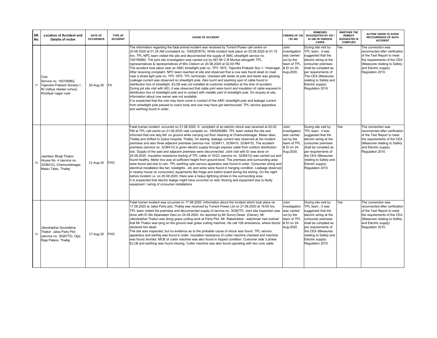| SR.<br>No. | <b>Location of Accident and</b><br>Details of victim                                                             | <b>DATE OF</b><br><b>OCCURANCE</b> | <b>TYPE OF</b><br><b>ACCIDENT</b> | <b>CAUSE OF ACCIDENT</b>                                                                                                                                                                                                                                                                                                                                                                                                                                                                                                                                                                                                                                                                                                                                                                                                                                                                                                                                                                                                                                                                                                                                                                                                                                                                                                                                                                                                                                                                                                                                                   | <b>FINDING OF CEI</b><br>/ EI/ AEI                                                             | <b>REMEDIES</b><br>SUUGGESTED BY CEI /<br>EI /AEI IN VARIOUS<br><b>CASES</b>                                                                                                                                                                        | <b>WHETHER THE</b><br><b>REMEDY</b><br><b>SUGGESTED IS</b><br><b>COMPLIED</b> | <b>ACTION TAKEN TO AVOID</b><br><b>RECCURRENCE OF SUCH</b><br><b>ACCIDENT</b>                                                                                                                 |
|------------|------------------------------------------------------------------------------------------------------------------|------------------------------------|-----------------------------------|----------------------------------------------------------------------------------------------------------------------------------------------------------------------------------------------------------------------------------------------------------------------------------------------------------------------------------------------------------------------------------------------------------------------------------------------------------------------------------------------------------------------------------------------------------------------------------------------------------------------------------------------------------------------------------------------------------------------------------------------------------------------------------------------------------------------------------------------------------------------------------------------------------------------------------------------------------------------------------------------------------------------------------------------------------------------------------------------------------------------------------------------------------------------------------------------------------------------------------------------------------------------------------------------------------------------------------------------------------------------------------------------------------------------------------------------------------------------------------------------------------------------------------------------------------------------------|------------------------------------------------------------------------------------------------|-----------------------------------------------------------------------------------------------------------------------------------------------------------------------------------------------------------------------------------------------------|-------------------------------------------------------------------------------|-----------------------------------------------------------------------------------------------------------------------------------------------------------------------------------------------|
| 21         | Cow<br>Service no. 100195882.<br>Tejendra Prakash Society-1<br>Nr. Vidhya niketan school,<br>Khodiyar nagar road | 20-Aug-20                          | <b>FA</b>                         | The information regarding the fatal animal incident was received by Torrent Power call centre on<br>20.08.2020 at 01.25 AM (compliant no. 1005287875). While incident took place on 20.08.2020 at 01:15<br>Am, TPL NPC team visited the site and disconnected the supply of AMC streetlight service no.<br>100195882. The joint site investigation was carried out by AEI Mr C B Muniya alongwith TPL<br>representatives & representatives of M/s Citelum on 20.08.2020 at 02.00 PM.<br>The accident took place near an AMC streetlight pole no. TPV 1875, Tejendra Prakash Soc-1, Viratnagar.<br>After receiving complaint, NPC team reached at site and observed that a cow was found dead on road<br>near a street light pole no. TPV 1875. TPL technician checked with tester at pole and tester was glowing.<br>Leakage current was observed on streetlight pole. Also burnt and sparking spot of cable found in<br>distribution box of streetlight. ELCB was not installed at customer installation at the time of accident.<br>During joit site visit with AEI, it was observed that cable joint were burnt and insulation of cable exposed in<br>distribution box of streetlight pole and in contact with metallic part of streetlight pole. On enguiry at site,<br>information about cow owner was not available.<br>It is suspected that the cow may have come in contact of the AMC streetlight pole and leakage current<br>from streetlight pole passed to cow's body and cow may have got electrocuted. TPL service apparatus<br>and earthing found in order. | Joint<br>investigation<br>was carried<br>out by the<br>team of TPL<br>& El on 20-<br>Aug-2020. | During site visit by<br>TPL team, it was<br>suggested that the<br>electric wiring at the<br>consumer premises<br>shall be complied as<br>per requirements of<br>The CEA (Measures<br>relating to Safety and<br>Electric supply)<br>Regulation 2010. | Yes                                                                           | The connection was<br>reconnected after verification<br>of the Test Report to meet<br>the requirements of the CEA<br>(Measures relating to Safety<br>and Electric supply)<br>Regulation 2010. |
| 22         | Jashiben Bhaiii Thakor<br>House No. 4 (service no.<br>3236412), Chamundanagar,<br>Malav Talav, Thaltej           | 21-Aug-20                          | <b>FHO</b>                        | Fatal human incident occurred on 21.08.2020. A complaint of an electric shock was received at 02.03<br>PM at TPL call centre on 21.08.2020 vide complain no. 1005292880. TPL team visited the site and<br>informed that one lady fell on ground while carrying out floor cleaning at Chamundanagar, Malav talav,<br>Thaltej and shifted to Zydus hospital, Thaltej. On testing, leakage current was observed at the incident<br>premises and also three adjacent premises (service nos. 3236411, 3236410, 3236415). The accident<br>premises (service no. 3236412) is given electric supply through express cable from outdoor distribution<br>box. Supply of the said and adjacent premises were disconnected. Joint visit with EI was done on<br>24.08.2020. Insulation resistance testing of TPL cable of 10/2C (service no. 3236412) was carried out and<br>found healthy. Meter box was at sufficient height from ground level. The premises and surrounding area<br>were found wet due to rain. TPL earthing upto service apparatus was found in order. Consumer wiring and<br>electrical installation like fan, tubelights, etc and wires were found in hanging condition. Leakage observed<br>in nearby house on consumers' equipments like fridge and switch board during the testing. On the night<br>before incident i.e. on 20.08.2020, there was a heavy lightning stroke in the surrounding area.<br>It is suspected that electric leakge might have occurred on wall, flooring and equipment due to faulty<br>equipment / wiring of consumer installations  | Joint<br>investigation<br>was carried<br>out by the<br>team of TPL<br>& El on 24-<br>Aug-2020. | During site visit by<br>TPL team, it was<br>suggested that the<br>electric wiring at the<br>consumer premises<br>shall be complied as<br>per requirements of<br>the CEA (Measures<br>relating to Safety and<br>Electric supply)<br>Regulation 2010. | Yes                                                                           | The connection was<br>reconnected after verification<br>of the Test Report to meet<br>the requirements of the CEA<br>(Measures relating to Safety<br>and Electric supply)<br>Regulation 2010. |
| 23         | Jitendrabhai Govindbhai<br>Thakor Jalsa Party Plot<br>(service no. 3026775), Opp.<br>Raja Palace, Thaltej        | 17-Aug-20                          | <b>FHO</b>                        | Fatal human incident was occurred on 17.08.2020. Information about the incident which took place on<br>17.08.2020 at Jalsa Party plot, Thaltej was received by Torrent Power Ltd on 21.08.2020 at 16:00 hrs.<br>TPL team visited the premises and disconnected supply of service no. 3026775. Joint site inspection was<br>done with EI Ms Alpanaben Dani on 24.08.2020. As reported by Mr Sunny Desai (Owner), Mr.<br>Jitendrabhai Thakor was doing grass cutting work at Party Plot. Mr. Rakeshbhai - watchman had noticed<br>that Mr Thakor was lying on the ground near grass cutting machine. He call 108 ambulance, where doctor<br>declared him dead.<br>The site was inspected, but no evidence as to the probable cause of shock was found. TPL service<br>apparatus and earthig was found in order. Insulation resistance of cutter machine checked and machine<br>was found shorted. MCB of cutter machine was also found in tripped condition. Customer side 3 phase<br>ELCB and earthing was found missing. Cutter machine was also found operating with two core cable.                                                                                                                                                                                                                                                                                                                                                                                                                                                                                      | Joint<br>investigation<br>was carried<br>out by the<br>team of TPL<br>& El on 24-<br>Aug-2020. | During site visit by<br>TPL team, it was<br>suggested that the<br>electric wiring at the<br>consumer premises<br>shall be complied as<br>per requirements of<br>the CEA (Measures<br>relating to Safety and<br>Electric supply)<br>Regulation 2010. | Yes                                                                           | The connection was<br>reconnected after verification<br>of the Test Report to meet<br>the requirements of the CEA<br>(Measures relating to Safety<br>and Electric supply)<br>Regulation 2010. |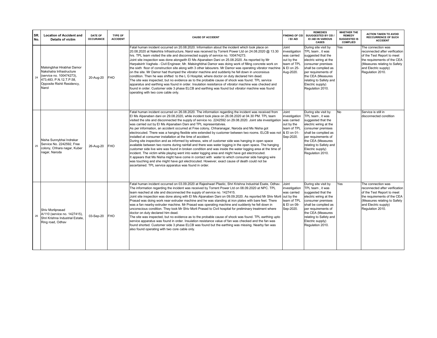| SR.<br>No. | <b>Location of Accident and</b><br><b>Details of victim</b>                                                                                           | <b>DATE OF</b><br><b>OCCURANCE</b> | <b>TYPE OF</b><br><b>ACCIDENT</b> | <b>CAUSE OF ACCIDENT</b>                                                                                                                                                                                                                                                                                                                                                                                                                                                                                                                                                                                                                                                                                                                                                                                                                                                                                                                                                                                                                                                                                                                                                                                                                                                                                                                                                            | <b>FINDING OF CEI</b><br>/ EI/ AEI                                                             | <b>REMEDIES</b><br>SUUGGESTED BY CEI /<br>EI /AEI IN VARIOUS<br><b>CASES</b>                                                                                                                                                                        | <b>WHETHER THE</b><br><b>REMEDY</b><br><b>SUGGESTED IS</b><br><b>COMPLIED</b> | <b>ACTION TAKEN TO AVOID</b><br><b>RECCURRENCE OF SUCH</b><br><b>ACCIDENT</b>                                                                                                                 |
|------------|-------------------------------------------------------------------------------------------------------------------------------------------------------|------------------------------------|-----------------------------------|-------------------------------------------------------------------------------------------------------------------------------------------------------------------------------------------------------------------------------------------------------------------------------------------------------------------------------------------------------------------------------------------------------------------------------------------------------------------------------------------------------------------------------------------------------------------------------------------------------------------------------------------------------------------------------------------------------------------------------------------------------------------------------------------------------------------------------------------------------------------------------------------------------------------------------------------------------------------------------------------------------------------------------------------------------------------------------------------------------------------------------------------------------------------------------------------------------------------------------------------------------------------------------------------------------------------------------------------------------------------------------------|------------------------------------------------------------------------------------------------|-----------------------------------------------------------------------------------------------------------------------------------------------------------------------------------------------------------------------------------------------------|-------------------------------------------------------------------------------|-----------------------------------------------------------------------------------------------------------------------------------------------------------------------------------------------|
| 24         | Malsingbhai Hirabhai Damor<br>Nakshatra Infrastructure<br>(service no. 100474273),<br>473,483, P.N.12, T.P.58,<br>Opposite Rishit Residency,<br>Narol | 20-Aug-20                          | <b>FHO</b>                        | Fatal human incident occurred on 20.08.2020. Information about the incident which took place on<br>20.08.2020 at Nakshtra Infrastructure, Narol was received by Torrent Power Ltd on 24.08.2020 @ 13.30<br>hrs. TPL team visited the site and disconnected supply of service no. 100474273.<br>Joint site inspection was done alongwith EI Ms Alpanaben Dani on 25.08.2020. As reported by Mr<br>Harpalsinh Vaghela - Civil Engineer, Mr. Malsinghbhai Damor was doing work of filling concrete work on<br>the sixth floor of construction site along with 3 other labourers. Mr Damor was operating vibrator machine<br>on the site. Mr Damor had thumped the vibrator machine and suddenly he fell down in unconsious<br>condition. Then he was shifted to the L G Hospital, where doctor on duty declared him dead.<br>The site was inspected, but no evidence as to the probable cause of shock was found. TPL service<br>apparatus and earthing was found in order. Insulation resisitance of vibrator machine was checked and<br>found in order. Customer side 3 phase ELCB and earthing was found but vibrator machine was found<br>operating with two core cable only.                                                                                                                                                                                                      | Joint<br>investigation<br>was carried<br>out by the<br>team of TPL<br>& El on 25-<br>Aug-2020. | During site visit by<br>TPL team, it was<br>suggested that the<br>electric wiring at the<br>consumer premises<br>shall be complied as<br>per requirements of<br>the CEA (Measures<br>relating to Safety and<br>Electric supply)<br>Regulation 2010. | Yes                                                                           | The connection was<br>reconnected after verification<br>of the Test Report to meet<br>the requirements of the CEA<br>(Measures relating to Safety<br>and Electric supply)<br>Regulation 2010. |
| 25         | Nisha Sunnybhai Indrekar<br>Service No. 2242592, Free<br>colony, Chhara nagar, Kuber<br>nagar, Naroda                                                 | 26-Aug-20                          | <b>FHO</b>                        | Fatal human incident occurred on 26.08.2020. The information regarding the incident was received from<br>El Ms Alpanaben dani on 29.08.2020, while incident took place on 26.08.2020 at 04.30 PM. TPL team<br>visited the site and disconnected the supply of service no. 2242592 on 29.08.2020. Joint site investigation<br>was carried out by EI Ms Alpanaben Dani and TPL representatvies.<br>As per information, an accident occurred at Free colony, Chharanagar, Naroda and Ms Nisha got<br>electrocuted. There was a hanging flexible wire extended by customer between two rooms. ELCB was not & El on 01-<br>installed at consumer installation at the time of accident.<br>During site inspection and as informed by witness, wire of customer side was hanging in open space<br>available between two rooms during rainfall and there was water logging in the open space. The hanging<br>customer side live wire was found in broken condition and was inside the water logging area at the time of<br>incident. The victim while playing went into water logging area and might have got electrocuted.<br>It appears that Ms Nisha might have come in contact with water to which consumer side hanging wire<br>was touching and she might have got electrocuted. However, exact cause of death could not be<br>ascertained. TPL service apparatus was found in order. | Joint<br>investigation<br>was carried<br>out by the<br>team of TPL<br>Sep-2020.                | During site visit by<br>TPL team, it was<br>suggested that the<br>electric wiring at the<br>consumer premises<br>shall be complied as<br>per requirements of<br>the CEA (Measures<br>relating to Safety and<br>Electric supply)<br>Regulation 2010. | No                                                                            | Service is still in<br>disconnected condition                                                                                                                                                 |
| 26         | Shiv Morliprasad<br>A/110 (service no. 1427415).<br>Shri Krishna Industrial Estate.<br>Ring road, Odhav                                               | 03-Sep-20                          | <b>FHO</b>                        | Fatal human incident occurred on 03.09.2020 at Rajeshwari Plastic, Shri Krishna Industrial Esate, Odhav.<br>The information regarding the incident was received by Torrent Power Ltd on 08.09.2020 at NPC. TPL<br>team reached at site and disconnected the supply of service no. 1427415.<br>Joint site inspection was done along with EI Ms Alpanaben Dani on 09.09.2020. As reported Mr Shiv Morli<br>Prasad was doing work near extruder machine and he was standing at iron plates with bare feet. There<br>was a fan nearby extruder machine. Mr Prasad was operating machine and suddenly he fell down in<br>unconscious condition. They took Mr Shiv Morli Prasad to Civil hospital for preliminary treatment where<br>doctor on duty declared him dead.<br>The site was inspected, but no evidence as to the probable cause of shock was found. TPL earthing upto<br>service apparatus was found in order. Insulation resistance value of fan was checked and the fan was<br>found shorted. Customer side 3 phase ELCB was found but the earthing was missing. Nearby fan was<br>also found operating with two core cable only.                                                                                                                                                                                                                                            | Joint<br>investigation<br>was carried<br>out by the<br>team of TPL<br>& El on 09-<br>Sep-2020. | During site visit by<br>TPL team, it was<br>suggested that the<br>electric wiring at the<br>consumer premises<br>shall be complied as<br>per requirements of<br>the CEA (Measures<br>relating to Safety and<br>Electric supply)<br>Regulation 2010. | Yes                                                                           | The connection was<br>reconnected after verification<br>of the Test Report to meet<br>the requirements of the CEA<br>(Measures relating to Safety<br>and Electric supply)<br>Regulation 2010. |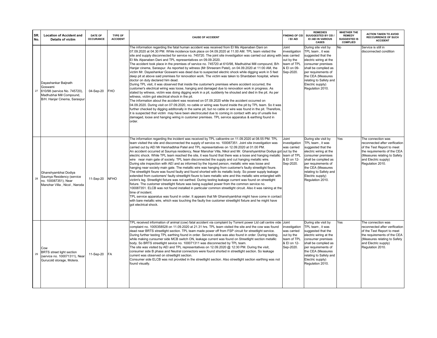| SR.<br>No. | <b>Location of Accident and</b><br><b>Details of victim</b>                                                                 | <b>DATE OF</b><br><b>OCCURANCE</b> | TYPE OF<br><b>ACCIDENT</b> | <b>CAUSE OF ACCIDENT</b>                                                                                                                                                                                                                                                                                                                                                                                                                                                                                                                                                                                                                                                                                                                                                                                                                                                                                                                                                                                                                                                                                                                                                                                                                                                                                                                                                                                                                                                                                                                                                                                                                                                                                                                                                                                    | <b>FINDING OF CEI</b><br>/ EI/ AEI                                                             | <b>REMEDIES</b><br>SUUGGESTED BY CEI /<br>EI /AEI IN VARIOUS<br><b>CASES</b>                                                                                                                                                                        | <b>WHETHER THE</b><br><b>REMEDY</b><br><b>SUGGESTED IS</b><br><b>COMPLIED</b> | <b>ACTION TAKEN TO AVOID</b><br><b>RECCURRENCE OF SUCH</b><br><b>ACCIDENT</b>                                                                                                                 |
|------------|-----------------------------------------------------------------------------------------------------------------------------|------------------------------------|----------------------------|-------------------------------------------------------------------------------------------------------------------------------------------------------------------------------------------------------------------------------------------------------------------------------------------------------------------------------------------------------------------------------------------------------------------------------------------------------------------------------------------------------------------------------------------------------------------------------------------------------------------------------------------------------------------------------------------------------------------------------------------------------------------------------------------------------------------------------------------------------------------------------------------------------------------------------------------------------------------------------------------------------------------------------------------------------------------------------------------------------------------------------------------------------------------------------------------------------------------------------------------------------------------------------------------------------------------------------------------------------------------------------------------------------------------------------------------------------------------------------------------------------------------------------------------------------------------------------------------------------------------------------------------------------------------------------------------------------------------------------------------------------------------------------------------------------------|------------------------------------------------------------------------------------------------|-----------------------------------------------------------------------------------------------------------------------------------------------------------------------------------------------------------------------------------------------------|-------------------------------------------------------------------------------|-----------------------------------------------------------------------------------------------------------------------------------------------------------------------------------------------|
| 27         | Dayashankar Baijnath<br>Goswami<br>610/98 (service No. 745720),<br>Madhubhai Mill Compound,<br>B/H. Hanjar Cinema, Saraspur | 04-Sep-20                          | <b>FHO</b>                 | The information regarding the fatal human accident was received from EI Ms Alpanaben Dani on<br>07.09.2020 at 04.30 PM. While incidence took place on 04.09.2020 at 11.00 AM. TPL team visited the<br>site and supply disconnected for service no. 745720. The joint site investigation was carried out along with was carried<br>El Ms Alpanaben Dani and TPL representatives on 09.09.2020.<br>The accident took place in the premises of service no. 745720 at 610/98, Madhubhai Mill compound, B/h<br>Hanjar cinema, Saraspur. As reported by witness (Mr Shreeram Patel), on 04.09.2020 at 11:00 AM, the<br>victim Mr. Dayashankar Goswami was dead due to suspected electric shock while digging work in 5 feet<br>deep pit at above said premises for renovation work. The victim was taken to Shardaben hospital, where<br>doctor on duty declared him dead.<br>During TPL visit, it was observed that inside the customer's premises where accident occurred, the<br>customer's electrical wiring was loose, hanging and damaged due to renovation work in progress. As<br>stated by witness, victim was doing digging work in a pit, suddenly he shouted and died in the pit. As per<br>witness, victim got electrical shock in the pit.<br>The information about the accident was received on 07.09.2020 while the accident occurred on<br>04.09.2020. During visit on 07.09.2020, no cable or wiring was found inside the pit by TPL team. So it was<br>further checked by digging additonally in the same pit, but no cable or wire was found in the pit. Therefore,<br>it is suspected that victim may have been electrocuted due to coming in contact with any of unsafe live<br>damaged, loose and hanging wiring in customer premises. TPL service apparatus & earthing found in<br>order. | Joint<br>investigation<br>out by the<br>team of TPL<br>& El on 09-<br>Sep-2020.                | During site visit by<br>TPL team, it was<br>suggested that the<br>electric wiring at the<br>consumer premises<br>shall be complied as<br>per requirements of<br>the CEA (Measures<br>relating to Safety and<br>Electric supply)<br>Regulation 2010. | <b>No</b>                                                                     | Service is still in<br>disconnected condition                                                                                                                                                 |
| 28         | Ghanshyambhai Dodiya<br>Saumya Residency (service<br>no. 100087351), Near<br>Manohar Villa, Nicol, Naroda                   | 11-Sep-20                          | <b>NFHO</b>                | The information regarding the incident was received by TPL callcentre on 11.09.2020 at 08.55 PM. TPL<br>team visited the site and disconnected the supply of service no. 100087351. Joint site investigation was<br>carried out by AEI Mr Harshadbhai Patel and TPL representatives on 12.09.2020 at 01.00 PM.<br>An accident occurred at Saumya residency, Near Manohar Villa, Nikol and Mr. Ghanshyambhai Dodiya got<br>electric shock. While TPL team reached the site, it was found that there was a loose and hanging metallic<br>wire near main gate of society. TPL team disconnected the supply and cut hanging metallic wire.<br>During site inspection with AEI and as informed by the Injured person, metallic wire was loose and<br>hanging near society main gate. The metallic wire was hanging from customer's faulty streetlight fixure.<br>The streetlight fixure was found faulty and found shorted with its metallic body. So power supply leakage<br>extended from customers' faulty streetlight fixure to bare metallic wire and this metallic wire entangled with<br>victim's leg. Streetlight fixture was not earthed. During testing leakage current was found on streetlight<br>fixture. The customer streetlight fixture was being supplied power from the common service no.<br>100087351. ELCB was not found installed in particular common streetlight circuit. Also it was raining at the<br>time of incident.<br>TPL service apparatus was found in order. It appears that Mr Ghanshyambhai might have come in contact<br>with bare metallic wire, which was touching the faulty live customer streetlight fixture and he might have<br>got electrical shock.                                                                                                                | Joint<br>investigation<br>was carried<br>out by the<br>team of TPL<br>& El on 12-<br>Sep-2020. | During site visit by<br>TPL team, it was<br>suggested that the<br>electric wiring at the<br>consumer premises<br>shall be complied as<br>per requirements of<br>the CEA (Measures<br>relating to Safety and<br>Electric supply)<br>Regulation 2010. | Yes                                                                           | The connection was<br>reconnected after verification<br>of the Test Report to meet<br>the requirements of the CEA<br>(Measures relating to Safety<br>and Electric supply)<br>Regulation 2010. |
| 29         | Cow<br><b>BRTS</b> street light section<br>(service no. 100071311), Near<br>Gurucold storage, Motera.                       | 11-Sep-20                          | <b>FA</b>                  | TPL received information of animal (cow) fatal accident via complaint by Torrent power Ltd call centre vide Joint<br>complaint no. 1005358528 on 11.09.2020 at 21.31 hrs. TPL team visited the site and the cow was found<br>dead near BRTS streetlight section. TPL team made power off from FSP circuit for streetlight service.<br>During further testing TPL earthing found in order. Service cable was also found in order. During testing,<br>while making cunsumer side MCB switch ON, leakage current was found on Streetlight section metallic<br>body. So BRTS streetlight sevice no. 100071311 was disconnected by TPL team.<br>The site was visited by AEI and TPL representatives on 12.09.2020 @ 12:30 PM. During the visit,<br>consumer side B phase and Neutral connectors were found shorted in streetlight section. So leakage<br>current was observed on streetlight section.<br>Consumer side ELCB was not provided in the streetlight section. Also streetlight section earthing was not<br>found visually.                                                                                                                                                                                                                                                                                                                                                                                                                                                                                                                                                                                                                                                                                                                                                                            | investigation<br>was carried<br>out by the<br>team of TPL<br>& El on 12-<br>Sep-2020.          | During site visit by<br>TPL team, it was<br>suggested that the<br>electric wiring at the<br>consumer premises<br>shall be complied as<br>per requirements of<br>the CEA (Measures<br>relating to Safety and<br>Electric supply)<br>Regulation 2010. | Yes                                                                           | The connection was<br>reconnected after verification<br>of the Test Report to meet<br>the requirements of the CEA<br>(Measures relating to Safety<br>and Electric supply)<br>Regulation 2010. |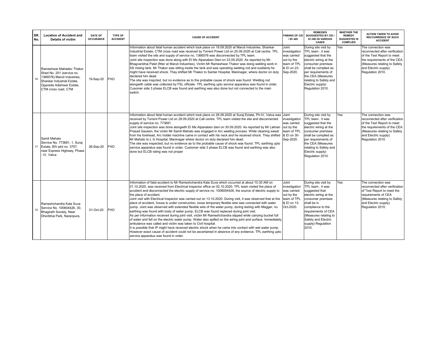| SR.<br>No. | <b>Location of Accident and</b><br><b>Details of victim</b>                                                                                                            | <b>DATE OF</b><br><b>OCCURANCE</b> | TYPE OF<br><b>ACCIDENT</b> | <b>CAUSE OF ACCIDENT</b>                                                                                                                                                                                                                                                                                                                                                                                                                                                                                                                                                                                                                                                                                                                                                                                                                                                                                                                                                                                                                                                                                                                                                                                                                                                                                                                        | <b>FINDING OF CEI</b><br>/ EI/ AEI                                                             | <b>REMEDIES</b><br>SUUGGESTED BY CEI /<br>EI /AEI IN VARIOUS<br><b>CASES</b>                                                                                                                                                                        | <b>WHETHER THE</b><br><b>REMEDY</b><br><b>SUGGESTED IS</b><br><b>COMPLIED</b> | <b>ACTION TAKEN TO AVOID</b><br><b>RECCURRENCE OF SUCH</b><br><b>ACCIDENT</b>                                                                                                                 |
|------------|------------------------------------------------------------------------------------------------------------------------------------------------------------------------|------------------------------------|----------------------------|-------------------------------------------------------------------------------------------------------------------------------------------------------------------------------------------------------------------------------------------------------------------------------------------------------------------------------------------------------------------------------------------------------------------------------------------------------------------------------------------------------------------------------------------------------------------------------------------------------------------------------------------------------------------------------------------------------------------------------------------------------------------------------------------------------------------------------------------------------------------------------------------------------------------------------------------------------------------------------------------------------------------------------------------------------------------------------------------------------------------------------------------------------------------------------------------------------------------------------------------------------------------------------------------------------------------------------------------------|------------------------------------------------------------------------------------------------|-----------------------------------------------------------------------------------------------------------------------------------------------------------------------------------------------------------------------------------------------------|-------------------------------------------------------------------------------|-----------------------------------------------------------------------------------------------------------------------------------------------------------------------------------------------|
| 30         | Rameshwar Mahadev Thakor<br>Shed No. 201 (service no.<br>1366576) Maruti Industries,<br>Shankar Industrial Estate,<br>Opposite Adishwar Estate,<br>CTM cross road, CTM | 19-Sep-20                          | <b>FHO</b>                 | Information about fatal human accident which took place on 19.09.2020 at Maruti Industries, Shankar<br>Industrial Estate, CTM cross road was received by Torrent Power Ltd on 20.09.2020 at Call centre. TPL<br>team visited the site and supply of service no. 1366576 was disconnected by TPL team.<br>Joint site inspection was done along with EI Ms Alpanaben Dani on 23.09.2020. As reported by Mr.<br>Bhagyanbhai Patel (fitter at Maruti Industries), Victim Mr Rameshwar Thakor was doing welding work in<br>SS mixing tank. Mr Thakor was sitting inside the tank and was operating welding rod and suddenly he<br>might have received shock. They shifted Mr Thakor to Sardar Hospital, Maninagar, where doctor on duty<br>declared him dead.<br>The site was inspoted, but no evidence as to the probable cause of shock was found. Welding rod<br>alongwith cable was collected by FSL officials. TPL earthing upto service apparatus was found in order.<br>Cusomer side 3 phase ELCB was found and earthing was also done but not connected to the main<br>switch.                                                                                                                                                                                                                                                               | Joint<br>investigation<br>was carried<br>out by the<br>team of TPL<br>& El on 23-<br>Sep-2020. | During site visit by<br>TPL team, it was<br>suggested that the<br>electric wiring at the<br>consumer premises<br>shall be complied as<br>per requirements of<br>the CEA (Measures<br>relating to Safety and<br>Electric supply)<br>Regulation 2010. | Yes                                                                           | The connection was<br>reconnected after verification<br>of the Test Report to meet<br>the requirements of the CEA<br>(Measures relating to Safety<br>and Electric supply)<br>Regulation 2010. |
|            | Samit Mahato<br>Service No. 773681, 1, Suraj<br>31 Estate, B/h plot no. 3757,<br>near Express Highway, Phase<br>- IV. Vatva                                            | 26-Sep-20                          | <b>FHO</b>                 | Information about fatal human accident which took place on 26.09.2020 at Suraj Estate, Ph-IV, Vatva was<br>received by Torrent Power Ltd on 28.09.2020 at Call centre. TPL team visited the site and disconnected<br>supply of service no. 773681.<br>Joint site inspection was done alongwith EI Ms Alpanaben dani on 30.09.2020. As reported by Mr Lalman<br>Prasad Gautam, the victim Mr Samit Mahato was engaged in Arc welding process. While cleaning sweat<br>from his forehead, Arc holder machine came in contact with his neck and he received shock. They shifted<br>Mr Mahato to L G Hospital, Maninagar where doctor on duty declared him dead.<br>The site was inspected, but no evidence as to the probable cause of shock was found. TPL earthing upto<br>service apparatus was found in order. Customer side 3 phase ELCB was found and earthing was also<br>done but ELCB rating was not proper                                                                                                                                                                                                                                                                                                                                                                                                                               | Joint<br>investigation<br>was carried<br>out by the<br>team of TPL<br>& El on 30-<br>Sep-2020. | During site visit by<br>TPL team, it was<br>suggested that the<br>electric wiring at the<br>consumer premises<br>shall be complied as<br>per requirements of<br>the CEA (Measures<br>relating to Safety and<br>Electric supply)<br>Regulation 2010. | Yes                                                                           | The connection was<br>reconnected after verification<br>of the Test Report to meet<br>the requirements of the CEA<br>(Measures relating to Safety<br>and Electric supply)<br>Regulation 2010. |
| 32         | Rameshchandra Kala Suva<br>Service No. 100604426, 30,<br>Bhagirath Society, Near<br>Dhoribhai Park, Naranpura,                                                         | 01-Oct-20                          | <b>FHO</b>                 | Information of fatal accident to Mr Rameshchandra Kala Suva which occurred at about 10.30 AM on<br>01.10.2020, was received from Electrical inspector office on 02.10.2020. TPL team visited the place of<br>accident and disconnected the electric supply of service no. 1006004426, the source of electric supply to<br>the place of accident.<br>Joint visit with Electrical Inspector was carried out on 13.10.2020. During visit, it was observed that at the<br>place of accident, house is under construction, loose temporary flexible wire was connected with water<br>pump. Joint was observed with extended flexible wire of the water pump, during testing with Megger, no<br>earthing was found with body of water pump, ELCB was found replaced during joint visit.<br>As per information received during joint visit, victim Mr Rameshchandra slipped while carrying bucket full<br>of water and fell on the electric water pump. Water also spilled on the wiring joint and surface. Immediately<br>ambulance was called and victim was taken to Civil hospital.<br>It is possible that IP might have received electric shock when he came into contact with wet water pump.<br>However exact cause of accident could not be ascertained in absence of any evidence. TPL earthing upto<br>service apparatus was found in order. | Joint<br>investigation<br>was carried<br>out by the<br>team of TPL<br>& El on 13-<br>Oct-2020. | During site visit by<br>TPL team, it was<br>suggested that<br>electric wiring at the<br>consumer premises<br>shall be in<br>compliance to the<br>requirements of CEA<br>(Measures relating to<br>Safety and Electric<br>supply) Regulation<br>2010. | Yes                                                                           | The connection was<br>reconnected after verification<br>of Test Report to meet the<br>requirements of CEA<br>(Measures relating to Safety<br>and Electric supply)<br>Regulation 2010.         |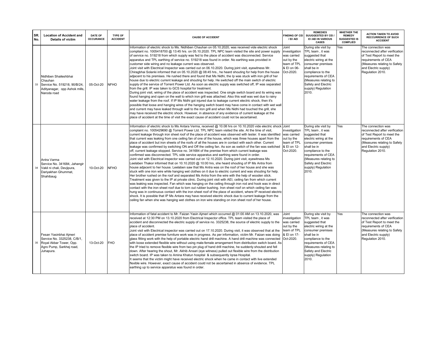| SR.<br>No. | <b>Location of Accident and</b><br><b>Details of victim</b>                                                                  | DATE OF<br><b>OCCURANCE</b> | <b>TYPE OF</b><br><b>ACCIDENT</b> | <b>CAUSE OF ACCIDENT</b>                                                                                                                                                                                                                                                                                                                                                                                                                                                                                                                                                                                                                                                                                                                                                                                                                                                                                                                                                                                                                                                                                                                                                                                                                                                                                                                                                                                                                                                                                                                                                                                                                                                                                                                                                                                                                                                                                                                                                                                                                                                               | <b>FINDING OF CEI</b><br>/ EI/ AEI                                                             | <b>REMEDIES</b><br>SUUGGESTED BY CEI /<br>EI /AEI IN VARIOUS<br><b>CASES</b>                                                                                                                                                                        | <b>WHETHER THE</b><br><b>REMEDY</b><br><b>SUGGESTED IS</b><br><b>COMPLIED</b> | <b>ACTION TAKEN TO AVOID</b><br><b>RECCURRENCE OF SUCH</b><br><b>ACCIDENT</b>                                                                                                         |
|------------|------------------------------------------------------------------------------------------------------------------------------|-----------------------------|-----------------------------------|----------------------------------------------------------------------------------------------------------------------------------------------------------------------------------------------------------------------------------------------------------------------------------------------------------------------------------------------------------------------------------------------------------------------------------------------------------------------------------------------------------------------------------------------------------------------------------------------------------------------------------------------------------------------------------------------------------------------------------------------------------------------------------------------------------------------------------------------------------------------------------------------------------------------------------------------------------------------------------------------------------------------------------------------------------------------------------------------------------------------------------------------------------------------------------------------------------------------------------------------------------------------------------------------------------------------------------------------------------------------------------------------------------------------------------------------------------------------------------------------------------------------------------------------------------------------------------------------------------------------------------------------------------------------------------------------------------------------------------------------------------------------------------------------------------------------------------------------------------------------------------------------------------------------------------------------------------------------------------------------------------------------------------------------------------------------------------------|------------------------------------------------------------------------------------------------|-----------------------------------------------------------------------------------------------------------------------------------------------------------------------------------------------------------------------------------------------------|-------------------------------------------------------------------------------|---------------------------------------------------------------------------------------------------------------------------------------------------------------------------------------|
| 33         | Nidhiben Shaileshbhai<br>Chauhan<br>Service No. 519218, 90/B/24,<br>Adityanagar, opp Ashok mills,<br>Naroda road             | 05-Oct-20                   | <b>NFHO</b>                       | Information of electric shock to Ms. Nidhiben Chauhan on 05.10.2020, was received vide electric shock<br>compliant no. 1005418700 @ 13:45 hrs. on 05.10.2020. TPL NPC team visited the site and power supply<br>of service no. 519218 from which supply was fed to the place of accident was disconnected. Service<br>apparatus and TPL earthing of service no. 519218 was found in order. No earthing was provided in<br>customer side wiring and no leakage current was observed.<br>Joint visit with Electrical Inspector was carried out on 06.10.2020. During joint visit, eyewitness Mr.<br>Chiragbhai Solanki informed that on 05.10.2020 @ 08:45 hrs., he heard shouting for help from the house<br>adjacent to his premises. He rushed there and found that Ms Nidhi, the Ip was stuck with iron grill of her<br>house due to electric current leakage and shouting for help. He switched off the main switch of electric<br>supply of the service of Torrent Power Ltd. As soon as electric supply was switched off, IP was separated<br>from the grill. IP was taken to GCS hospital for treatment.<br>During joint visit, wiring of the place of accident was inspected. One single switch board and its wiring was<br>found hanging and open on the wall to which iron grill was attached. Also this wall was wet due to rainy<br>water leakage from the roof. If IP Ms Nidhi got injured due to leakage current electric shock, then it's<br>possible that loose and hanging wires of the hanging switch board may have come in contact with wet wall<br>and current may have leaked through wall to the iron grill and when Ms Nidhi had touched the grill, she<br>may have received the electric shock. However, in absence of any evidence of current leakage at the<br>place of accident at the time of visit the exact cause of accident could not be ascertained.                                                                                                                                                                                                  | Joint<br>investigation<br>was carried<br>out by the<br>team of TPL<br>& EI on 06-<br>Oct-2020. | During site visit by<br>TPL team, it was<br>suggested that<br>electric wiring at the<br>consumer premises<br>shall be in<br>compliance to the<br>requirements of CEA<br>(Measures relating to<br>Safety and Electric<br>supply) Regulation<br>2010. | Yes                                                                           | The connection was<br>reconnected after verification<br>of Test Report to meet the<br>requirements of CEA<br>(Measures relating to Safety<br>and Electric supply)<br>Regulation 2010. |
| 34         | Antra Varma<br>Service No. 341684. Jahangir<br>Vakil ni chali, Devjipura,<br>Dariyakhan Ghummat,<br>Shahibaug                | 10-Oct-20                   | <b>NFHO</b>                       | Information of electric shock to Ms Antara Verma, received @ 10.08 hrs on 10.10.2020 vide electric shock Joint<br>complaint no. 1005429690 @ Torrent Power Ltd. TPL NPC team visited the site. At the time of visit,<br>current leakage through iron sheet roof of the place of accident was observed with tester. It was identified<br>that current was leaking from one ceiling fan of one of the house, which was three houses apart from the<br>place of accident but iron sheets of the roofs of all the houses are in contact with each other. Current<br>leakage was confirmed by switching ON and Off the ceiling fan. As son as switch of the fan was switched<br>off, current leakage stopped. Service no. 341684 of the premise from which current leakage was<br>confirmed was disconnected. TPL side service apparatus and earthing were found in order.<br>Joint visit with Electrical inspector was carried out on 12.10.2020. During joint visit, eyewitness Ms<br>Leelaben Thakor informed that on 10.10.2020 @ 10:00 hrs, she heard shouting of IP Ms Antra from<br>house adjacent to her house. Leelaben saw that Ms Antra was on the roof of her house and she was<br>stuck with one iron wire while hanging wet clothes on it due to electric current and was shouting for help.<br>Her brother rushed on the roof and separated Ms Antra from the wire with the help of wooden stick.<br>Treatment was given to the IP at private clinic. During joint visit with AEI, ceiling fan from which current<br>was leaking was inspected. Fan which was hanging on the ceiling through iron rod and hook was in direct<br>contact with the iron sheet roof due to torn out rubber bushing. Iron sheet roof on which ceiling fan was<br>hung was in continuous contact with the iron sheet roof of the place of accident, where IP received electric<br>shock. It is possible that IP Ms Antara may have received electric shock due to current leakage from the<br>ceiling fan when she was hanging wet clothes on iron wire standing on iron sheet roof of her house. | investigation<br>was carried<br>out by the<br>team of TPL<br>& El on 12-<br>Oct-2020.          | During site visit by<br>TPL team, it was<br>suggested that<br>electric wiring at the<br>consumer premises<br>shall be in<br>compliance to the<br>requirements of CEA<br>(Measures relating to<br>Safety and Electric<br>supply) Regulation<br>2010. | Yes                                                                           | The connection was<br>reconnected after verification<br>of Test Report to meet the<br>requirements of CEA<br>(Measures relating to Safety<br>and Electric supply)<br>Regulation 2010. |
|            | Fesan Yasinbhai Ajmeri<br>Service No. 3325238, C/B/1,<br>35 Royal Akbar Tower, Opp.<br>Agro Pump, Sarkhej road,<br>Juhapura. | 13-Oct-20                   | <b>FHO</b>                        | Information of fatal accident to Mr. Faizan Yasin Aimeri which occurred @ 01:00 AM on 13.10.2020, was<br>received at 12:30 PM on 13.10.2020 from Electrical Inspector office. TPL team visited the place of<br>accident and disconnected the electric supply of service no. 3325238, the source of electric supply to the<br>place of accident.<br>Joint visit with Electrical inspector was carried out on 17.10.2020. During visit, it was observed that at the<br>place of accident premise furniture work was in progress. As per information, victim Mr. Faizan was doing<br>glass fitting work with the help of portable electric hand drill machine. A hand drill machine was connected<br>with loose extended flexible wire without using male-female arrangement from distribution switch board. As<br>the IP tried to remove flexible wire from two pin plug of hand drill machine, he suddenly shouted and fell<br>down. After hearing the shout, Mr. Akhib Ansari (eye witness) pulled out flexible wire from the distribution<br>switch board. IP was taken to Amina Khatun hospital & subsequently Iqraa Hospital.<br>It seems that the victim might have received electric shock when he came in contact with live extended<br>flexible wire. However, exact cause of accident could not be ascertained in absence of evidence. TPL<br>earthing up to service apparatus was found in order.                                                                                                                                                                                                                                                                                                                                                                                                                                                                                                                                                                                                                                                                             | Joint<br>investigation<br>was carried<br>out by the<br>team of TPL<br>& El on 17-<br>Oct-2020. | During site visit by<br>TPL team, it was<br>suggested that<br>electric wiring at the<br>consumer premises<br>shall be in<br>compliance to the<br>requirements of CEA<br>(Measures relating to<br>Safety and Electric<br>supply) Regulation<br>2010. | Yes                                                                           | The connection was<br>reconnected after verification<br>of Test Report to meet the<br>requirements of CEA<br>(Measures relating to Safety<br>and Electric supply)<br>Regulation 2010. |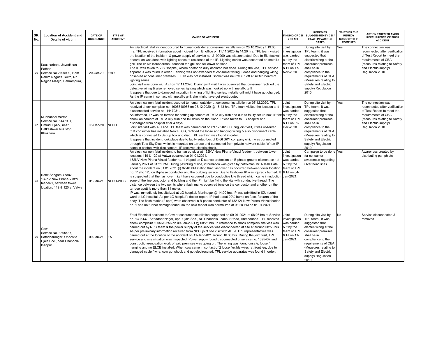| SR.<br>No. | <b>Location of Accident and</b><br>Details of victim                                                                | <b>DATE OF</b><br><b>OCCURANCE</b> | <b>TYPE OF</b><br><b>ACCIDENT</b> | <b>CAUSE OF ACCIDENT</b>                                                                                                                                                                                                                                                                                                                                                                                                                                                                                                                                                                                                                                                                                                                                                                                                                                                                                                                                                                                                                                                                                                                                                                                                                                                                                                                                                                                                 | <b>INDING OF CEL</b><br>/ EI/ AEI                                                              | <b>REMEDIES</b><br>SUUGGESTED BY CEI /<br>EI /AEI IN VARIOUS<br><b>CASES</b>                                                                                                                                                                        | <b>WHETHER THE</b><br><b>REMEDY</b><br>SUGGESTED IS<br><b>COMPLIED</b> | <b>ACTION TAKEN TO AVOID</b><br><b>RECCURRENCE OF SUCH</b><br><b>ACCIDENT</b>                                                                                                         |
|------------|---------------------------------------------------------------------------------------------------------------------|------------------------------------|-----------------------------------|--------------------------------------------------------------------------------------------------------------------------------------------------------------------------------------------------------------------------------------------------------------------------------------------------------------------------------------------------------------------------------------------------------------------------------------------------------------------------------------------------------------------------------------------------------------------------------------------------------------------------------------------------------------------------------------------------------------------------------------------------------------------------------------------------------------------------------------------------------------------------------------------------------------------------------------------------------------------------------------------------------------------------------------------------------------------------------------------------------------------------------------------------------------------------------------------------------------------------------------------------------------------------------------------------------------------------------------------------------------------------------------------------------------------------|------------------------------------------------------------------------------------------------|-----------------------------------------------------------------------------------------------------------------------------------------------------------------------------------------------------------------------------------------------------|------------------------------------------------------------------------|---------------------------------------------------------------------------------------------------------------------------------------------------------------------------------------|
| 36         | Kausharbanu Javedkhan<br>Pathan<br>Service No.2199999. Ram<br>Rahim Nagar's Tekro, Nr<br>Nagina Masjid, Behrampura, | 20-Oct-20                          | <b>FHO</b>                        | An Electrical fatal incident occured to human outsider at consumer installation on 20.10.2020 @ 19:00<br>hrs. TPL received information about incident from EI office on 11.11.2020 @ 14:20 hrs. TPL team visited<br>the location of the incident & power supply of service no. 2199999 was disconnected. Due to Eid festival,<br>decoration was done with lighting series at residence of the IP. Lighting series was decorated on metallic<br>grill. The IP Ms Kausharbanu touched the grill and fell down on floor.<br>The IP was taken to V S Hospital, where doctor on duty declared her dead. During the visit, TPL service<br>apparatus was found in order. Earthing was not extended at consumer wiring. Loose and hanging wiring<br>observed at consumer premises. ELCB was not installed. Socket was neutral cut off at switch board of<br>lighting series.<br>Joint visit was done with AEI on 17.11.2020. During joint visit it was observed that consumer rectified the<br>defective wiring & also removed series lighting which was hooked up with metallic grill.<br>It appears that due to damaged insulation in wiring of lighting series, metallic grill might have got charged.<br>As the IP came in contact with metallic grill, she might have got electrocuted.                                                                                                                                     | Joint<br>investigation<br>was carried<br>out by the<br>team of TPL<br>& El on 17-<br>Nov-2020. | During site visit by<br>TPL team, it was<br>suggested that<br>electric wiring at the<br>consumer premises<br>shall be in<br>compliance to the<br>requirements of CEA<br>(Measures relating to<br>Safety and Electric<br>supply) Regulation<br>2010. | Yes                                                                    | The connection was<br>reconnected after verification<br>of Test Report to meet the<br>requirements of CEA<br>(Measures relating to Safety<br>and Electric supply)<br>Regulation 2010. |
| 37         | Munnabhai Verma<br>Service No. 1447931,<br>Hmrudul park, near<br>Hatkeshwar bus stop,<br>Khokhara                   | 05-Dec-20                          | <b>NFHO</b>                       | An electrical non fatal incident occured to human outsider at consumer installation on 05.12.2020. TPL<br>received shock complain no. 1005540965 on 05.12.2020 @ 18:43 hrs. TPL team visited the location and<br>disconnected service no. 1447931.<br>As informed, IP was on terrace for setting up camera of TATA sky dish and due to faulty set up box, IP felt out by the<br>shock on camera of TATA sky dish and fell down on the floor. IP was taken to LG hospital and<br>discharged from hospital after 4 days.<br>Joint site visit with AEI and TPL team was carried out on 09.12.2020. During joint visit, it was observed<br>that consumer has installed New ELCB, rectified the loose and hanging wiring & also disconnect cable<br>which is connected to Set up box and disc. TPL earthing was found in order.<br>It appears that incident took place due to faulty setup box of DIGI SKY company which was connected<br>through Tata Sky Disc, which is mounted on terrace and connected from private network cable. When IP<br>came in contact with disc camera, IP received electric shock.                                                                                                                                                                                                                                                                                                               | Joint<br>investigation<br>was carried<br>team of TPL<br>& El on 09-<br>Dec-2020.               | During site visit by<br>TPL team, it was<br>suggested that<br>electric wiring at the<br>consumer premises<br>shall be in<br>compliance to the<br>requirements of CEA<br>(Measures relating to<br>Safety and Electric<br>supply) Regulation<br>2010. | Yes                                                                    | The connection was<br>reconnected after verification<br>of Test Report to meet the<br>requirements of CEA<br>(Measures relating to Safety<br>and Electric supply)<br>Regulation 2010. |
| 38         | Rohit Sangam Yadav<br>132KV New Pirana-Vinzol<br>feeder-1, between tower<br>location: 119 & 120 at Vatwa            | $01$ -Jan-21                       | NFHO-WCS                          | An electrical non fatal incident to human outsider at 132KV New Pirana-Vinzol feeder-1, between tower<br>location: 119 & 120 at Vatwa occurred on 01.01.2021.<br>132KV New Pirana-Vinzol feeder no. 1 tripped on Distance protection on B phase-ground element on 1st<br>January 2021 at 01:21 PM. During patrolling of line, information was given by patrolman Mr. Nilesh Patel<br>about the incident on 01.01.2021 @ 02:46 PM stating that flashover has occurred between tower location<br>no. 119 to 120 on B-phase conductor and the building terrace. Due to flashover IP was injured / burned. It<br>is suspected that the flashover might have occurred due to conductive kite thread which came in induction Jan-2021.<br>zone of the line conductor and building and the IP might be flying the kite with conductive thread. The<br>distance between the two points where flash marks observed (one on the conductor and another on the<br>terrace spot) is more than 11 meter.<br>IP was immediately hospitalized at LG hospital, Maninagar @ 14:00 hrs. IP was admitted in ICU (burn)<br>ward at LG hospital. As per LG hospital's doctor report, IP had about 20% burns on face, forearm of the<br>body. The flash marks (2 spot) were observed in B-phase conductor of 132 KV New Pirana-Vinzol feeder<br>no. 1 and no further damage found, so the said feeder was normalized at 03:20 PM on 01.01.2021. | Joint<br>investigation<br>was carried<br>out by the<br>team of TPL<br>& El on 04-              | Campaign to be done Yes<br>for consumer<br>awareness regarding<br>Over head lines                                                                                                                                                                   |                                                                        | Awareness created by<br>distributing pamphlets                                                                                                                                        |
| 39         | Cow<br>Service No. 1395437,<br>Satadharnagar, Opposite<br>Ujala Soc., near Chandola,<br>Isanpur                     | 09-Jan-21                          | <b>FA</b>                         | Fatal Electrical accident to Cow at consumer installation happened on 09-01-2021 at 08:26 hrs at Service<br>no. 1395437, Sattadhar Nagar, opp. Ujala Soc., Nr. Chandola, Isanpur Road, Ahmedabad. TPL received<br>shock complaint 1005612256 on 09-Jan-2021 @ 08:26 hrs. In reference to shock complain site visit was<br>carried out by NPC team & the power supply of the service was disconnected at site at around 08:58 hrs.<br>As per preliminary information received from NPC, joint site visit with AEI & TPL representatives was<br>carried out at the location of the accident on 11-Jan-2021 around 16.30 hrs. During the joint visit, TPL<br>service and site situation was inspected. Power supply found disconnected of service no. 1395437 and<br>construction/renovation work of said premises was going on. The wiring was found unsafe, loose /<br>hanging and no ELCB installed. When cow came in contact of 2 loose flexible wires at front leg, due to<br>damaged cable / wire, cow got shock and got electrocuted. TPL service apparatus was found in order.                                                                                                                                                                                                                                                                                                                                      | Joint<br>investigation<br>was carried<br>out by the<br>team of TPL<br>& El on 11-<br>Jan-2021. | During site visit by<br>TPL team, it was<br>suggested that<br>electric wiring at the<br>consumer premises<br>shall be in<br>compliance to the<br>requirements of CEA<br>(Measures relating to<br>Safety and Electric<br>supply) Regulation<br>2010. | <b>No</b>                                                              | Service disconnected &<br>removed                                                                                                                                                     |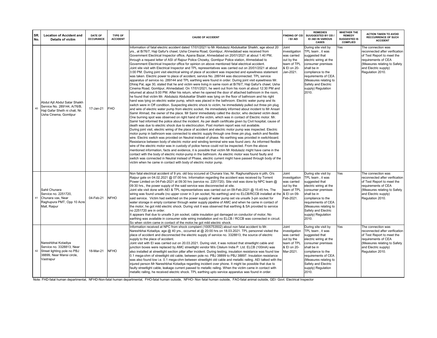| SR. | <b>Location of Accident and</b><br><b>DATE OF</b><br><b>OCCURANCE</b><br>No.<br><b>Details of victim</b>                                     | TYPE OF<br><b>ACCIDENT</b> | <b>CAUSE OF ACCIDENT</b>                                                                                                                                                                                                                                                                                                                                                                                                                                                                                                                                                                                                                                                                                                                                                                                                                                                                                                                                                                                                                                                                                                                                                                                                                                                                                                                                                                                                                                                                                                                                                                                                                                                                                                                                                                                                                                                                                                                                                                                                                                                                                                                                                                                                                                                                                                                                                                                                                                                                                                                                                                                                                                                                                                                                                                                                                                                                                                                                                                                                                                                                                                           | <b>FINDING OF CEI</b><br>/ EI/ AEI                                                             | <b>REMEDIES</b><br>SUUGGESTED BY CEI /<br>EI /AEI IN VARIOUS<br><b>CASES</b>                                                                                                                                                                        | WHETHER THE<br><b>REMEDY</b><br><b>SUGGESTED IS</b><br><b>COMPLIED</b> | <b>ACTION TAKEN TO AVOID</b><br><b>RECCURRENCE OF SUCH</b><br><b>ACCIDENT</b>                                                                                                         |
|-----|----------------------------------------------------------------------------------------------------------------------------------------------|----------------------------|------------------------------------------------------------------------------------------------------------------------------------------------------------------------------------------------------------------------------------------------------------------------------------------------------------------------------------------------------------------------------------------------------------------------------------------------------------------------------------------------------------------------------------------------------------------------------------------------------------------------------------------------------------------------------------------------------------------------------------------------------------------------------------------------------------------------------------------------------------------------------------------------------------------------------------------------------------------------------------------------------------------------------------------------------------------------------------------------------------------------------------------------------------------------------------------------------------------------------------------------------------------------------------------------------------------------------------------------------------------------------------------------------------------------------------------------------------------------------------------------------------------------------------------------------------------------------------------------------------------------------------------------------------------------------------------------------------------------------------------------------------------------------------------------------------------------------------------------------------------------------------------------------------------------------------------------------------------------------------------------------------------------------------------------------------------------------------------------------------------------------------------------------------------------------------------------------------------------------------------------------------------------------------------------------------------------------------------------------------------------------------------------------------------------------------------------------------------------------------------------------------------------------------------------------------------------------------------------------------------------------------------------------------------------------------------------------------------------------------------------------------------------------------------------------------------------------------------------------------------------------------------------------------------------------------------------------------------------------------------------------------------------------------------------------------------------------------------------------------------------------------|------------------------------------------------------------------------------------------------|-----------------------------------------------------------------------------------------------------------------------------------------------------------------------------------------------------------------------------------------------------|------------------------------------------------------------------------|---------------------------------------------------------------------------------------------------------------------------------------------------------------------------------------|
|     | Abdul Ajit Abdul Satar Shaikh<br>Service No. 289144, A/76/B,<br>40<br>17-Jan-21<br>Haji Gafar Sheth ni chali, Nr.<br>Usha Cinema, Gomtipur   | <b>FHO</b>                 | Information of fatal electric accident dated 17/01/2021 to Mr Abdulaziz Abdulsattar Shaikh, age about 20<br>yrs., at B/76/7, Haji Gafur's chawl, Usha Cinema Road, Gomtipur, Ahmedabad was received from<br>Government Electrical Inspector office, Apana Bazar, Ahmedabad on 20/01/2021 at about 1:40 PM,<br>through a request letter of ASI of Rajour Police Chowky, Gomtipur Police station, Ahmedabad to<br>Government Electrical Inspector office for opinion on above mentioned fatal electrical accident.<br>Joint site visit with Electrical Inspector and TPL representatives was carried out on 20/01/2021 at about<br>3:00 PM. During joint visit electrical wiring of place of accident was inspected and eyewitness statement<br>was taken. Electric power to place of accident, service No. 289144 was disconnected. TPL service<br>apparatus of service no. 289144 and TPL earthing were found in order. During joint visit eyewitness Mr.<br>Dhiraj Pal, age 30, stated that he and victim were living in same room at B/76/7, Haji Gafur's chawl, Usha<br>Cinema Road, Gomtipur, Ahmedabad. On 17/01/2021, he went out from his room at about 12:30 PM and<br>returned at about 9.00 PM. After his return, when he opened the door of attached bathroom in the room,<br>he found that victim Mr. Abdulaziz Abdulsattar Shaikh was lying on the floor of bathroom and his right<br>hand was lying on electric water pump, which was placed in the bathroom. Electric water pump and its<br>switch were in Off condition. Suspecting electric shock to victim, he immediately pulled out three pin plug<br>and wire of electric water pump from electric socket. He immediately informed about incident to Mr Ansari<br>Samir Ahmad, the owner of the place. Mr Samir immediately called the doctor, who declared victim dead.<br>One burning spot was observed on right hand of the victim, which was in contact of Electric motor. Mr.<br>Samir had informed the police about the incident. As per death certificate given by Civil hospital, cause of<br>death was due to electric shock due to electrocution. Post mortem report was not available.<br>During joint visit, electric wiring of the place of accident and electric motor pump was inspected. Electric<br>motor pump in bathroom was connected to electric supply through one three pin plug, switch and flexible<br>wire. Electric switch was provided on Neutral instead of phase. No earthing was provided in switchboard.<br>Resistance between body of electric motor and winding terminal wire was found zero. As informed flexible<br>wire of the electric motor was in custody of police hence could not be inspected. From the above<br>mentioned information, facts and evidence, it is possible that victim Mr Abdulaziz might have came in the<br>contact with the body of electric motor-pump in the bathroom. As electric motor was found faulty and<br>switch was connected in Neutral instead of Phase, electric current might have passed through body of the<br>victim when he came in contact with body of electric motor pump. | Joint<br>investigation<br>was carried<br>out by the<br>team of TPL<br>& EI on 20-<br>Jan-2021. | During site visit by<br>TPL team, it was<br>suggested that<br>electric wiring at the<br>consumer premises<br>shall be in<br>compliance to the<br>requirements of CEA<br>(Measures relating to<br>Safety and Electric<br>supply) Regulation<br>2010. | Yes                                                                    | The connection was<br>reconnected after verification<br>of Test Report to meet the<br>requirements of CEA<br>(Measures relating to Safety<br>and Electric supply)<br>Regulation 2010. |
|     | Sahil Chunara<br>Service no. 2251720.<br>Chunara vas, Near<br>04-Feb-21<br>41<br>Raghupura PMT, Opp 10 Acre<br>Mall, Raipur                  | <b>NFHO</b>                | Non fatal electrical accident of 9 yrs. old boy occured at Chunara Vas, Nr. Raghunathpura ni pith, O/s<br>Raipur gate on 04.02.2021 @ 07:00 hrs. Information regarding the accident was received by Torrent<br>Power Limited on 04-Feb-2021 at 09:30 hrs (service no. 2251720). Site visit was done by NPC team @<br>09:30 hrs., the power supply of the said service was disconnected at site.<br>Joint site visit done with AEI & TPL representatives was carried out on 09-Feb-2021 @ 15:45 hrs. The<br>wiring was found unsafe (no upper cover in 3 pin socket, No earthing) and no ELCB/RCCB installed at the $\&$ EI on 09-<br>said service. Victim had switched on the power supply of water pump set via unsafe 3-pin socket for<br>water storage in empty container through water supply pipeline of AMC and when he came in contact of<br>the motor, he got mild electric shock. During visit it was observed that earthing & SA provided to service<br>no 2251720 are in order.<br>It appears that due to unsafe 3 pin socket, cable insulation got damaged on conductor of motor, No<br>earthing was available in consumer side wiring installation and no ELCB / RCCB was connected in circuit.<br>So when victim came in contact of the motor, he got mild electric shock.                                                                                                                                                                                                                                                                                                                                                                                                                                                                                                                                                                                                                                                                                                                                                                                                                                                                                                                                                                                                                                                                                                                                                                                                                                                                                                                                                                                                                                                                                                                                                                                                                                                                                                                                                                                                                                           | Joint<br>investigation<br>was carried<br>out by the<br>team of TPL<br>Feb-2021.                | During site visit by<br>TPL team, it was<br>suggested that<br>electric wiring at the<br>consumer premises<br>shall be in<br>compliance to the<br>requirements of CEA<br>(Measures relating to<br>Safety and Electric<br>supply) Regulation<br>2010. | Yes                                                                    | The connection was<br>reconnected after verification<br>of Test Report to meet the<br>requirements of CEA<br>(Measures relating to Safety<br>and Electric supply)<br>Regulation 2010. |
|     | Nareshbhai Kotadiya<br>Service no. 3328813, Near<br>Street lighting pole no PBJ<br>42<br>18-Mar-21<br>38899, Near Mansi circle,<br>Vastrapur | <b>NFHO</b>                | Information received at NPC from shock complaint (1005753502) about non fatal accident to Mr.<br>Nareshbhai Kotadiya, age @ 40 yrs., occurred at @ 20:00 hrs on 18.03.2021. TPL personnel visited the<br>place of accident and disconnected the electric supply of service no. 3328813, the source of electric<br>supply to the place of accident.<br>Joint visit with EI was carried out on 20.03.2021. During visit, it was noticed that streetlight cable and<br>junction boxes were replaced by AMC streetlight vendor M/s Citelum India P. Ltd. ELCB (100mA) was<br>also installed at streetlight section pillar after incident. During testing, insulation resistance was found low<br>0.1 mega-ohm of streetlight old cable, between pole no. PBJ 38899 to PBJ 38897. Insulation resistance<br>was also found low i.e. 0.1 mega-ohm between streetlight old cable and metallic railing. AEI talked with the<br>injured person Mr Nareshbhai Kotadiya regarding incident over phone. It might be possible that due to<br>faulty streetlight cable, leakage current passed to metallic railing. When the victim came in contact with<br>metallic railing, he received electric shock. TPL earthing upto service apparatus was found in order.                                                                                                                                                                                                                                                                                                                                                                                                                                                                                                                                                                                                                                                                                                                                                                                                                                                                                                                                                                                                                                                                                                                                                                                                                                                                                                                                                                                                                                                                                                                                                                                                                                                                                                                                                                                                                                                                                 | Joint<br>investigation<br>was carried<br>out by the<br>team of TPL<br>& EI on 20-<br>Mar-2021. | During site visit by<br>TPL team, it was<br>suggested that<br>electric wiring at the<br>consumer premises<br>shall be in<br>compliance to the<br>requirements of CEA<br>(Measures relating to<br>Safety and Electric<br>supply) Regulation<br>2010. | Yes                                                                    | The connection was<br>reconnected after verification<br>of Test Report to meet the<br>requirements of CEA<br>(Measures relating to Safety<br>and Electric supply)<br>Regulation 2010. |

Note: FHD-fatal human departmental, NFHD-Non-fatal human departmental, FHO-fatal human outside, NFHO- Non fatal human outside, FAO-fatal animal outside, GEI- Govt. Electrical Inspector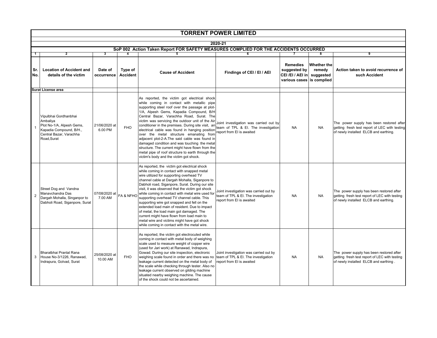|                | <b>TORRENT POWER LIMITED</b>                                                                                                       |                           |                            |                                                                                                                                                                                                                                                                                                                                                                                                                                                                                                                                                                                                                                                                                                  |                                                                                                            |                                                                               |                                           |                                                                                                                                    |  |  |  |
|----------------|------------------------------------------------------------------------------------------------------------------------------------|---------------------------|----------------------------|--------------------------------------------------------------------------------------------------------------------------------------------------------------------------------------------------------------------------------------------------------------------------------------------------------------------------------------------------------------------------------------------------------------------------------------------------------------------------------------------------------------------------------------------------------------------------------------------------------------------------------------------------------------------------------------------------|------------------------------------------------------------------------------------------------------------|-------------------------------------------------------------------------------|-------------------------------------------|------------------------------------------------------------------------------------------------------------------------------------|--|--|--|
|                | 2020-21                                                                                                                            |                           |                            |                                                                                                                                                                                                                                                                                                                                                                                                                                                                                                                                                                                                                                                                                                  |                                                                                                            |                                                                               |                                           |                                                                                                                                    |  |  |  |
|                |                                                                                                                                    |                           |                            | SoP 002 Action Taken Report FOR SAFETY MEASURES COMPLIED FOR THE ACCIDENTS OCCURRED                                                                                                                                                                                                                                                                                                                                                                                                                                                                                                                                                                                                              |                                                                                                            |                                                                               |                                           |                                                                                                                                    |  |  |  |
| 1              | $\overline{2}$                                                                                                                     | 3                         | 4                          | 5                                                                                                                                                                                                                                                                                                                                                                                                                                                                                                                                                                                                                                                                                                | 6                                                                                                          | 7                                                                             | 8                                         | 9                                                                                                                                  |  |  |  |
| Sr.<br>No.     | <b>Location of Accident and</b><br>details of the victim                                                                           | Date of<br>occurrence     | Type of<br><b>Accident</b> | <b>Cause of Accident</b>                                                                                                                                                                                                                                                                                                                                                                                                                                                                                                                                                                                                                                                                         | Findings of CEI / EI / AEI                                                                                 | <b>Remedies</b><br>suggested by<br>CEI/EI/AEI in<br>various cases is complied | <b>Whether the</b><br>remedy<br>suggested | Action taken to avoid recurrence of<br>such Accident                                                                               |  |  |  |
|                | <b>Surat License area</b>                                                                                                          |                           |                            |                                                                                                                                                                                                                                                                                                                                                                                                                                                                                                                                                                                                                                                                                                  |                                                                                                            |                                                                               |                                           |                                                                                                                                    |  |  |  |
|                | Vipulbhai Gordhanbhai<br>Ambaliya<br>Plot No-1/A, Alpesh Gems,<br>Kapadia Compound, B/H.,<br>Central Bazar, Varachha<br>Road.Surat | 21/06/2020 at<br>6.00 PM  | <b>FHO</b>                 | As reported, the victim got electrical shock<br>while coming in contact with metallic pipe<br>supporting steel roof over the passage at plot-<br>1/A, Alpesh Gems, Kapadia Compound, B/H<br>Central Bazar, Varachha Road, Surat. The<br>victim was servicing the outdoor unit of the Air<br>conditioner in the premises. During site visit, an<br>electrical cable was found in hanging position<br>over the metal structure emanating from<br>adjacent plot-2-A.The said cable was found in<br>damaged condition and was touching the metal<br>structure. The current might have flown from the<br>metal pipe of roof structure to earth through the<br>victim's body and the victim got shock. | Joint investigation was carried out by<br>team of TPL & EI. The investigation<br>report from EI is awaited | <b>NA</b>                                                                     | <b>NA</b>                                 | The power supply has been restored after<br>getting fresh test report of LEC with testing<br>of newly installed ELCB and earthing. |  |  |  |
| $\overline{2}$ | Street Dog and Vandna<br>Manavchandra Das<br>Dargah Mohalla, Singanpor to<br>Dabholi Road, Siganpore, Surat                        | 07/08/2020 at<br>7.00 AM  | FA & NFHO                  | As reported, the victim got electrical shock<br>while coming in contact with snapped metal<br>wire utilized for supporting overhead TV<br>channel cable at Dargah Mohalla, Siganpore to<br>Dabholi road, Siganpore, Surat. During our site<br>visit, it was observed that the victim got shock<br>while coming in contact with metal wire used for<br>supporting overhead TV channel cable. This<br>supporting wire got snapped and fell on the<br>extended load main of resident. Due to impact<br>of metal, the load main got damaged. The<br>current might have flown from load main to<br>metal wire and victims might have got shock<br>while coming in contact with the metal wire.        | Joint investigation was carried out by<br>team of TPL & El. The investigation<br>report from El is awaited | <b>NA</b>                                                                     | <b>NA</b>                                 | The power supply has been restored after<br>getting fresh test report of LEC with testing<br>of newly installed ELCB and earthing. |  |  |  |
| 3              | Bharatbhai Pranlal Rana<br>House No-3/1226, Ranawad,<br>Indrapura, Golvad, Surat                                                   | 25/08/2020 at<br>10.00 AM | <b>FHO</b>                 | As reported, the victim got electrocuted while<br>coming in contact with metal body of weighing<br>scale used to measure weight of copper wire<br>(used for Jari work) at Ranawad, Indrapura,<br>Gowad. During our site inspection, electronic<br>weighing scale found in order and there was no<br>leakage current detected on the metal body of<br>the scale while checking through tester. Also no<br>leakage current observed on gilding machine<br>situated nearby weighing machine. The cause<br>of the shock could not be ascertained.                                                                                                                                                    | Joint investigation was carried out by<br>team of TPL & EI. The investigation<br>report from EI is awaited | <b>NA</b>                                                                     | <b>NA</b>                                 | The power supply has been restored after<br>getting fresh test report of LEC with testing<br>of newly installed ELCB and earthing. |  |  |  |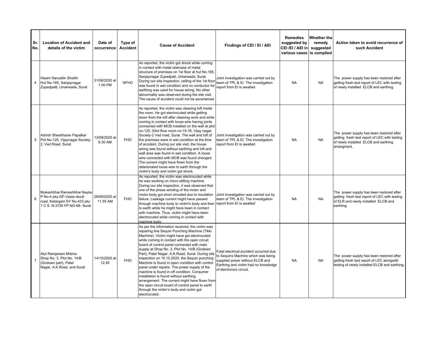| Sr.<br>No.     | <b>Location of Accident and</b><br>details of the victim                                                                  | Date of<br>occurrence     | Type of<br><b>Accident</b> | <b>Cause of Accident</b>                                                                                                                                                                                                                                                                                                                                                                                                                                                                                                                                                                                                                                                                                                                                           | Findings of CEI / EI / AEI                                                                                                                                                         | <b>Remedies</b><br>suggested by<br>CEI/EI/AEI in<br>various cases is complied | <b>Whether the</b><br>remedy<br>suggested | Action taken to avoid recurrence of<br>such Accident                                                                                             |
|----------------|---------------------------------------------------------------------------------------------------------------------------|---------------------------|----------------------------|--------------------------------------------------------------------------------------------------------------------------------------------------------------------------------------------------------------------------------------------------------------------------------------------------------------------------------------------------------------------------------------------------------------------------------------------------------------------------------------------------------------------------------------------------------------------------------------------------------------------------------------------------------------------------------------------------------------------------------------------------------------------|------------------------------------------------------------------------------------------------------------------------------------------------------------------------------------|-------------------------------------------------------------------------------|-------------------------------------------|--------------------------------------------------------------------------------------------------------------------------------------------------|
| 4              | Hasim Naruddin Shaikh<br>Hut No-185, Sanjaynagar<br>Zupadpatti, Umarwada, Surat                                           | 31/08/2020 at<br>1.00 PM  | <b>NFHO</b>                | As reported, the victim got shock while coming<br>in contact with metal staircase of metal<br>structure of premises on 1st floor at hut No-185,<br>Sanjaynagar Zupadpati, Umarwada, Surat.<br>During our site inspection, celling of the 1st floor<br>was found in wet condition and no conductor for<br>earthing was used for house wiring. No other<br>abnormality was observed during the site visit.<br>The cause of accident could not be ascertained.                                                                                                                                                                                                                                                                                                        | Joint investigation was carried out by<br>team of TPL & EI. The investigation<br>report from EI is awaited                                                                         | <b>NA</b>                                                                     | <b>NA</b>                                 | The power supply has been restored after<br>getting fresh test report of LEC with testing<br>of newly installed ELCB and earthing.               |
| 5              | Ashish Sheshharav Papalkar<br>Pot No-125, Vijaynagar Society-<br>2, Ved Road, Surat                                       | 13/09/2020 at<br>6.30 AM  | <b>FHO</b>                 | As reported, the victim was cleaning loft inside<br>the room. He got electrocuted while getting<br>down from the loft after cleaning work and while<br>coming in contact with loose wire having joints<br>connected with MCB installed on the wall at plot<br>no-125, 03rd floor room no-15-16, Vijay nagar<br>Society-2 Ved road, Surat. The wall and loft of<br>the premises were in wet condition at the time<br>of accident. During our site visit, the house<br>wiring was found without earthing and loft and<br>wall area was found in wet condition. A loose<br>wire connected with MCB was found changed.<br>The current might have flown from the<br>deteriorated loose wire to earth through the<br>victim's body and victim got shock.                 | Joint investigation was carried out by<br>team of TPL & El. The investigation<br>report from EI is awaited                                                                         | <b>NA</b>                                                                     | <b>NA</b>                                 | The power supply has been restored after<br>getting fresh test report of LEC with testing<br>of newly installed ELCB and earthing<br>arrangment. |
| 6              | Mukeshbhai Rameshbhai Nayka<br>P No-4 pky-GF-Vasta devdi<br>road, Katargam SY No-433 pky<br>1 C S. N-3726 FP NO-68- Surat | 26/09/2020 at<br>11.55 AM | <b>FHO</b>                 | As reported, the victim was electrocuted while<br>he was working on micro slitting machine.<br>During our site inspection, it was observed that<br>one of the phase winding of the motor and<br>motor body got short circuited due to insulation<br>failure. Leakage current might have passed<br>through machine body to victim's body and then report from EI is awaited<br>to earth while he might have been in contact<br>with machine. Thus, victim might have been<br>electrocuted while coming in contact with<br>machine body.                                                                                                                                                                                                                             | Joint investigation was carried out by<br>team of TPL & EI. The investigation                                                                                                      | <b>NA</b>                                                                     | <b>NA</b>                                 | The power supply has been restored after<br>getting fresh test report of LEC with testing<br>of ELR and newly installed ELCB and<br>earthing.    |
| $\overline{7}$ | Atul Ramjanam Mishra<br>Shop No. 3, Plot No. 14/B<br>(Godown part), Patel<br>Nagar, A.K.Road, and Surat                   | 14/10/2020 at<br>12.45    | <b>FHO</b>                 | As per the information received, the victim was<br>repairing line Sequin Punching Machine (Tikki<br>Machine). Victim might have got electrocuted<br>while coming in contact with the open circuit<br>board of control panel connected with main<br>supply at Shop No. 3, Plot No. 14/B (Godown<br>Part), Patel Nagar, A.K.Road, Surat. During site<br>inspection on 15.10.2020, the Sequin punching<br>Machine is found in open condition with control<br>panel under repairs. The power supply of the<br>machine is found in off condition. Consumer<br>installation is found without earthing<br>arrangement. The current might have flown from<br>the open circuit board of control panel to earth<br>through the victim's body and victim got<br>electrocuted. | Fatal electrical accident occurred due<br>to Sequins Machine which was being<br>supplied power without ELCB and<br>Earthing and victim had no knowledge<br>of electronics circuit. | <b>NA</b>                                                                     | <b>NA</b>                                 | The power supply has been restored after<br>getting fresh test report of LEC alongwith<br>testing of newly installed ELCB and earthing.          |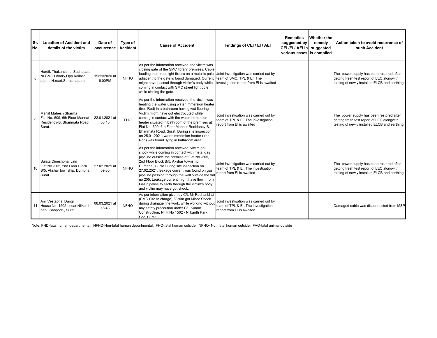| Sr.<br>No.      | <b>Location of Accident and</b><br>details of the victim                                            | Date of<br>occurrence   | Type of<br><b>Accident</b> | <b>Cause of Accident</b>                                                                                                                                                                                                                                                                                                                                                                                                                                                                | Findings of CEI / EI / AEI                                                                                 | <b>Remedies</b><br>suggested by<br>CEI/EI/AEI in<br>various cases is complied | Whether the<br>remedy<br>suggested | Action taken to avoid recurrence of<br>such Accident                                                                                    |
|-----------------|-----------------------------------------------------------------------------------------------------|-------------------------|----------------------------|-----------------------------------------------------------------------------------------------------------------------------------------------------------------------------------------------------------------------------------------------------------------------------------------------------------------------------------------------------------------------------------------------------------------------------------------------------------------------------------------|------------------------------------------------------------------------------------------------------------|-------------------------------------------------------------------------------|------------------------------------|-----------------------------------------------------------------------------------------------------------------------------------------|
|                 | Hardik Thakarsibhai Sachapara<br>Nr.SMC Library, Opp Kailash<br>appt, L.H.road, Suratchapara        | 19/11/2020 at<br>6.00PM | <b>NFHO</b>                | As per the information received, the victim was<br>closing gate of the SMC library premises. Cable<br>feeding the street light fixture on a metallic pole Joint investigation was carried out by<br>adjacent to the gate is found damaged. Current team of SMC, TPL & EI. The<br>might have passed through victim's body while<br>coming in contact with SMC street light pole<br>while closing the gate.                                                                               | investigation report from EI is awaited                                                                    |                                                                               |                                    | The power supply has been restored after<br>getting fresh test report of LEC alongwith<br>testing of newly installed ELCB and earthing. |
|                 | Manjit Mahesh Sharma<br>Flat No.-609, 6th Floor Mannat<br>Residency-B, Bharimata Road,<br>Surat.    | 22.01.2021 at<br>08:10  | <b>FHO</b>                 | As per the information received, the victim was<br>heating the water using water immersion heater<br>(Iron Rod) in a bathroom having wet flooring.<br>Victim might have got electrocuted while<br>coming in contact with the water immersion<br>heater situated in bathroom of the premises at<br>Flat No.-609, 6th Floor Mannat Residency-B,<br>Bharimata Road, Surat. During site inspection<br>on 25.01.2021, water immersion heater (Iron<br>Rod) was found lying in bathroom area. | Joint investigation was carried out by<br>team of TPL & El. The investigation<br>report from El is awaited |                                                                               |                                    | The power supply has been restored after<br>getting fresh test report of LEC alongwith<br>testing of newly installed ELCB and earthing. |
| 10 <sup>1</sup> | Sujata Dineshbhai Jain<br>Flat No.-205, 2nd Floor Block<br>B/5, Akshar township, Dumbhal,<br>Surat. | 27.02.2021 at<br>09:30  | <b>NFHO</b>                | As per the information received, victim got<br>shock while coming in contact with metal gas<br>pipeline outside the premise of Flat No.-205,<br>2nd Floor Block B/5, Akshar township,<br>Dumbhal, Surat.During site inspection on<br>27.02.2021, leakage current was found on gas<br>pipeline passing through the wall outside the flat<br>no 205. Leakage current might have flown from<br>Gas pipeline to earth through the victim's body<br>and victim may have got shock.           | Joint investigation was carried out by<br>team of TPL & El. The investigation<br>report from El is awaited |                                                                               |                                    | The power supply has been restored after<br>getting fresh test report of LEC alongwith<br>testing of newly installed ELCB and earthing. |
|                 | Anil Vestabhai Dangi<br>11 House No. 1502, near Nilkanth<br>park, Sahpore, Surat                    | 08.03.2021 at<br>18:43  | <b>NFHO</b>                | As per information given by C/L Mr Roshanbhai<br>(SMC Site In charge), Victim got Minor Shock<br>during drainage line work, while working without vormer than of TPL & El. The investigation<br>any safety precaution under C/L Kumar<br>Construction, Nr H No 1502 - Nilkanth Park<br>Soc, Surat.                                                                                                                                                                                      | Joint investigation was carried out by<br>report from EI is awaited                                        |                                                                               |                                    | Damaged cable was disconnected from MSP                                                                                                 |

Note: FHD-fatal human departmental, NFHD-Non-fatal human departmental, FHO-fatal human outside, NFHO- Non fatal human outside, FAO-fatal animal outside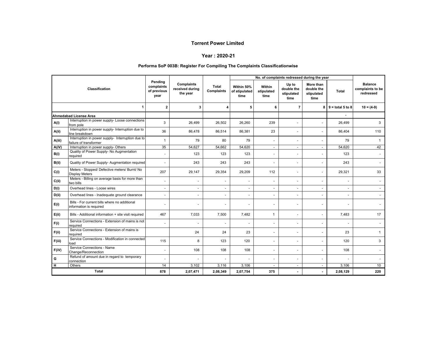#### **Year : 2020-21**

#### **Performa SoP 003B: Register For Compiling The Complaints Classificationwise**

|        |                                                                             |                                              |                                           |                            |                                     |                              |                                           | No. of complaints redressed during the year   |                           |                                                 |
|--------|-----------------------------------------------------------------------------|----------------------------------------------|-------------------------------------------|----------------------------|-------------------------------------|------------------------------|-------------------------------------------|-----------------------------------------------|---------------------------|-------------------------------------------------|
|        | Classification                                                              | Pending<br>complaints<br>of previous<br>year | Complaints<br>received during<br>the year | <b>Total</b><br>Complaints | Within 50%<br>of stipulated<br>time | Within<br>stipulated<br>time | Up to<br>double the<br>stipulated<br>time | More than<br>double the<br>stipulated<br>time | Total                     | <b>Balance</b><br>complaints to be<br>redressed |
|        | $\mathbf 1$                                                                 | $\mathbf{2}$                                 | 3                                         | 4                          | 5                                   | 6                            | 7                                         |                                               | $8 \mid 9$ = total 5 to 8 | $10 = (4-9)$                                    |
|        | Ahmedabad License Area                                                      |                                              |                                           |                            |                                     |                              |                                           |                                               |                           |                                                 |
| A(i)   | Interruption in power supply- Loose connections<br>from pole                | 3                                            | 26,499                                    | 26,502                     | 26,260                              | 239                          |                                           |                                               | 26,499                    | 3                                               |
| A(ii)  | Interruption in power supply- Interruption due to<br>line breakdown         | 36                                           | 86,478                                    | 86,514                     | 86,381                              | 23                           | $\sim$                                    | ٠                                             | 86,404                    | 110                                             |
| A(iii) | Interruption in power supply- Interruption due to<br>failure of transformer | $\mathbf{1}$                                 | 79                                        | 80                         | 79                                  |                              |                                           |                                               | 79                        | -1                                              |
| A(iV)  | Interruption in power supply- Others                                        | 35                                           | 54.627                                    | $\overline{54,662}$        | 54.620                              | $\sim$                       | $\sim$                                    | $\sim$                                        | 54.620                    | 42                                              |
| B(i)   | Quality of Power Supply- No Augmentation<br>required                        | $\overline{\phantom{a}}$                     | 123                                       | 123                        | 123                                 |                              |                                           | $\overline{a}$                                | 123                       |                                                 |
| B(ii)  | Quality of Power Supply- Augmentation required                              | $\ddot{\phantom{1}}$                         | 243                                       | 243                        | 243                                 |                              |                                           |                                               | 243                       |                                                 |
| C(i)   | Meters - Stopped/ Defective meters/ Burnt/ No<br><b>Display Meters</b>      | 207                                          | 29,147                                    | 29,354                     | 29,209                              | 112                          | $\blacksquare$                            | ٠                                             | 29,321                    | 33                                              |
| C(i)   | Meters - Billing on average basis for more than<br>two bills                | $\overline{\phantom{a}}$                     |                                           |                            | $\blacksquare$                      |                              |                                           | ٠                                             | ÷,                        |                                                 |
| D(i)   | Overhead lines - Loose wires                                                | $\overline{\phantom{a}}$                     | $\blacksquare$                            | ٠                          | $\overline{\phantom{a}}$            | $\sim$                       | $\sim$                                    | $\sim$                                        | $\overline{\phantom{a}}$  |                                                 |
| D(ii)  | Overhead lines - Inadequate ground clearance                                |                                              |                                           |                            | $\sim$                              |                              |                                           |                                               | ÷.                        |                                                 |
| E(i)   | Bills - For current bills where no additional<br>information is required    | ÷.                                           |                                           |                            | $\overline{\phantom{a}}$            |                              |                                           |                                               | ä,                        |                                                 |
| E(ii)  | Bills - Additional information + site visit required                        | 467                                          | 7,033                                     | 7,500                      | 7,482                               | $\mathbf{1}$                 |                                           |                                               | 7,483                     | 17                                              |
| F(i)   | Service Connections - Extension of mains is not<br>required                 | $\overline{\phantom{a}}$                     |                                           |                            | $\blacksquare$                      |                              |                                           | ٠                                             | ÷,                        |                                                 |
| F(ii)  | Service Connections - Extension of mains is<br>required                     |                                              | 24                                        | 24                         | 23                                  | $\sim$                       |                                           | ٠                                             | 23                        | -1                                              |
| F(iii) | Service Connections - Modification in connected<br>load                     | 115                                          | 8                                         | 123                        | 120                                 |                              |                                           |                                               | 120                       | 3                                               |
| F(iV)  | Service Connections - Name<br>Change/Reconnection                           | ÷.                                           | 108                                       | 108                        | 108                                 | ÷.                           | ÷.                                        | ä,                                            | 108                       |                                                 |
| G      | Refund of amount due in regard to temporary<br>connection                   | $\blacksquare$                               |                                           |                            | $\overline{\phantom{a}}$            | $\sim$                       |                                           |                                               | ä,                        |                                                 |
| н      | Others                                                                      | 14                                           | 3,102                                     | 3,116                      | 3,106                               |                              |                                           | $\overline{a}$                                | 3,106                     | 10                                              |
|        | <b>Total</b>                                                                | 878                                          | 2,07,471                                  | 2,08,349                   | 2,07,754                            | 375                          |                                           |                                               | 2,08,129                  | 220                                             |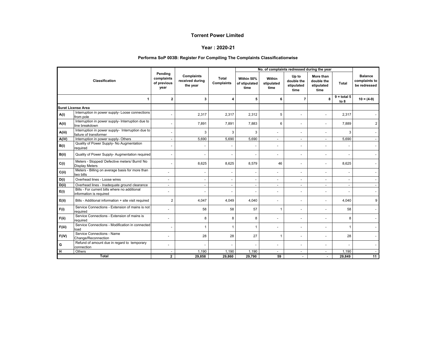#### **Year : 2020-21**

#### **Performa SoP 003B: Register For Compiling The Complaints Classificationwise**

|        |                                                                             |                                              |                                                  |                            |                                     | No. of complaints redressed during the year |                                           |                                               |                       |                                                 |
|--------|-----------------------------------------------------------------------------|----------------------------------------------|--------------------------------------------------|----------------------------|-------------------------------------|---------------------------------------------|-------------------------------------------|-----------------------------------------------|-----------------------|-------------------------------------------------|
|        | Classification                                                              | Pending<br>complaints<br>of previous<br>year | <b>Complaints</b><br>received during<br>the year | Total<br><b>Complaints</b> | Within 50%<br>of stipulated<br>time | Within<br>stipulated<br>time                | Up to<br>double the<br>stipulated<br>time | More than<br>double the<br>stipulated<br>time | <b>Total</b>          | <b>Balance</b><br>complaints to<br>be redressed |
|        | 1                                                                           | $\overline{2}$                               | 3                                                | Δ                          | 5                                   | 6                                           | $\overline{7}$                            | 8                                             | $9 =$ total 5<br>to 8 | $10 = (4-9)$                                    |
|        | <b>Surat License Area</b>                                                   |                                              |                                                  |                            |                                     |                                             |                                           |                                               |                       |                                                 |
| A(i)   | Interruption in power supply- Loose connections<br>from pole                |                                              | 2,317                                            | 2,317                      | 2,312                               | 5                                           |                                           | $\overline{\phantom{a}}$                      | 2,317                 |                                                 |
| A(ii)  | Interruption in power supply- Interruption due to<br>line breakdown         |                                              | 7,891                                            | 7,891                      | 7,883                               | 6                                           |                                           | $\blacksquare$                                | 7,889                 | 2                                               |
| A(iii) | Interruption in power supply- Interruption due to<br>failure of transformer |                                              | 3                                                | 3                          | 3                                   |                                             |                                           | $\blacksquare$                                | 3                     |                                                 |
| A(iV)  | Interruption in power supply- Others                                        | $\sim$                                       | 5,690                                            | 5,690                      | 5,690                               | $\sim$                                      | $\overline{\phantom{a}}$                  | ٠                                             | 5,690                 |                                                 |
| B(i)   | Quality of Power Supply- No Augmentation<br>required                        | $\overline{\phantom{a}}$                     |                                                  | $\overline{\phantom{a}}$   |                                     |                                             |                                           | $\blacksquare$                                |                       |                                                 |
| B(ii)  | Quality of Power Supply- Augmentation required                              | $\overline{\phantom{a}}$                     |                                                  | $\overline{\phantom{a}}$   |                                     |                                             |                                           | $\blacksquare$                                |                       |                                                 |
| C(i)   | Meters - Stopped/ Defective meters/ Burnt/ No<br><b>Display Meters</b>      | $\overline{\phantom{a}}$                     | 8,625                                            | 8,625                      | 8,579                               | 46                                          |                                           | $\overline{\phantom{a}}$                      | 8,625                 |                                                 |
| C(i)   | Meters - Billing on average basis for more than<br>two bills                |                                              |                                                  | $\overline{\phantom{a}}$   |                                     | $\overline{\phantom{a}}$                    |                                           | $\blacksquare$                                |                       |                                                 |
| D(i)   | Overhead lines - Loose wires                                                | $\sim$                                       | $\overline{\phantom{a}}$                         | $\ddot{\phantom{1}}$       |                                     |                                             |                                           | $\blacksquare$                                |                       |                                                 |
| D(i)   | Overhead lines - Inadequate ground clearance                                | $\sim$                                       | $\overline{\phantom{a}}$                         | $\overline{\phantom{a}}$   | $\overline{\phantom{a}}$            | $\overline{\phantom{a}}$                    | $\overline{\phantom{a}}$                  | $\overline{\phantom{a}}$                      |                       |                                                 |
| E(i)   | Bills - For current bills where no additional<br>information is required    |                                              | $\overline{\phantom{a}}$                         | $\overline{\phantom{a}}$   |                                     | $\ddot{\phantom{1}}$                        | $\blacksquare$                            | $\blacksquare$                                |                       |                                                 |
| E(ii)  | Bills - Additional information + site visit required                        | $\overline{2}$                               | 4,047                                            | 4,049                      | 4,040                               | $\ddot{\phantom{1}}$                        |                                           | $\blacksquare$                                | 4,040                 | 9                                               |
| F(i)   | Service Connections - Extension of mains is not<br>required                 |                                              | 58                                               | 58                         | 57                                  | $\overline{1}$                              |                                           | $\blacksquare$                                | 58                    |                                                 |
| F(ii)  | Service Connections - Extension of mains is<br>required                     |                                              | 8                                                | 8                          | 8                                   |                                             |                                           | $\blacksquare$                                | 8                     |                                                 |
| F(iii) | Service Connections - Modification in connected<br>load                     | $\overline{\phantom{a}}$                     | $\mathbf{1}$                                     | 1                          | $\mathbf{1}$                        |                                             |                                           | $\blacksquare$                                |                       |                                                 |
| F(iV)  | Service Connections - Name<br>Change/Reconnection                           | $\ddot{\phantom{1}}$                         | 28                                               | 28                         | 27                                  | 1                                           |                                           | $\overline{\phantom{a}}$                      | 28                    |                                                 |
| G      | Refund of amount due in regard to temporary<br>connection                   |                                              |                                                  | $\overline{\phantom{a}}$   |                                     | $\ddot{\phantom{1}}$                        |                                           | $\blacksquare$                                |                       |                                                 |
| н      | Others                                                                      |                                              | 1,190                                            | 1,190                      | 1,190                               | $\overline{\phantom{a}}$                    | $\overline{\phantom{a}}$                  | $\overline{\phantom{a}}$                      | 1,190                 |                                                 |
|        | <b>Total</b>                                                                | $\mathbf{2}$                                 | 29,858                                           | 29,860                     | 29,790                              | 59                                          |                                           |                                               | 29,849                | 11                                              |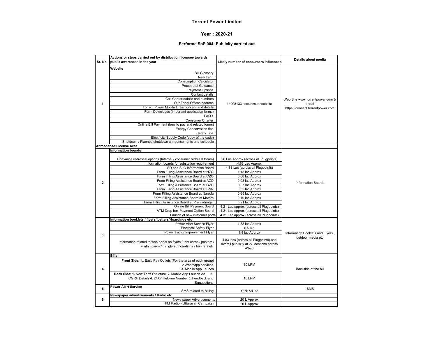#### **Year : 2020-21**

#### **Performa SoP 004: Publicity carried out**

|                | Actions or steps carried out by distribution licensee towards        |                                          | Details about media              |  |  |
|----------------|----------------------------------------------------------------------|------------------------------------------|----------------------------------|--|--|
| Sr. No.        | public awareness in the year                                         | Likely number of consumers influenced    |                                  |  |  |
|                | Website                                                              |                                          |                                  |  |  |
|                | <b>Bill Glossary</b>                                                 |                                          |                                  |  |  |
|                | New Tariff                                                           |                                          |                                  |  |  |
|                | <b>Consumption Calculator</b>                                        |                                          |                                  |  |  |
|                | Procedural Guidance                                                  |                                          |                                  |  |  |
|                | <b>Payment Options</b>                                               |                                          |                                  |  |  |
|                | Contact details                                                      |                                          |                                  |  |  |
|                | Call Center details and numbers                                      |                                          | Web Site www.torrentpower.com &  |  |  |
| 1              | Our Zonal Offices address                                            | 14008133 sessions to website             | portal                           |  |  |
|                | Torrent Power Mobile Links concept and details                       |                                          | https://connect.torrentpower.com |  |  |
|                | Form Downloads (important application forms)                         |                                          |                                  |  |  |
|                | FAQ's                                                                |                                          |                                  |  |  |
|                | <b>Consumer Charter</b>                                              |                                          |                                  |  |  |
|                | Online Bill Payment (how to pay and related forms)                   |                                          |                                  |  |  |
|                | <b>Energy Conservation tips</b>                                      |                                          |                                  |  |  |
|                | Safety Tips                                                          |                                          |                                  |  |  |
|                | Electricity Supply Code (copy of the code)                           |                                          |                                  |  |  |
|                | Shutdown / Planned shutdown announcements and schedule               |                                          |                                  |  |  |
|                | Ahmedabad License Area                                               |                                          |                                  |  |  |
|                | <b>Information boards</b>                                            |                                          |                                  |  |  |
|                |                                                                      |                                          |                                  |  |  |
|                | Grievance redressal options (Internal / consumer redresal forum)     | 20 Lac Approx (across all Plugpoints)    |                                  |  |  |
|                | Information boards for substation requirement                        | 4.83 Lac Approx                          |                                  |  |  |
|                | SD and SLC Information Board                                         | 4.83 Lac (across all Plugpoints)         |                                  |  |  |
|                | Form Filling Assistance Board at NZO                                 | 1.13 lac Approx                          |                                  |  |  |
|                | Form Filling Assistance Board at CZO                                 | 0.68 lac Approx                          |                                  |  |  |
| $\overline{2}$ | Form Filling Assistance Board at AZO                                 | 0.93 lac Approx                          | <b>Information Boards</b>        |  |  |
|                | Form Filling Assistance Board at GZO                                 | 0.37 lac Approx                          |                                  |  |  |
|                | Form Filling Assistance Board at SNN                                 | 0.65 lac Approx                          |                                  |  |  |
|                | Form Filling Assistance Board at Naroda                              | 0.65 lac Approx                          |                                  |  |  |
|                | Form Filling Assistance Board at Motera                              | 0.19 lac Approx                          |                                  |  |  |
|                | Form Filling Assistance Board at Prahladnagar                        | 0.21 lac Approx                          |                                  |  |  |
|                | Online Bill Payment Board                                            | 4.21 Lac approx (across all Plugpoints)  |                                  |  |  |
|                | ATM Drop box Payment Option Board                                    | 4.21 Lac approx (across all Plugpoints)  |                                  |  |  |
|                | Launch of new customer porta                                         | 4.21 Lac approx (across all Plugpoints)  |                                  |  |  |
|                | Information booklets / flyers/ Letters/Hoardings etc                 |                                          |                                  |  |  |
|                | Power Alert Service Flyer                                            | 4.83 lac Approx                          |                                  |  |  |
|                | <b>Electrical Safety Flyer</b>                                       | $0.5$ lac                                |                                  |  |  |
| 3              | Power Factor Improvement Flyer                                       | 1.4 lac Approx                           | Information Booklets and Flyers, |  |  |
|                |                                                                      | 4.83 lacs (across all Plugpoints) and    | outdoor media etc                |  |  |
|                | Information related to web portal on flyers / tent cards / posters / | overall publicity at 27 locations across |                                  |  |  |
|                | visitng cards / danglers / hoardings / banners etc                   | A'bad                                    |                                  |  |  |
|                |                                                                      |                                          |                                  |  |  |
|                | <b>Bills</b>                                                         |                                          |                                  |  |  |
|                | Front Side: 1 Easy Pay Outlets (For the area of each group)          |                                          |                                  |  |  |
|                | 2. Whatsapp services                                                 | 10 LPM                                   |                                  |  |  |
| 4              | 3. Mobile App Launch                                                 |                                          | Backside of the bill             |  |  |
|                | Back Side: 1. New Tariff Structure 2. Mobile App Launch Ad<br>3.     |                                          |                                  |  |  |
|                | CGRF Details 4. 24X7 Helpline Number 5. Feedback and                 | 10 LPM                                   |                                  |  |  |
|                | Suggestions                                                          |                                          |                                  |  |  |
| 5              | <b>Power Alert Service</b>                                           |                                          | <b>SMS</b>                       |  |  |
|                | SMS related to Billing                                               | 1576.58 lac                              |                                  |  |  |
|                | Newspaper advertisements / Radio etc                                 |                                          |                                  |  |  |
| 6              | News paper Advertisements                                            | 20 L Approx                              |                                  |  |  |
|                | FM Radio - Uttarayan Campaign                                        | 20 L Approx                              |                                  |  |  |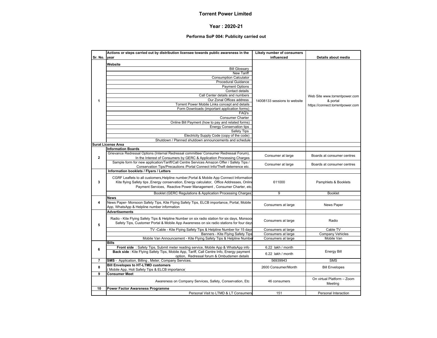#### **Year : 2020-21**

#### **Performa SoP 004: Publicity carried out**

|                | Actions or steps carried out by distribution licensee towards public awareness in the        | Likely number of consumers   |                                  |
|----------------|----------------------------------------------------------------------------------------------|------------------------------|----------------------------------|
| Sr. No.        | vear                                                                                         | influenced                   | Details about media              |
|                | Website                                                                                      |                              |                                  |
|                | <b>Bill Glossary</b>                                                                         |                              |                                  |
|                | New Tariff                                                                                   |                              |                                  |
|                | <b>Consumption Calculator</b>                                                                |                              |                                  |
|                | <b>Procedural Guidance</b>                                                                   |                              |                                  |
|                | <b>Payment Options</b>                                                                       |                              |                                  |
|                | Contact details                                                                              |                              |                                  |
|                | Call Center details and numbers                                                              |                              |                                  |
|                | Our Zonal Offices address                                                                    |                              | Web Site www.torrentpower.com    |
| $\mathbf{1}$   | Torrent Power Mobile Links concept and details                                               | 14008133 sessions to website | & portal                         |
|                |                                                                                              |                              | https://connect.torrentpower.com |
|                | Form Downloads (important application forms)<br>FAQ's                                        |                              |                                  |
|                |                                                                                              |                              |                                  |
|                | <b>Consumer Charter</b>                                                                      |                              |                                  |
|                | Online Bill Payment (how to pay and related forms)                                           |                              |                                  |
|                | <b>Energy Conservation tips</b>                                                              |                              |                                  |
|                | Safety Tips                                                                                  |                              |                                  |
|                | Electricity Supply Code (copy of the code)                                                   |                              |                                  |
|                | Shutdown / Planned shutdown announcements and schedule                                       |                              |                                  |
|                | Surat License Area                                                                           |                              |                                  |
|                | <b>Information Boards</b>                                                                    |                              |                                  |
|                | Grievance Redressal Options (Internal Redressal committee/ Consumer Redressal Forum),        | Consumer at large            | Boards at consumer centres       |
| $\overline{2}$ | In the Interest of Consumers by GERC & Application Processing Charges                        |                              |                                  |
|                | Sample form for new application/Tariff/Call Centre Services Amazon Offer / Safety Tips /     | Consumer at large            | Boards at consumer centres       |
|                | Conservation Tips/Precautions /Portal Connect Info/Theft deterrence etc.                     |                              |                                  |
|                | Information booklets / Flyers / Letters                                                      |                              |                                  |
|                | CGRF Leaflets to all customers, Helpline number, Portal & Mobile App Connect Information     |                              |                                  |
| 3              | Kite flying Safety tips , Energy conservation, Energy calculator, Office Addresses, Online   | 611000                       | Pamphlets & Booklets             |
|                | Payment Services, Reactive Power Management, Consumer Charter, etc.                          |                              |                                  |
|                |                                                                                              |                              |                                  |
|                | Booklet (GERC Regulations & Application Processing Charges)                                  | $\overline{9}$               | <b>Booklet</b>                   |
|                | <b>News</b>                                                                                  |                              |                                  |
| 4              | News Paper- Monsoon Safety Tips, Kite Flying Safety Tips, ELCB importance, Portal, Mobile    | Consumers at large           | <b>News Paper</b>                |
|                | App, WhatsApp & Helpline number information                                                  |                              |                                  |
|                | <b>Advertisements</b>                                                                        |                              |                                  |
|                | Radio - Kite Flying Safety Tips & Helpline Number on six radio station for six days, Monsoor |                              |                                  |
|                | Safety Tips, Customer Portal & Mobile App Awareness on six radio stations for four days      | Consumers at large           | Radio                            |
| 5              |                                                                                              |                              |                                  |
|                | TV -Cable - Kite Flying Safety Tips & Helpline Number for 15 days                            | Consumers at large           | Cable TV                         |
|                | Banners - Kite Flying Safety Tips                                                            | Consumers at large           | Company Vehicles                 |
|                | Mobile Van Announcement - Kite Flying Safety Tips & Helpline Numbe                           | Consumers at large           | Mobile Van                       |
|                | <b>Bills</b>                                                                                 |                              |                                  |
| 6              | Front side: Safety Tips, Submit meter reading service, Mobile App & WhatsApp info            | 6.22 lakh / month            |                                  |
|                | Back side: Kite Flying Safety Tips, Mobile App, Tariff, Call Centre Info, Energy payment     | 6.22 lakh / month            | <b>Energy Bill</b>               |
|                | option, Redressal forum & Ombudsmen details                                                  |                              |                                  |
| $\overline{7}$ | SMS - Application, Billing, Meter, Company Services.                                         | 56939943                     | <b>SMS</b>                       |
| 8              | <b>Bill Envelopes to HT-LTMD customers</b>                                                   |                              |                                  |
|                | Mobile App, Holi Safety Tips & ELCB importance)                                              | 2600 Consumer/Month          | <b>Bill Envelopes</b>            |
| 9              | <b>Consumer Meet</b>                                                                         |                              |                                  |
|                |                                                                                              |                              | On virtual Platform - Zoom       |
|                | Awareness on Company Services, Safety, Conservation, Etc                                     | 46 consumers                 | Meeting                          |
| 10             | Power Factor Awareness Programme                                                             |                              |                                  |
|                | Personal Visit to LTMD & LT Consumers                                                        | 151                          | Personal Interaction             |
|                |                                                                                              |                              |                                  |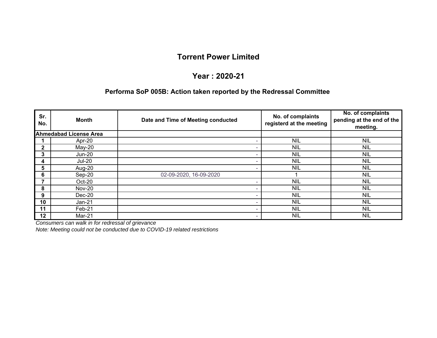## **Year : 2020-21**

#### **Performa SoP 005B: Action taken reported by the Redressal Committee**

| Sr.<br>No.   | Month                         | Date and Time of Meeting conducted | No. of complaints<br>registerd at the meeting | No. of complaints<br>pending at the end of the<br>meeting. |
|--------------|-------------------------------|------------------------------------|-----------------------------------------------|------------------------------------------------------------|
|              | <b>Ahmedabad License Area</b> |                                    |                                               |                                                            |
|              | Apr-20                        |                                    | <b>NIL</b>                                    | NIL                                                        |
| $\mathbf{2}$ | $May-20$                      |                                    | <b>NIL</b>                                    | NIL                                                        |
| 3            | Jun-20                        |                                    | <b>NIL</b>                                    | NIL.                                                       |
| 4            | <b>Jul-20</b>                 |                                    | <b>NIL</b>                                    | NIL                                                        |
| 5            | Aug-20                        |                                    | <b>NIL</b>                                    | NIL                                                        |
| 6            | Sep-20                        | 02-09-2020, 16-09-2020             |                                               | <b>NIL</b>                                                 |
| 7            | Oct-20                        |                                    | <b>NIL</b>                                    | NIL                                                        |
| 8            | <b>Nov-20</b>                 |                                    | <b>NIL</b>                                    | NIL                                                        |
| 9            | $Dec-20$                      |                                    | <b>NIL</b>                                    | <b>NIL</b>                                                 |
| 10           | Jan-21                        |                                    | <b>NIL</b>                                    | <b>NIL</b>                                                 |
| 11           | Feb-21                        |                                    | <b>NIL</b>                                    | NIL                                                        |
| 12           | Mar-21                        |                                    | <b>NIL</b>                                    | <b>NIL</b>                                                 |

*Consumers can walk in for redressal of grievance*

*Note: Meeting could not be conducted due to COVID-19 related restrictions*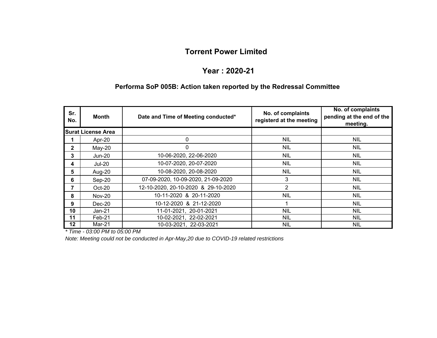### **Year : 2020-21**

#### **Performa SoP 005B: Action taken reported by the Redressal Committee**

| Sr.<br>No.   | <b>Month</b>              | Date and Time of Meeting conducted* | No. of complaints<br>registerd at the meeting | No. of complaints<br>pending at the end of the<br>meeting. |
|--------------|---------------------------|-------------------------------------|-----------------------------------------------|------------------------------------------------------------|
|              | <b>Surat License Area</b> |                                     |                                               |                                                            |
|              | Apr-20                    | 0                                   | <b>NIL</b>                                    | <b>NIL</b>                                                 |
| $\mathbf{2}$ | $May-20$                  | 0                                   | <b>NIL</b>                                    | <b>NIL</b>                                                 |
| 3            | <b>Jun-20</b>             | 10-06-2020, 22-06-2020              | <b>NIL</b>                                    | NIL                                                        |
| 4            | <b>Jul-20</b>             | 10-07-2020, 20-07-2020              | <b>NIL</b>                                    | NIL                                                        |
| 5            | Aug-20                    | 10-08-2020, 20-08-2020              | <b>NIL</b>                                    | <b>NIL</b>                                                 |
| 6            | Sep-20                    | 07-09-2020, 10-09-2020, 21-09-2020  | 3                                             | <b>NIL</b>                                                 |
| 7            | Oct-20                    | 12-10-2020, 20-10-2020 & 29-10-2020 | 2                                             | <b>NIL</b>                                                 |
| 8            | <b>Nov-20</b>             | 10-11-2020 & 20-11-2020             | <b>NIL</b>                                    | <b>NIL</b>                                                 |
| 9            | Dec-20                    | 10-12-2020 & 21-12-2020             |                                               | <b>NIL</b>                                                 |
| 10           | $Jan-21$                  | 11-01-2021, 20-01-2021              | <b>NIL</b>                                    | <b>NIL</b>                                                 |
| 11           | Feb-21                    | 10-02-2021, 22-02-2021              | <b>NIL</b>                                    | <b>NIL</b>                                                 |
| $12 \,$      | Mar-21                    | 10-03-2021, 22-03-2021              | <b>NIL</b>                                    | <b>NIL</b>                                                 |

*\* Time - 03:00 PM to 05:00 PM*

*Note: Meeting could not be conducted in Apr-May,20 due to COVID-19 related restrictions*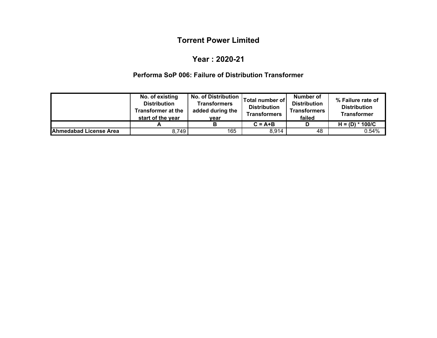#### **Year : 2020-21**

### **Performa SoP 006: Failure of Distribution Transformer**

|                               | No. of existing<br><b>Distribution</b><br><b>Transformer at the</b><br>start of the year | <b>No. of Distribution</b><br><b>Transformers</b><br>added during the<br>vear | Total number of<br><b>Distribution</b><br><b>Transformers</b> | Number of<br><b>Distribution</b><br><b>Transformers</b><br>failed | % Failure rate of<br><b>Distribution</b><br><b>Transformer</b> |
|-------------------------------|------------------------------------------------------------------------------------------|-------------------------------------------------------------------------------|---------------------------------------------------------------|-------------------------------------------------------------------|----------------------------------------------------------------|
|                               |                                                                                          |                                                                               | $C = A + B$                                                   |                                                                   | $H = (D) * 100/C$                                              |
| <b>Ahmedabad License Area</b> | 8,749                                                                                    | 165                                                                           | 8,914                                                         | 48                                                                | 0.54%                                                          |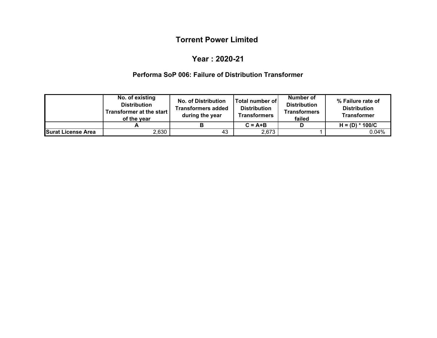### **Year : 2020-21**

### **Performa SoP 006: Failure of Distribution Transformer**

|                    | No. of existing<br><b>Distribution</b><br>Transformer at the start<br>of the vear | <b>No. of Distribution</b><br><b>Transformers added</b><br>during the year | <b>Total number of</b><br><b>Distribution</b><br><b>Transformers</b> | Number of<br><b>Distribution</b><br><b>Transformers</b><br>failed | % Failure rate of<br><b>Distribution</b><br><b>Transformer</b> |
|--------------------|-----------------------------------------------------------------------------------|----------------------------------------------------------------------------|----------------------------------------------------------------------|-------------------------------------------------------------------|----------------------------------------------------------------|
|                    |                                                                                   |                                                                            | $C = A + B$                                                          |                                                                   | $H = (D) * 100/C$                                              |
| Surat License Area | 2,630                                                                             | 43                                                                         | 2,673                                                                |                                                                   | 0.04%                                                          |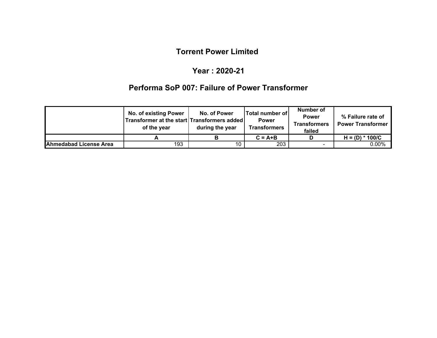#### **Year : 2020-21**

# **Performa SoP 007: Failure of Power Transformer**

|                        | <b>No. of existing Power</b><br>Transformer at the start Transformers added<br>of the year | No. of Power<br>during the year | Total number of<br><b>Power</b><br><b>Transformers</b><br><b>Transformers</b> |                | % Failure rate of<br><b>Power Transformer</b> |
|------------------------|--------------------------------------------------------------------------------------------|---------------------------------|-------------------------------------------------------------------------------|----------------|-----------------------------------------------|
|                        |                                                                                            |                                 | $C = A + B$                                                                   |                | $H = (D) * 100/C$                             |
| Ahmedabad License Area | 193                                                                                        | 10                              | 203                                                                           | $\blacksquare$ | $0.00\%$                                      |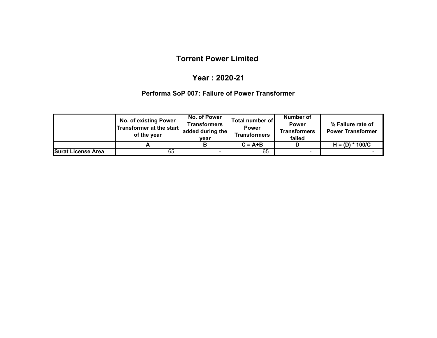#### **Year : 2020-21**

#### **Performa SoP 007: Failure of Power Transformer**

|                           | No. of existing Power<br>Transformer at the start<br>of the year | No. of Power<br>Transformers<br>added during the<br>vear | <b>Total number of</b><br><b>Power</b><br><b>Transformers</b> | Number of<br><b>Power</b><br><b>Transformers</b><br>failed | % Failure rate of<br><b>Power Transformer</b> |
|---------------------------|------------------------------------------------------------------|----------------------------------------------------------|---------------------------------------------------------------|------------------------------------------------------------|-----------------------------------------------|
|                           |                                                                  |                                                          | $C = A + B$                                                   |                                                            | $H = (D) * 100/C$                             |
| <b>Surat License Area</b> | 65                                                               | $\blacksquare$                                           | 65                                                            | $\blacksquare$                                             |                                               |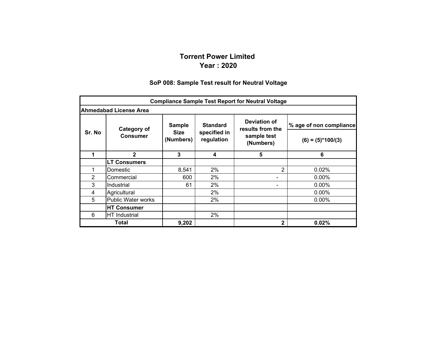### **Torrent Power Limited Year : 2020**

#### **SoP 008: Sample Test result for Neutral Voltage**

|        | <b>Compliance Sample Test Report for Neutral Voltage</b> |                                                                                    |                 |                                  |                         |  |  |  |  |  |
|--------|----------------------------------------------------------|------------------------------------------------------------------------------------|-----------------|----------------------------------|-------------------------|--|--|--|--|--|
|        | <b>Ahmedabad License Area</b>                            |                                                                                    |                 |                                  |                         |  |  |  |  |  |
|        | Category of                                              | <b>Sample</b>                                                                      | <b>Standard</b> | Deviation of<br>results from the | % age of non compliance |  |  |  |  |  |
| Sr. No | <b>Consumer</b>                                          | <b>Size</b><br>specified in<br>sample test<br>regulation<br>(Numbers)<br>(Numbers) |                 | $(6) = (5)*100/(3)$              |                         |  |  |  |  |  |
|        | $\mathbf{2}$                                             | 3                                                                                  | 4               | 5                                | 6                       |  |  |  |  |  |
|        | <b>LT Consumers</b>                                      |                                                                                    |                 |                                  |                         |  |  |  |  |  |
|        | Domestic                                                 | 8,541                                                                              | 2%              | 2                                | 0.02%                   |  |  |  |  |  |
| 2      | Commercial                                               | 600                                                                                | 2%              |                                  | $0.00\%$                |  |  |  |  |  |
| 3      | Industrial                                               | 61                                                                                 | 2%              |                                  | $0.00\%$                |  |  |  |  |  |
| 4      | Agricultural                                             |                                                                                    | 2%              |                                  | $0.00\%$                |  |  |  |  |  |
| 5      | <b>Public Water works</b>                                |                                                                                    | 2%              |                                  | $0.00\%$                |  |  |  |  |  |
|        | <b>HT Consumer</b>                                       |                                                                                    |                 |                                  |                         |  |  |  |  |  |
| 6      | <b>HT</b> Industrial                                     |                                                                                    | 2%              |                                  |                         |  |  |  |  |  |
|        | Total                                                    | 9,202                                                                              |                 | 2                                | 0.02%                   |  |  |  |  |  |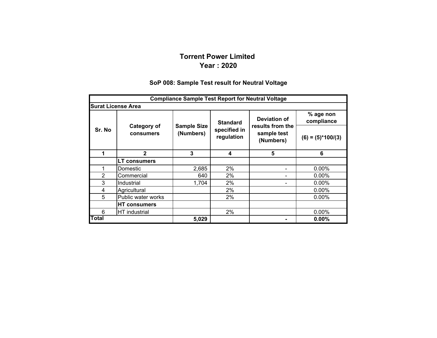#### **Torrent Power Limited Year : 2020**

#### **SoP 008: Sample Test result for Neutral Voltage**

|                | <b>Compliance Sample Test Report for Neutral Voltage</b> |                                 |                            |                                              |                         |  |  |  |  |  |
|----------------|----------------------------------------------------------|---------------------------------|----------------------------|----------------------------------------------|-------------------------|--|--|--|--|--|
|                | <b>Surat License Area</b>                                |                                 |                            |                                              |                         |  |  |  |  |  |
|                |                                                          |                                 | <b>Standard</b>            | Deviation of                                 | % age non<br>compliance |  |  |  |  |  |
| Sr. No         | Category of<br>consumers                                 | <b>Sample Size</b><br>(Numbers) | specified in<br>regulation | results from the<br>sample test<br>(Numbers) | $(6) = (5)*100/(3)$     |  |  |  |  |  |
| 1              | $\mathbf{2}$                                             | 3                               | 4                          | 5                                            | 6                       |  |  |  |  |  |
|                | <b>LT consumers</b>                                      |                                 |                            |                                              |                         |  |  |  |  |  |
|                | Domestic                                                 | 2,685                           | $2\%$                      |                                              | $0.00\%$                |  |  |  |  |  |
| $\overline{2}$ | Commercial                                               | 640                             | $2\%$                      |                                              | $0.00\%$                |  |  |  |  |  |
| 3              | Industrial                                               | 1,704                           | 2%                         |                                              | $0.00\%$                |  |  |  |  |  |
| 4              | Agricultural                                             |                                 | 2%                         |                                              | $0.00\%$                |  |  |  |  |  |
| 5              | Public water works                                       |                                 | 2%                         |                                              | $0.00\%$                |  |  |  |  |  |
|                | <b>HT consumers</b>                                      |                                 |                            |                                              |                         |  |  |  |  |  |
| 6              | HT industrial                                            |                                 | 2%                         |                                              | $0.00\%$                |  |  |  |  |  |
| <b>Total</b>   |                                                          | 5,029                           |                            |                                              | $0.00\%$                |  |  |  |  |  |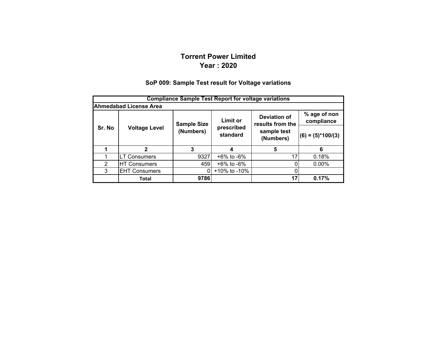## **Torrent Power LimitedYear : 2020**

#### **SoP 009: Sample Test result for Voltage variations**

|               | <b>Compliance Sample Test Report for voltage variations</b> |                    |                        |                                         |                            |  |  |  |  |  |
|---------------|-------------------------------------------------------------|--------------------|------------------------|-----------------------------------------|----------------------------|--|--|--|--|--|
|               | <b>Ahmedabad License Area</b>                               |                    |                        |                                         |                            |  |  |  |  |  |
|               |                                                             | <b>Sample Size</b> | <b>Limit or</b>        | <b>Deviation of</b><br>results from the | % age of non<br>compliance |  |  |  |  |  |
| Sr. No        | <b>Voltage Level</b>                                        | (Numbers)          | prescribed<br>standard | sample test<br>(Numbers)                | $(6) = (5)^*100/(3)$       |  |  |  |  |  |
|               | 2                                                           | 3                  |                        | 5                                       | 6                          |  |  |  |  |  |
|               | <b>LT Consumers</b>                                         | 9327               | $+6\%$ to $-6\%$       | 17                                      | 0.18%                      |  |  |  |  |  |
| $\mathcal{P}$ | <b>HT Consumers</b>                                         | 459                | $+6\%$ to $-6\%$       |                                         | $0.00\%$                   |  |  |  |  |  |
| 3             | <b>EHT Consumers</b>                                        | $\Omega$           | +10% to -10%           |                                         |                            |  |  |  |  |  |
|               | Total                                                       | 9786               |                        | 17                                      | 0.17%                      |  |  |  |  |  |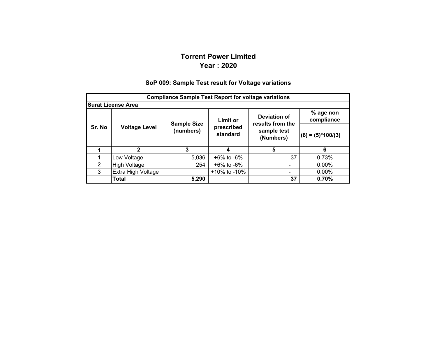## **Torrent Power LimitedYear : 2020**

#### **% age non compliance (6) = (5)\*100/(3) 1 2 34 5 6** 1Low Voltage  $5,036$  +6% to -6% 37 0.73% 2 $H$ igh Voltage  $254 + 6\%$  to -6%  $-$  0.00% 3 Extra High Voltage +10% to -10% - 0.00% **Total 5,290 37 0.70% Compliance Sample Test Report for voltage variations Surat License Area Deviation of results from the sample test (Numbers) Sr. No Voltage Level Sample Size (numbers) Limit or prescribed standard**

#### **SoP 009: Sample Test result for Voltage variations**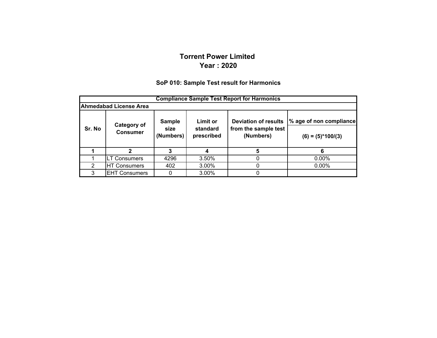#### **Torrent Power Limited Year : 2020**

#### **SoP 010: Sample Test result for Harmonics**

|        | <b>Compliance Sample Test Report for Harmonics</b> |                                    |                                           |                                                                  |                                                |  |  |  |  |  |
|--------|----------------------------------------------------|------------------------------------|-------------------------------------------|------------------------------------------------------------------|------------------------------------------------|--|--|--|--|--|
|        | <b>Ahmedabad License Area</b>                      |                                    |                                           |                                                                  |                                                |  |  |  |  |  |
| Sr. No | <b>Category of</b><br><b>Consumer</b>              | <b>Sample</b><br>size<br>(Numbers) | <b>Limit or</b><br>standard<br>prescribed | <b>Deviation of results</b><br>from the sample test<br>(Numbers) | % age of non compliance<br>$(6) = (5)*100/(3)$ |  |  |  |  |  |
|        |                                                    | 3                                  |                                           | 5                                                                |                                                |  |  |  |  |  |
|        | <b>LT Consumers</b>                                | 4296                               | 3.50%                                     | 0                                                                | $0.00\%$                                       |  |  |  |  |  |
| 2      | <b>HT Consumers</b>                                | 402                                | 3.00%                                     | 0                                                                | $0.00\%$                                       |  |  |  |  |  |
| 3      | <b>EHT Consumers</b>                               | 0                                  | 3.00%                                     | 0                                                                |                                                |  |  |  |  |  |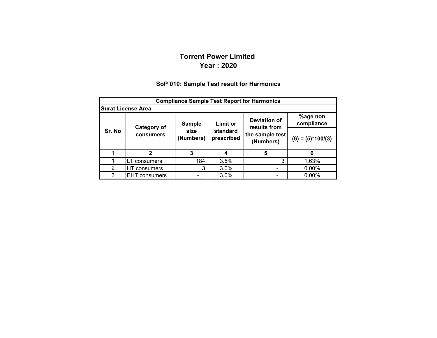#### **Torrent Power Limited Year : 2020**

#### **SoP 010: Sample Test result for Harmonics**

|        | <b>Compliance Sample Test Report for Harmonics</b> |                   |                        |                              |                        |  |  |  |  |  |
|--------|----------------------------------------------------|-------------------|------------------------|------------------------------|------------------------|--|--|--|--|--|
|        | <b>Surat License Area</b>                          |                   |                        |                              |                        |  |  |  |  |  |
|        | Category of                                        | <b>Sample</b>     | Limit or               | Deviation of<br>results from | %age non<br>compliance |  |  |  |  |  |
| Sr. No | consumers                                          | size<br>(Numbers) | standard<br>prescribed | the sample test<br>(Numbers) | $(6) = (5)*100/(3)$    |  |  |  |  |  |
|        | $\mathbf{2}$                                       | 3                 |                        | 5                            | 6                      |  |  |  |  |  |
|        | LT consumers                                       | 184               | 3.5%                   | 3                            | 1.63%                  |  |  |  |  |  |
| 2      | HT consumers                                       | 3                 | 3.0%                   |                              | $0.00\%$               |  |  |  |  |  |
| 3      | <b>EHT</b> consumers                               |                   | 3.0%                   |                              | $0.00\%$               |  |  |  |  |  |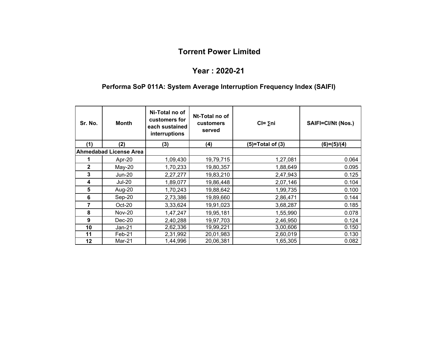#### **Year : 2020-21**

## **Performa SoP 011A: System Average Interruption Frequency Index (SAIFI)**

| Sr. No.      | <b>Month</b>                  | Ni-Total no of<br>customers for<br>each sustained<br>interruptions | Nt-Total no of<br>customers<br>served | $Cl = \sum n$ i    | SAIFI=CI/Nt (Nos.) |
|--------------|-------------------------------|--------------------------------------------------------------------|---------------------------------------|--------------------|--------------------|
| (1)          | (2)                           | (3)                                                                | (4)                                   | $(5)=Total of (3)$ | $(6)=(5)/(4)$      |
|              | <b>Ahmedabad License Area</b> |                                                                    |                                       |                    |                    |
|              | Apr-20                        | 1,09,430                                                           | 19,79,715                             | 1,27,081           | 0.064              |
| $\mathbf{2}$ | $May-20$                      | 1,70,233                                                           | 19,80,357                             | 1,88,649           | 0.095              |
| 3            | <b>Jun-20</b>                 | 2,27,277                                                           | 19,83,210                             | 2,47,943           | 0.125              |
| 4            | <b>Jul-20</b>                 | 1,89,077                                                           | 19,86,448                             | 2,07,146           | 0.104              |
| 5            | Aug-20                        | 1,70,243                                                           | 19,88,642                             | 1,99,735           | 0.100              |
| 6            | Sep-20                        | 2,73,386                                                           | 19,89,660                             | 2,86,471           | 0.144              |
| 7            | Oct-20                        | 3,33,624                                                           | 19,91,023                             | 3,68,287           | 0.185              |
| 8            | <b>Nov-20</b>                 | 1,47,247                                                           | 19,95,181                             | 1,55,990           | 0.078              |
| 9            | $Dec-20$                      | 2,40,288                                                           | 19,97,703                             | 2,46,950           | 0.124              |
| 10           | Jan-21                        | 2,62,336                                                           | 19,99,221                             | 3,00,606           | 0.150              |
| 11           | Feb-21                        | 2,31,992                                                           | 20,01,983                             | 2,60,019           | 0.130              |
| 12           | Mar-21                        | 1,44,996                                                           | 20,06,381                             | 1,65,305           | 0.082              |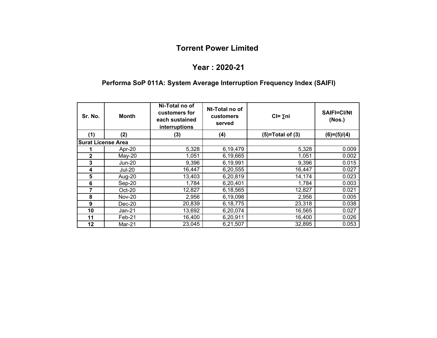#### **Year : 2020-21**

#### **Performa SoP 011A: System Average Interruption Frequency Index (SAIFI)**

| Sr. No.                   | <b>Month</b>  | Ni-Total no of<br>customers for<br>each sustained<br>interruptions | Nt-Total no of<br>customers<br>served | $Cl = \sum n i$    | SAIFI=CI/Nt<br>(Nos.) |
|---------------------------|---------------|--------------------------------------------------------------------|---------------------------------------|--------------------|-----------------------|
| (1)                       | (2)           | (3)                                                                | (4)                                   | $(5)=Total of (3)$ | $(6)=(5)/(4)$         |
| <b>Surat License Area</b> |               |                                                                    |                                       |                    |                       |
|                           | Apr-20        | 5,328                                                              | 6,19,479                              | 5,328              | 0.009                 |
| 2                         | $May-20$      | 1,051                                                              | 6,19,665                              | 1,051              | 0.002                 |
| 3                         | Jun-20        | 9,396                                                              | 6,19,991                              | 9,396              | 0.015                 |
| 4                         | <b>Jul-20</b> | 16,447                                                             | 6,20,555                              | 16,447             | 0.027                 |
| $5\phantom{1}$            | Aug-20        | 13,403                                                             | 6,20,819                              | 14,174             | 0.023                 |
| 6                         | Sep-20        | 1,784                                                              | 6,20,401                              | 1,784              | 0.003                 |
| 7                         | $Oct-20$      | 12,827                                                             | 6,18,565                              | 12,827             | 0.021                 |
| 8                         | <b>Nov-20</b> | 2,956                                                              | 6,19,098                              | 2,956              | 0.005                 |
| 9                         | $Dec-20$      | 20,839                                                             | 6,18,775                              | 23,318             | 0.038                 |
| 10                        | Jan-21        | 13,692                                                             | 6,20,074                              | 16,565             | 0.027                 |
| 11                        | Feb-21        | 16,400                                                             | 6,20,911                              | 16,400             | 0.026                 |
| 12                        | Mar-21        | 23,045                                                             | 6,21,507                              | 32,895             | 0.053                 |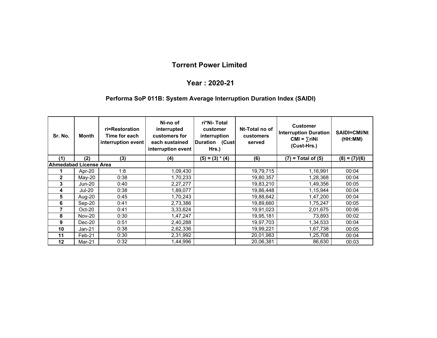#### **Year : 2020-21**

#### **Performa SoP 011B: System Average Interruption Duration Index (SAIDI)**

| Sr. No.                | ri=Restoration<br><b>Month</b><br>Time for each<br>interruption event |      | Ni-no of<br>ri*Ni- Total<br>interrupted<br>customer<br>customers for<br>interruption<br>Duration (Cust<br>each sustained<br>interruption event<br>Hrs.) |                   | Nt-Total no of<br>customers<br>served | <b>Customer</b><br><b>Interruption Duration</b><br>$CMI = \sum r i Ni$<br>(Cust-Hrs.) | <b>SAIDI=CMI/Nt</b><br>(HH:MM) |
|------------------------|-----------------------------------------------------------------------|------|---------------------------------------------------------------------------------------------------------------------------------------------------------|-------------------|---------------------------------------|---------------------------------------------------------------------------------------|--------------------------------|
| (1)                    | (2)                                                                   | (3)  | (4)                                                                                                                                                     | $(5) = (3) * (4)$ | (6)                                   | $(7)$ = Total of $(5)$                                                                | $(8) = (7)/(6)$                |
| Ahmedabad License Area |                                                                       |      |                                                                                                                                                         |                   |                                       |                                                                                       |                                |
|                        | Apr-20                                                                | 1:8  | 1,09,430                                                                                                                                                |                   | 19,79,715                             | 1,16,991                                                                              | 00:04                          |
| $\mathbf{2}$           | May-20                                                                | 0:38 | 1,70,233                                                                                                                                                |                   | 19,80,357                             | 1,28,368                                                                              | 00:04                          |
| 3                      | $Jun-20$                                                              | 0:40 | 2,27,277                                                                                                                                                |                   | 19,83,210                             | l,49,356                                                                              | 00:05                          |
| 4                      | <b>Jul-20</b>                                                         | 0:38 | 1,89,077                                                                                                                                                |                   | 19,86,448                             | 1,15,944                                                                              | 00:04                          |
| 5                      | Aug-20                                                                | 0:45 | 1,70,243                                                                                                                                                |                   | 19,88,642                             | 1,47,200                                                                              | 00:04                          |
| 6                      | Sep-20                                                                | 0:41 | 2,73,386                                                                                                                                                |                   | 19,89,660                             | 1,75,247                                                                              | 00:05                          |
| 7                      | $Oct-20$                                                              | 0:41 | 3,33,624                                                                                                                                                |                   | 19,91,023                             | 2,01,675                                                                              | 00:06                          |
| 8                      | <b>Nov-20</b>                                                         | 0:30 | 1,47,247                                                                                                                                                |                   | 19,95,181                             | 73,893                                                                                | 00:02                          |
| 9                      | Dec-20                                                                | 0:51 | 2,40,288                                                                                                                                                |                   | 19,97,703                             | 1,34,533                                                                              | 00:04                          |
| 10                     | Jan-21                                                                | 0:38 | 2,62,336                                                                                                                                                |                   | 19,99,221                             | 1,67,738                                                                              | 00:05                          |
| 11                     | Feb-21                                                                | 0:30 | 2,31,992                                                                                                                                                |                   | 20,01,983                             | 1,25,708                                                                              | 00:04                          |
| 12                     | Mar-21                                                                | 0:32 | 1,44,996                                                                                                                                                |                   | 20,06,381                             | 86,630                                                                                | 00:03                          |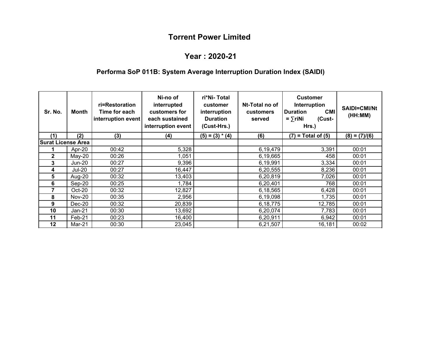#### **Year : 2020-21**

# **Performa SoP 011B: System Average Interruption Duration Index (SAIDI)**

| Sr. No.                   | Month         | ri=Restoration<br>Time for each<br>interruption event | Ni-no of<br>interrupted<br>customers for<br>each sustained<br>interruption event | ri*Ni-Total<br>customer<br>interruption<br><b>Duration</b><br>(Cust-Hrs.) | Nt-Total no of<br><b>customers</b><br>served | <b>Customer</b><br>Interruption<br><b>CMI</b><br><b>Duration</b><br>$=$ $\sum$ riNi<br>(Cust-<br>Hrs.) | <b>SAIDI=CMI/Nt</b><br>(HH:MM) |
|---------------------------|---------------|-------------------------------------------------------|----------------------------------------------------------------------------------|---------------------------------------------------------------------------|----------------------------------------------|--------------------------------------------------------------------------------------------------------|--------------------------------|
| (1)                       | (2)           | (3)                                                   | (4)                                                                              | $(5) = (3) * (4)$                                                         | (6)                                          | $(7)$ = Total of $(5)$                                                                                 | $(8) = (7)/(6)$                |
| <b>Surat License Area</b> |               |                                                       |                                                                                  |                                                                           |                                              |                                                                                                        |                                |
|                           | Apr-20        | 00:42                                                 | 5,328                                                                            |                                                                           | 6,19,479                                     | 3,391                                                                                                  | 00:01                          |
| $\mathbf{2}$              | $May-20$      | 00:26                                                 | 1,051                                                                            |                                                                           | 6,19,665                                     | 458                                                                                                    | 00:01                          |
| 3                         | <b>Jun-20</b> | 00:27                                                 | 9,396                                                                            |                                                                           | 6,19,991                                     | 3,334                                                                                                  | 00:01                          |
| 4                         | <b>Jul-20</b> | 00:27                                                 | 16,447                                                                           |                                                                           | 6,20,555                                     | 8,236                                                                                                  | 00:01                          |
| 5                         | Aug-20        | 00:32                                                 | 13,403                                                                           |                                                                           | 6,20,819                                     | 7,026                                                                                                  | 00:01                          |
| 6                         | Sep-20        | 00:25                                                 | 1,784                                                                            |                                                                           | 6,20,401                                     | 768                                                                                                    | 00:01                          |
| 7                         | Oct-20        | 00:32                                                 | 12,827                                                                           |                                                                           | 6,18,565                                     | 6,428                                                                                                  | 00:01                          |
| 8                         | <b>Nov-20</b> | 00:35                                                 | 2,956                                                                            |                                                                           | 6,19,098                                     | 1,735                                                                                                  | 00:01                          |
| 9                         | $Dec-20$      | 00:32                                                 | 20,839                                                                           |                                                                           | 6,18,775                                     | 12,785                                                                                                 | 00:01                          |
| 10                        | Jan-21        | 00:30                                                 | 13,692                                                                           |                                                                           | 6,20,074                                     | 7,783                                                                                                  | 00:01                          |
| 11                        | Feb-21        | 00:23                                                 | 16,400                                                                           |                                                                           | 6,20,911                                     | 6,942                                                                                                  | 00:01                          |
| 12                        | Mar-21        | 00:30                                                 | 23,045                                                                           |                                                                           | 6,21,507                                     | 16,181                                                                                                 | 00:02                          |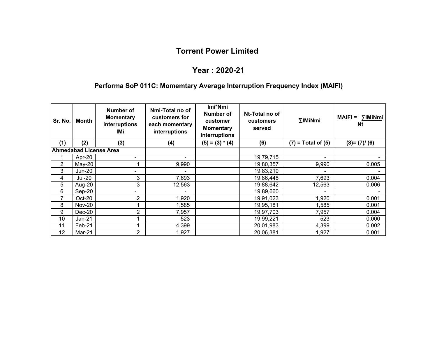## **Year : 2020-21**

# **Performa SoP 011C: Momemtary Average Interruption Frequency Index (MAIFI)**

| Sr. No. | Month         | Number of<br><b>Momentary</b><br>interruptions<br>IMi | Nmi-Total no of<br>customers for<br>each momentary<br>interruptions | Imi*Nmi<br><b>Number of</b><br>customer<br><b>Momentary</b><br>interruptions | Nt-Total no of<br>customers<br>served | $\Sigma$ IMiNmi          | ∑IMiNmi<br>$MAIFI =$<br><b>Nt</b> |
|---------|---------------|-------------------------------------------------------|---------------------------------------------------------------------|------------------------------------------------------------------------------|---------------------------------------|--------------------------|-----------------------------------|
| (1)     | (2)           | (3)                                                   | (4)                                                                 | $(5) = (3) * (4)$                                                            | (6)                                   | $(7)$ = Total of $(5)$   | $(8)=(7)/(6)$                     |
|         |               | <b>Ahmedabad License Area</b>                         |                                                                     |                                                                              |                                       |                          |                                   |
|         | Apr-20        |                                                       |                                                                     |                                                                              | 19,79,715                             |                          |                                   |
| 2       | May-20        |                                                       | 9,990                                                               |                                                                              | 19,80,357                             | 9,990                    | 0.005                             |
| 3       | Jun-20        |                                                       |                                                                     |                                                                              | 19,83,210                             |                          |                                   |
| 4       | <b>Jul-20</b> | 3                                                     | 7,693                                                               |                                                                              | 19,86,448                             | 7,693                    | 0.004                             |
| 5       | Aug-20        | 3                                                     | 12,563                                                              |                                                                              | 19,88,642                             | 12,563                   | 0.006                             |
| 6       | $Sep-20$      | ۰.                                                    | -                                                                   |                                                                              | 19,89,660                             | $\overline{\phantom{0}}$ |                                   |
| 7       | Oct-20        | 2                                                     | 1,920                                                               |                                                                              | 19,91,023                             | 1,920                    | 0.001                             |
| 8       | <b>Nov-20</b> |                                                       | 1,585                                                               |                                                                              | 19,95,181                             | 1,585                    | 0.001                             |
| 9       | $Dec-20$      | 2                                                     | 7,957                                                               |                                                                              | 19,97,703                             | 7,957                    | 0.004                             |
| 10      | Jan-21        |                                                       | 523                                                                 |                                                                              | 19,99,221                             | 523                      | 0.000                             |
| 11      | Feb-21        |                                                       | 4,399                                                               |                                                                              | 20,01,983                             | 4,399                    | 0.002                             |
| 12      | Mar-21        | 2                                                     | 1,927                                                               |                                                                              | 20,06,381                             | 1,927                    | 0.001                             |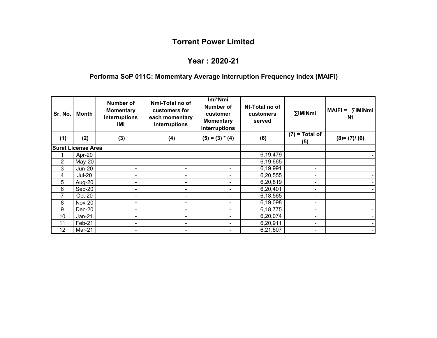## **Year : 2020-21**

# **Performa SoP 011C: Momemtary Average Interruption Frequency Index (MAIFI)**

| Sr. No. | Month                     | Number of<br><b>Momentary</b><br>interruptions<br>IMi | Nmi-Total no of<br>customers for<br>each momentary<br>interruptions | Imi*Nmi<br><b>Number of</b><br>customer<br><b>Momentary</b><br>interruptions | Nt-Total no of<br>customers<br>served | ∑IMiNmi                 | $MAIFI =$<br>∑IMiNmi<br>Nt |
|---------|---------------------------|-------------------------------------------------------|---------------------------------------------------------------------|------------------------------------------------------------------------------|---------------------------------------|-------------------------|----------------------------|
| (1)     | (2)                       | (3)                                                   | (4)                                                                 | $(5) = (3) * (4)$                                                            | (6)                                   | $(7)$ = Total of<br>(5) | $(8)=(7)/(6)$              |
|         | <b>Surat License Area</b> |                                                       |                                                                     |                                                                              |                                       |                         |                            |
|         | Apr-20                    |                                                       |                                                                     | ۰.                                                                           | 6,19,479                              | ۰.                      |                            |
| 2       | $May-20$                  | $\blacksquare$                                        | ۰                                                                   | ۰.                                                                           | 6,19,665                              | $\sim$                  |                            |
| 3       | Jun-20                    |                                                       |                                                                     | -                                                                            | 6,19,991                              | $\blacksquare$          |                            |
| 4       | <b>Jul-20</b>             |                                                       |                                                                     |                                                                              | 6,20,555                              |                         |                            |
| 5       | Aug-20                    |                                                       | -                                                                   |                                                                              | 6,20,819                              | ۰                       |                            |
| 6       | Sep-20                    | $\overline{\phantom{0}}$                              | $\blacksquare$                                                      | -                                                                            | 6,20,401                              | ۰                       |                            |
| 7       | Oct-20                    | -                                                     | ۰                                                                   | -                                                                            | 6,18,565                              | ۰                       |                            |
| 8       | <b>Nov-20</b>             |                                                       |                                                                     | -                                                                            | 6,19,098                              | ۰                       |                            |
| 9       | $Dec-20$                  |                                                       | $\overline{\phantom{0}}$                                            | -                                                                            | 6,18,775                              | ۰                       |                            |
| 10      | $Jan-21$                  | $\blacksquare$                                        | ۰                                                                   | -                                                                            | 6,20,074                              | ٠                       |                            |
| 11      | Feb-21                    |                                                       | $\blacksquare$                                                      | -                                                                            | 6,20,911                              | $\blacksquare$          |                            |
| 12      | Mar-21                    |                                                       |                                                                     |                                                                              | 6,21,507                              |                         |                            |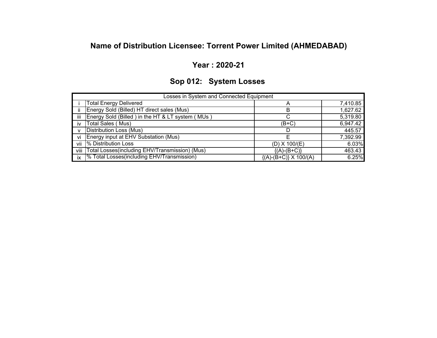# **Name of Distribution Licensee: Torrent Power Limited (AHMEDABAD)**

### **Year : 2020-21**

# **Sop 012: System Losses**

|              | Losses in System and Connected Equipment                |                               |          |
|--------------|---------------------------------------------------------|-------------------------------|----------|
|              | Total Energy Delivered                                  |                               | 7,410.85 |
| ii.          | Energy Sold (Billed) HT direct sales (Mus)              |                               | 1,627.62 |
| iii          | Energy Sold (Billed) in the HT & LT system (MUs)        |                               | 5,319.80 |
| iv           | Total Sales (Mus)                                       | (B+C)                         | 6,947.42 |
| $\mathsf{v}$ | Distribution Loss (Mus)                                 |                               | 445.57   |
| vi           | Energy input at EHV Substation (Mus)                    |                               | 7,392.99 |
| vii          | % Distribution Loss                                     | $(D)$ X 100/ $(E)$            | 6.03%    |
| viii         | Total Losses(including EHV/Transmission) (Mus)          | ${(A)-(B+C)}$                 | 463.43   |
| ix           | <sup>9</sup> % Total Losses(including EHV/Transmission) | $\{(A)-(B+C)\}\times 100/(A)$ | 6.25%    |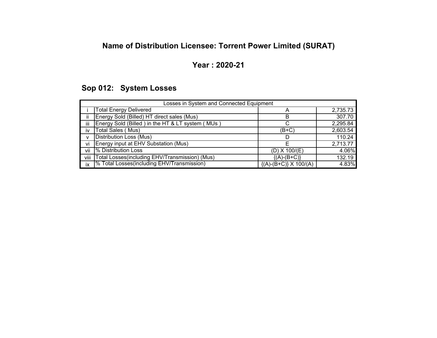# **Name of Distribution Licensee: Torrent Power Limited (SURAT)**

## **Year : 2020-21**

# **Sop 012: System Losses**

|      | Losses in System and Connected Equipment                |                               |          |  |  |  |  |  |  |
|------|---------------------------------------------------------|-------------------------------|----------|--|--|--|--|--|--|
|      | <b>Total Energy Delivered</b>                           |                               | 2,735.73 |  |  |  |  |  |  |
| iί   | Energy Sold (Billed) HT direct sales (Mus)              | в                             | 307.70   |  |  |  |  |  |  |
| iij  | Energy Sold (Billed) in the HT & LT system (MUs)        |                               | 2,295.84 |  |  |  |  |  |  |
| iv   | <b>Total Sales (Mus)</b>                                | (B+C)                         | 2,603.54 |  |  |  |  |  |  |
| v    | <b>Distribution Loss (Mus)</b>                          |                               | 110.24   |  |  |  |  |  |  |
| vi   | Energy input at EHV Substation (Mus)                    |                               | 2,713.77 |  |  |  |  |  |  |
| vii  | % Distribution Loss                                     | $(D)$ X 100/ $(E)$            | 4.06%    |  |  |  |  |  |  |
| viii | Total Losses(including EHV/Transmission) (Mus)          | ${(A)-(B+C)}$                 | 132.19   |  |  |  |  |  |  |
| ix   | <sup>9</sup> % Total Losses(including EHV/Transmission) | $\{(A)-(B+C)\}\times 100/(A)$ | 4.83%    |  |  |  |  |  |  |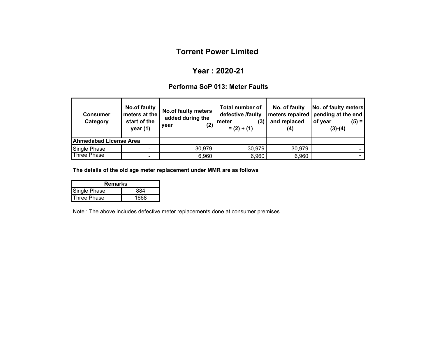## **Year : 2020-21**

### **Performa SoP 013: Meter Faults**

| <b>Consumer</b><br>Category   | No.of faulty<br>meters at the<br>start of the<br>year $(1)$ | <b>No.of faulty meters</b><br>added during the<br>(2)<br>year | <b>Total number of</b><br>defective /faulty<br>$\left( 3\right)$<br>meter<br>$= (2) + (1)$ | No. of faulty<br>and replaced<br>(4) | No. of faulty meters<br>meters repaired   pending at the end<br>of year<br>$(5) =$<br>$(3)-(4)$ |
|-------------------------------|-------------------------------------------------------------|---------------------------------------------------------------|--------------------------------------------------------------------------------------------|--------------------------------------|-------------------------------------------------------------------------------------------------|
| <b>Ahmedabad License Area</b> |                                                             |                                                               |                                                                                            |                                      |                                                                                                 |
| <b>Single Phase</b>           |                                                             | 30,979                                                        | 30,979                                                                                     | 30,979                               |                                                                                                 |
| <b>Three Phase</b>            |                                                             | 6,960                                                         | 6,960                                                                                      | 6,960                                |                                                                                                 |

**The details of the old age meter replacement under MMR are as follows**

| Remarks             |  |  |  |  |  |  |  |
|---------------------|--|--|--|--|--|--|--|
| <b>Single Phase</b> |  |  |  |  |  |  |  |
| Three Phase         |  |  |  |  |  |  |  |

Note : The above includes defective meter replacements done at consumer premises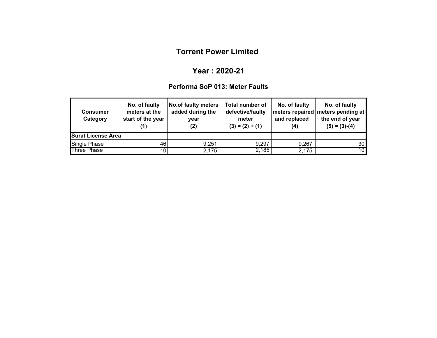#### **Year : 2020-21**

### **Performa SoP 013: Meter Faults**

| No. of faulty<br>meters at the<br><b>Consumer</b><br>start of the year<br>Category<br>(1) |      | <b>No.of faulty meters</b><br>added during the<br>year<br>(2) | <b>Total number of</b><br>defective/faulty<br>meter<br>$(3) = (2) + (1)$ | No. of faulty<br>and replaced<br>(4) | No. of faulty<br>  meters repaired   meters pending at<br>the end of year<br>$(5) = (3)-(4)$ |  |
|-------------------------------------------------------------------------------------------|------|---------------------------------------------------------------|--------------------------------------------------------------------------|--------------------------------------|----------------------------------------------------------------------------------------------|--|
| <b>Surat License Area</b>                                                                 |      |                                                               |                                                                          |                                      |                                                                                              |  |
| Single Phase                                                                              | 46   | 9,251                                                         | 9,297                                                                    | 9,267                                | 30 <sup>1</sup>                                                                              |  |
| <b>Three Phase</b>                                                                        | 10 I | 2,175                                                         | 2,185                                                                    | 2,175                                | 10 <sup>1</sup>                                                                              |  |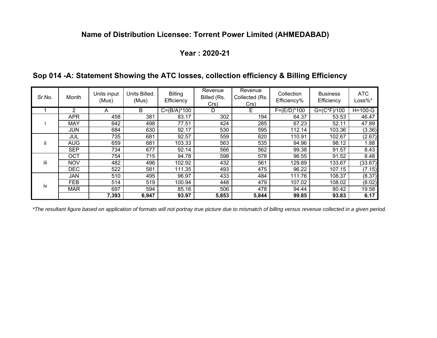## **Name of Distribution Licensee: Torrent Power Limited (AHMEDABAD)**

### **Year : 2020-21**

| Sr.No. | Month      | Units input<br>(Mus) | Units Billed.<br>(Mus) | <b>Billing</b><br>Efficiency | Revenue<br>Billed (Rs.<br>Crs) | Revenue<br>Collected (Rs.<br>Crs) | Collection<br>Efficiency% | <b>Business</b><br>Efficiency | <b>ATC</b><br>$Loss\%*$ |
|--------|------------|----------------------|------------------------|------------------------------|--------------------------------|-----------------------------------|---------------------------|-------------------------------|-------------------------|
|        | 2          | A                    | B                      | $C = (B/A)^*100$             | D                              | Е                                 | $F = (E/D)^*100$          | $G = (C*F)/100$               | $H=100-G$               |
|        | <b>APR</b> | 458                  | 381                    | 83.17                        | 302                            | 194                               | 64.37                     | 53.53                         | 46.47                   |
|        | <b>MAY</b> | 642                  | 498                    | 77.51                        | 424                            | 285                               | 67.23                     | 52.11                         | 47.89                   |
|        | JUN        | 684                  | 630                    | 92.17                        | 530                            | 595                               | 112.14                    | 103.36                        | (3.36)                  |
|        | JUL        | 735                  | 681                    | 92.57                        | 559                            | 620                               | 110.91                    | 102.67                        | (2.67)                  |
| ii.    | <b>AUG</b> | 659                  | 681                    | 103.33                       | 563                            | 535                               | 94.96                     | 98.12                         | 1.88                    |
|        | <b>SEP</b> | 734                  | 677                    | 92.14                        | 566                            | 562                               | 99.38                     | 91.57                         | 8.43                    |
|        | OCT        | 754                  | 715                    | 94.78                        | 598                            | 578                               | 96.55                     | 91.52                         | 8.48                    |
| iii    | <b>NOV</b> | 482                  | 496                    | 102.92                       | 432                            | 561                               | 129.89                    | 133.67                        | (33.67)                 |
|        | <b>DEC</b> | 522                  | 581                    | 111.35                       | 493                            | 475                               | 96.22                     | 107.15                        | (7.15)                  |
|        | <b>JAN</b> | 510                  | 495                    | 96.97                        | 433                            | 484                               | 111.76                    | 108.37                        | (8.37)                  |
| iv     | <b>FEB</b> | 514                  | 519                    | 100.94                       | 448                            | 479                               | 107.02                    | 108.02                        | (8.02)                  |
|        | <b>MAR</b> | 697                  | 594                    | 85.16                        | 506                            | 478                               | 94.44                     | 80.42                         | 19.58                   |
|        |            | 7,393                | 6,947                  | 93.97                        | 5,853                          | 5,844                             | 99.85                     | 93.83                         | 6.17                    |

## **Sop 014 -A: Statement Showing the ATC losses, collection efficiency & Billing Efficiency**

*\*The resultant figure based on application of formats will not portray true picture due to mismatch of billing versus revenue collected in a given period.*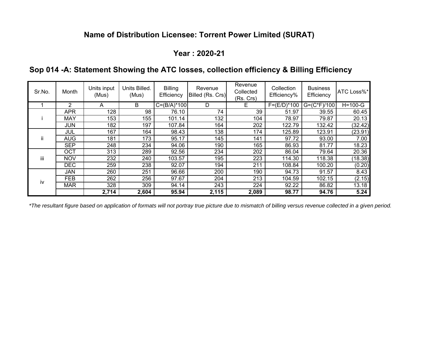# **Name of Distribution Licensee: Torrent Power Limited (SURAT)**

## **Year : 2020-21**

|  |  |  |  |  | Sop 014 -A: Statement Showing the ATC losses, collection efficiency & Billing Efficiency |  |
|--|--|--|--|--|------------------------------------------------------------------------------------------|--|
|  |  |  |  |  |                                                                                          |  |

| Sr.No. | Month      | Units input<br>(Mus) | Units Billed.<br>(Mus) | <b>Billing</b><br>Efficiency | Revenue<br>Billed (Rs. Crs) | Revenue<br>Collected<br>(Rs. Crs) | Collection<br>Efficiency% | <b>Business</b><br>Efficiency | ATC Loss%* |
|--------|------------|----------------------|------------------------|------------------------------|-----------------------------|-----------------------------------|---------------------------|-------------------------------|------------|
|        | 2          | A                    | B                      | $C = (B/A)^*100$             | D                           | Е                                 | $F = (E/D)^* 100$         | $G = (C*F)/100$               | $H=100-G$  |
|        | <b>APR</b> | 128                  | 98                     | 76.10                        | 74                          | 39                                | 51.97                     | 39.55                         | 60.45      |
|        | <b>MAY</b> | 153                  | 155                    | 101.14                       | 132                         | 104                               | 78.97                     | 79.87                         | 20.13      |
|        | <b>JUN</b> | 182                  | 197                    | 107.84                       | 164                         | 202                               | 122.79                    | 132.42                        | (32.42)    |
|        | JUL        | 167                  | 164                    | 98.43                        | 138                         | 174                               | 125.89                    | 123.91                        | (23.91)    |
| ii     | <b>AUG</b> | 181                  | 173                    | 95.17                        | 145                         | 141                               | 97.72                     | 93.00                         | 7.00       |
|        | <b>SEP</b> | 248                  | 234                    | 94.06                        | 190                         | 165                               | 86.93                     | 81.77                         | 18.23      |
|        | <b>OCT</b> | 313                  | 289                    | 92.56                        | 234                         | 202                               | 86.04                     | 79.64                         | 20.36      |
| iij    | <b>NOV</b> | 232                  | 240                    | 103.57                       | 195                         | 223                               | 114.30                    | 118.38                        | (18.38)    |
|        | <b>DEC</b> | 259                  | 238                    | 92.07                        | 194                         | 211                               | 108.84                    | 100.20                        | (0.20)     |
|        | <b>JAN</b> | 260                  | 251                    | 96.66                        | 200                         | 190                               | 94.73                     | 91.57                         | 8.43       |
| iv     | <b>FEB</b> | 262                  | 256                    | 97.67                        | 204                         | 213                               | 104.59                    | 102.15                        | (2.15)     |
|        | <b>MAR</b> | 328                  | 309                    | 94.14                        | 243                         | 224                               | 92.22                     | 86.82                         | 13.18      |
|        |            | 2,714                | 2,604                  | 95.94                        | 2,115                       | 2,089                             | 98.77                     | 94.76                         | 5.24       |

*\*The resultant figure based on application of formats will not portray true picture due to mismatch of billing versus revenue collected in a given period.*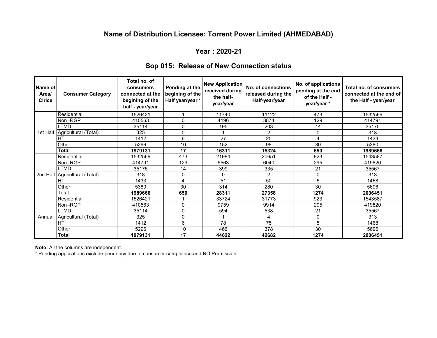#### **Name of Distribution Licensee: Torrent Power Limited (AHMEDABAD)**

#### **Year : 2020-21**

| Sop 015: Release of New Connection status |  |
|-------------------------------------------|--|
|-------------------------------------------|--|

| Name of<br>Area/<br><b>Cirlce</b> | <b>Consumer Category</b> | Total no. of<br>consumers<br>connected at the<br>begining of the<br>half - year/year | Pending at the<br>begining of the<br>Half year/year * | <b>New Application</b><br>received during<br>the half-<br>year/year | No. of connections<br>released during the<br>Half-year/year | No. of applications<br>pending at the end<br>of the Half -<br>year/year* | Total no. of consumers<br>connected at the end of<br>the Half - year/year |
|-----------------------------------|--------------------------|--------------------------------------------------------------------------------------|-------------------------------------------------------|---------------------------------------------------------------------|-------------------------------------------------------------|--------------------------------------------------------------------------|---------------------------------------------------------------------------|
|                                   | Residential              | 1526421                                                                              |                                                       | 11740                                                               | 11122                                                       | 473                                                                      | 1532569                                                                   |
|                                   | Non -RGP                 | 410563                                                                               | 0                                                     | 4196                                                                | 3874                                                        | 129                                                                      | 414791                                                                    |
|                                   | <b>LTMD</b>              | 35114                                                                                | 0                                                     | 195                                                                 | 203                                                         | 14                                                                       | 35175                                                                     |
| 1st Half                          | Agricultural (Total)     | 325                                                                                  | 0                                                     |                                                                     | $\overline{c}$                                              | 0                                                                        | 318                                                                       |
|                                   | Iнт                      | 1412                                                                                 | 6                                                     | 27                                                                  | 25                                                          | 4                                                                        | 1433                                                                      |
|                                   | Other                    | 5296                                                                                 | 10                                                    | 152                                                                 | 98                                                          | 30                                                                       | 5380                                                                      |
|                                   | <b>Total</b>             | 1979131                                                                              | 17                                                    | 16311                                                               | 15324                                                       | 650                                                                      | 1989666                                                                   |
|                                   | Residential              | 1532569                                                                              | 473                                                   | 21984                                                               | 20651                                                       | 923                                                                      | 1543587                                                                   |
|                                   | Non-RGP                  | 414791                                                                               | 129                                                   | 5563                                                                | 6040                                                        | 295                                                                      | 419820                                                                    |
| 2nd Half                          | <b>LTMD</b>              | 35175                                                                                | 14                                                    | 399                                                                 | 335                                                         | 21                                                                       | 35567                                                                     |
|                                   | Agricultural (Total)     | 318                                                                                  | 0                                                     | 0                                                                   | 2                                                           | 0                                                                        | 313                                                                       |
|                                   | <b>HT</b>                | 1433                                                                                 | 4                                                     | 51                                                                  | 50                                                          | 5                                                                        | 1468                                                                      |
|                                   | Other                    | 5380                                                                                 | 30                                                    | 314                                                                 | 280                                                         | 30                                                                       | 5696                                                                      |
|                                   | Total                    | 1989666                                                                              | 650                                                   | 28311                                                               | 27358                                                       | 1274                                                                     | 2006451                                                                   |
| Annual                            | Residential              | 1526421                                                                              |                                                       | 33724                                                               | 31773                                                       | 923                                                                      | 1543587                                                                   |
|                                   | Non-RGP                  | 410563                                                                               | 0                                                     | 9759                                                                | 9914                                                        | 295                                                                      | 419820                                                                    |
|                                   | <b>LTMD</b>              | 35114                                                                                | 0                                                     | 594                                                                 | 538                                                         | 21                                                                       | 35567                                                                     |
|                                   | Agricultural (Total)     | 325                                                                                  | 0                                                     |                                                                     | 4                                                           | 0                                                                        | 313                                                                       |
|                                   | IHT                      | 1412                                                                                 | 6                                                     | 78                                                                  | 75                                                          | 5                                                                        | 1468                                                                      |
|                                   | Other                    | 5296                                                                                 | 10                                                    | 466                                                                 | $\overline{378}$                                            | $\overline{30}$                                                          | 5696                                                                      |
|                                   | Total                    | 1979131                                                                              | 17                                                    | 44622                                                               | 42682                                                       | 1274                                                                     | 2006451                                                                   |

**Note:** All the columns are independent.

\* Pending applications exclude pendency due to consumer compliance and RO Permission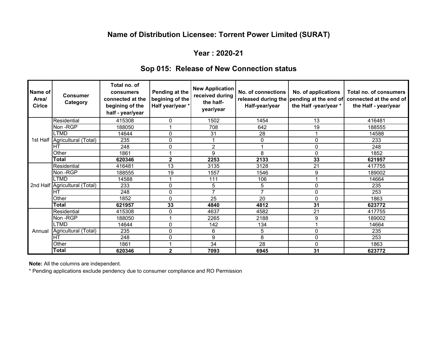# **Name of Distribution Licensee: Torrent Power Limited (SURAT)**

### **Year : 2020-21**

## **Sop 015: Release of New Connection status**

| Name of<br>Area/<br><b>Cirlce</b> | <b>Consumer</b><br>Category   | Total no. of<br>consumers<br>connected at the<br>begining of the<br>half - year/year | Pending at the<br>begining of the<br>Half year/year * | <b>New Application</b><br>received during<br>the half-<br>year/year | No. of connections<br>released during the<br>Half-year/year | No. of applications<br>pending at the end of<br>the Half-year/year * | Total no. of consumers<br>connected at the end of<br>the Half - year/year |
|-----------------------------------|-------------------------------|--------------------------------------------------------------------------------------|-------------------------------------------------------|---------------------------------------------------------------------|-------------------------------------------------------------|----------------------------------------------------------------------|---------------------------------------------------------------------------|
|                                   | Residential                   | 415308                                                                               | 0                                                     | 1502                                                                | 1454                                                        | 13                                                                   | 416481                                                                    |
|                                   | Non-RGP                       | 188050                                                                               |                                                       | 708                                                                 | 642                                                         | $\overline{19}$                                                      | 188555                                                                    |
|                                   | <b>TMD</b>                    | 14644                                                                                | 0                                                     | 31                                                                  | 28                                                          |                                                                      | 14588                                                                     |
| 1st Half                          | Agricultural (Total)          | 235                                                                                  | 0                                                     | 1                                                                   | 0                                                           | 0                                                                    | 233                                                                       |
|                                   | IНT                           | 248                                                                                  | $\mathbf{0}$                                          | $\overline{2}$                                                      |                                                             | $\mathbf{0}$                                                         | 248                                                                       |
|                                   | Other                         | 1861                                                                                 |                                                       | 9                                                                   | 8                                                           | $\mathbf{0}$                                                         | 1852                                                                      |
|                                   | <b>Total</b>                  | 620346                                                                               | $\mathbf{2}$                                          | 2253                                                                | 2133                                                        | 33                                                                   | 621957                                                                    |
|                                   | Residential                   | 416481                                                                               | 13                                                    | 3135                                                                | 3128                                                        | 21                                                                   | 417755                                                                    |
|                                   | Non-RGP                       | 188555                                                                               | 19                                                    | 1557                                                                | 1546                                                        | 9                                                                    | 189002                                                                    |
|                                   | <b>LTMD</b>                   | 14588                                                                                |                                                       | 111                                                                 | 106                                                         |                                                                      | 14664                                                                     |
|                                   | 2nd Half Agricultural (Total) | 233                                                                                  | $\Omega$                                              | 5                                                                   | 5                                                           | $\mathbf{0}$                                                         | 235                                                                       |
|                                   | Iнт                           | 248                                                                                  | 0                                                     | $\overline{7}$                                                      | $\overline{7}$                                              | 0                                                                    | 253                                                                       |
|                                   | Other                         | 1852                                                                                 | 0                                                     | 25                                                                  | 20                                                          | $\mathbf{0}$                                                         | 1863                                                                      |
|                                   | Total                         | 621957                                                                               | 33                                                    | 4840                                                                | 4812                                                        | 31                                                                   | 623772                                                                    |
| Annual                            | Residential                   | 415308                                                                               | 0                                                     | 4637                                                                | 4582                                                        | 21                                                                   | 417755                                                                    |
|                                   | Non-RGP                       | 188050                                                                               |                                                       | 2265                                                                | 2188                                                        | 9                                                                    | 189002                                                                    |
|                                   | <b>LTMD</b>                   | 14644                                                                                | 0                                                     | 142                                                                 | 134                                                         |                                                                      | 14664                                                                     |
|                                   | Agricultural (Total)          | 235                                                                                  | 0                                                     | 6                                                                   | 5                                                           | $\mathbf{0}$                                                         | 235                                                                       |
|                                   | lht                           | 248                                                                                  | $\mathbf{0}$                                          | 9                                                                   | 8                                                           | $\mathbf{0}$                                                         | 253                                                                       |
|                                   | Other                         | 1861                                                                                 |                                                       | 34                                                                  | $\overline{28}$                                             | $\mathbf{0}$                                                         | 1863                                                                      |
|                                   | Total                         | 620346                                                                               | 2                                                     | 7093                                                                | 6945                                                        | 31                                                                   | 623772                                                                    |

**Note:** All the columns are independent.

\* Pending applications exclude pendency due to consumer compliance and RO Permission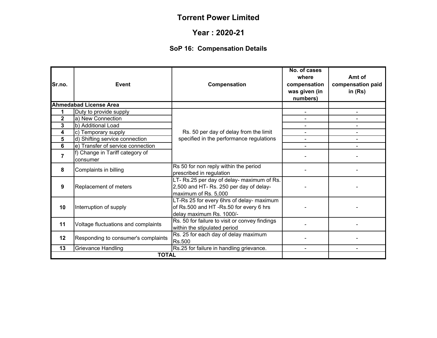#### **Year : 2020-21**

# **SoP 16: Compensation Details**

| Sr.no.         | Event                                                                                                                                     | Compensation                                                                                                  | No. of cases<br>where<br>compensation<br>was given (in<br>numbers) | Amt of<br>compensation paid<br>in $(Rs)$ |
|----------------|-------------------------------------------------------------------------------------------------------------------------------------------|---------------------------------------------------------------------------------------------------------------|--------------------------------------------------------------------|------------------------------------------|
|                | <b>Ahmedabad License Area</b>                                                                                                             |                                                                                                               |                                                                    |                                          |
| 1              | Duty to provide supply                                                                                                                    |                                                                                                               |                                                                    |                                          |
| $\mathbf{2}$   | a) New Connection                                                                                                                         |                                                                                                               |                                                                    |                                          |
| 3              | b) Additional Load                                                                                                                        |                                                                                                               |                                                                    |                                          |
| 4              | c) Temporary supply                                                                                                                       | Rs. 50 per day of delay from the limit                                                                        |                                                                    |                                          |
| 5              | d) Shifting service connection                                                                                                            | specified in the performance regulations                                                                      | $\blacksquare$                                                     |                                          |
| 6              | e) Transfer of service connection                                                                                                         |                                                                                                               |                                                                    |                                          |
| $\overline{7}$ | f) Change in Tariff category of<br>consumer                                                                                               |                                                                                                               |                                                                    |                                          |
| 8              | Complaints in billing                                                                                                                     | Rs 50 for non reply within the period<br>prescribed in regulation                                             |                                                                    |                                          |
| 9              | Replacement of meters                                                                                                                     | LT- Rs.25 per day of delay- maximum of Rs.<br>2,500 and HT- Rs. 250 per day of delay-<br>maximum of Rs. 5,000 |                                                                    |                                          |
| 10             | LT-Rs 25 for every 6hrs of delay- maximum<br>of Rs.500 and HT-Rs.50 for every 6 hrs<br>Interruption of supply<br>delay maximum Rs. 1000/- |                                                                                                               |                                                                    |                                          |
| 11             | Voltage fluctuations and complaints                                                                                                       | Rs. 50 for failure to visit or convey findings<br>within the stipulated period                                |                                                                    |                                          |
| 12             | Rs. 25 for each day of delay maximum<br>Responding to consumer's complaints<br>Rs.500                                                     |                                                                                                               |                                                                    |                                          |
| 13             | Grievance Handling                                                                                                                        | Rs.25 for failure in handling grievance.                                                                      |                                                                    |                                          |
|                | <b>TOTAL</b>                                                                                                                              |                                                                                                               |                                                                    |                                          |